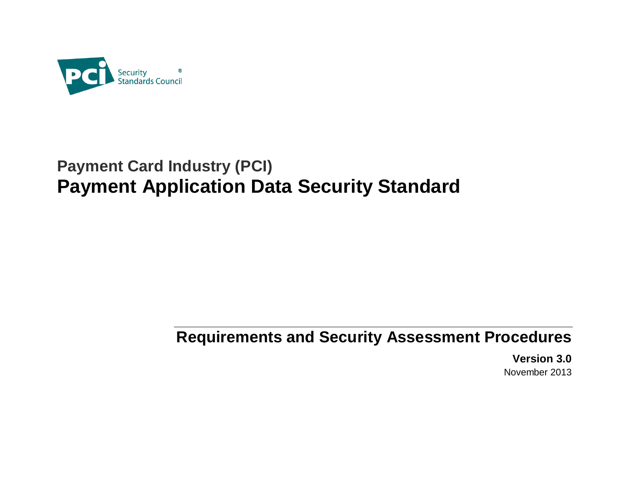

# **Payment Card Industry (PCI) Payment Application Data Security Standard**

# **Requirements and Security Assessment Procedures**

**Version 3.0** November 2013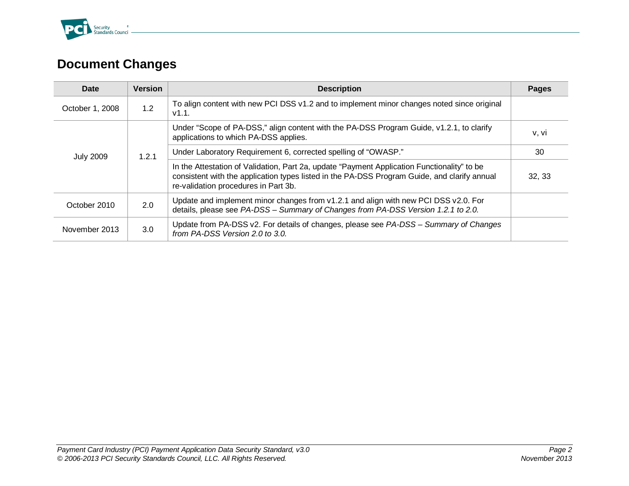

# <span id="page-1-0"></span>**Document Changes**

| Date             | <b>Version</b> | <b>Description</b>                                                                                                                                                                                                                  | Pages  |
|------------------|----------------|-------------------------------------------------------------------------------------------------------------------------------------------------------------------------------------------------------------------------------------|--------|
| October 1, 2008  | 1.2            | To align content with new PCI DSS v1.2 and to implement minor changes noted since original<br>V1.1.                                                                                                                                 |        |
| <b>July 2009</b> | 1.2.1          | Under "Scope of PA-DSS," align content with the PA-DSS Program Guide, v1.2.1, to clarify<br>applications to which PA-DSS applies.                                                                                                   | v, vi  |
|                  |                | Under Laboratory Requirement 6, corrected spelling of "OWASP."                                                                                                                                                                      | 30     |
|                  |                | In the Attestation of Validation, Part 2a, update "Payment Application Functionality" to be<br>consistent with the application types listed in the PA-DSS Program Guide, and clarify annual<br>re-validation procedures in Part 3b. | 32, 33 |
| October 2010     | 2.0            | Update and implement minor changes from v1.2.1 and align with new PCI DSS v2.0. For<br>details, please see PA-DSS - Summary of Changes from PA-DSS Version 1.2.1 to 2.0.                                                            |        |
| November 2013    | 3.0            | Update from PA-DSS v2. For details of changes, please see PA-DSS - Summary of Changes<br>from PA-DSS Version 2.0 to 3.0.                                                                                                            |        |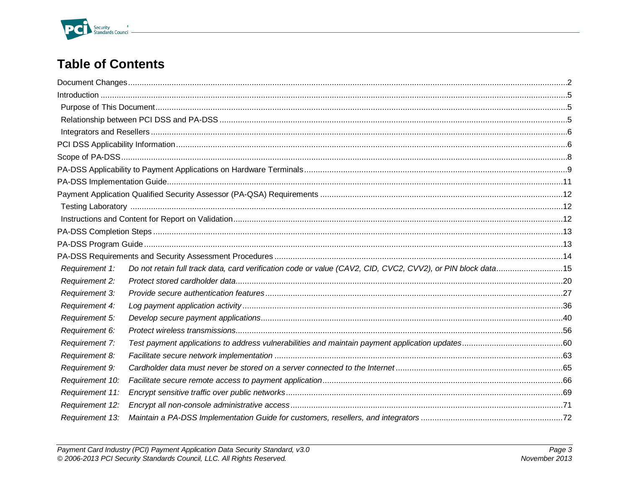

# **Table of Contents**

| Requirement 1:  | Do not retain full track data, card verification code or value (CAV2, CID, CVC2, CVV2), or PIN block data15 |  |
|-----------------|-------------------------------------------------------------------------------------------------------------|--|
| Requirement 2:  |                                                                                                             |  |
| Requirement 3:  |                                                                                                             |  |
| Requirement 4:  |                                                                                                             |  |
| Requirement 5:  |                                                                                                             |  |
| Requirement 6:  |                                                                                                             |  |
| Requirement 7:  |                                                                                                             |  |
| Requirement 8:  |                                                                                                             |  |
| Requirement 9:  |                                                                                                             |  |
| Requirement 10: |                                                                                                             |  |
| Requirement 11: |                                                                                                             |  |
| Requirement 12: |                                                                                                             |  |
| Requirement 13: |                                                                                                             |  |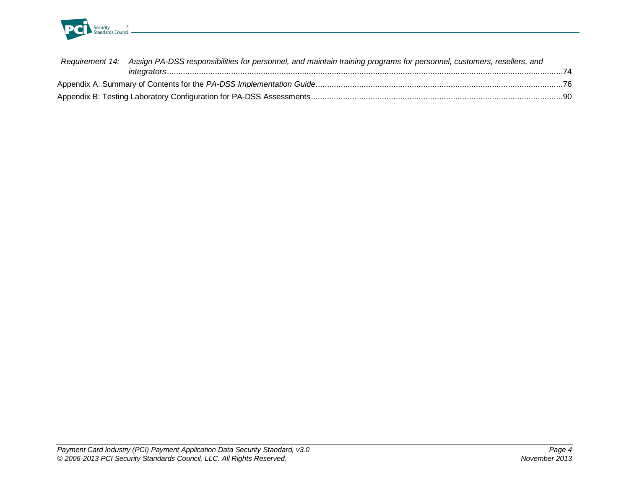

| Requirement 14: Assign PA-DSS responsibilities for personnel, and maintain training programs for personnel, customers, resellers, and |      |
|---------------------------------------------------------------------------------------------------------------------------------------|------|
|                                                                                                                                       | - 74 |
|                                                                                                                                       |      |
|                                                                                                                                       |      |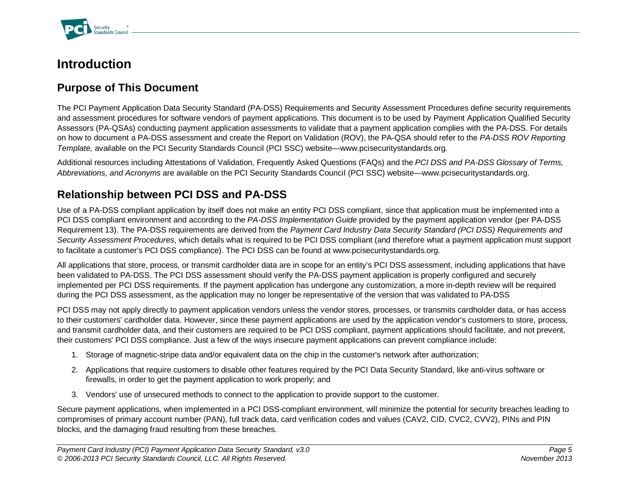

#### <span id="page-4-0"></span>**Introduction**

#### <span id="page-4-1"></span>**Purpose of This Document**

The PCI Payment Application Data Security Standard (PA-DSS) Requirements and Security Assessment Procedures define security requirements and assessment procedures for software vendors of payment applications. This document is to be used by Payment Application Qualified Security Assessors (PA-QSAs) conducting payment application assessments to validate that a payment application complies with the PA-DSS. For details on how to document a PA-DSS assessment and create the Report on Validation (ROV), the PA-QSA should refer to the *PA-DSS ROV Reporting Template,* available on the PCI Security Standards Council (PCI SSC) website[—www.pcisecuritystandards.org](http://www.pcisecuritystandards.org/)*.*

Additional resources including Attestations of Validation, Frequently Asked Questions (FAQs) and the *PCI DSS and PA-DSS Glossary of Terms, Abbreviations, and Acronyms* are available on the PCI Security Standards Council (PCI SSC) website[—www.pcisecuritystandards.org.](http://www.pcisecuritystandards.org/)

#### <span id="page-4-2"></span>**Relationship between PCI DSS and PA-DSS**

Use of a PA-DSS compliant application by itself does not make an entity PCI DSS compliant, since that application must be implemented into a PCI DSS compliant environment and according to the *PA-DSS Implementation Guide* provided by the payment application vendor (per PA-DSS Requirement 13). The PA-DSS requirements are derived from the *Payment Card Industry Data Security Standard (PCI DSS) Requirements and Security Assessment Procedures*, which details what is required to be PCI DSS compliant (and therefore what a payment application must support to facilitate a customer's PCI DSS compliance). The PCI DSS can be found at www.pcisecuritystandards.org.

All applications that store, process, or transmit cardholder data are in scope for an entity's PCI DSS assessment, including applications that have been validated to PA-DSS. The PCI DSS assessment should verify the PA-DSS payment application is properly configured and securely implemented per PCI DSS requirements. If the payment application has undergone any customization, a more in-depth review will be required during the PCI DSS assessment, as the application may no longer be representative of the version that was validated to PA-DSS

PCI DSS may not apply directly to payment application vendors unless the vendor stores, processes, or transmits cardholder data, or has access to their customers' cardholder data. However, since these payment applications are used by the application vendor's customers to store, process, and transmit cardholder data, and their customers are required to be PCI DSS compliant, payment applications should facilitate, and not prevent, their customers' PCI DSS compliance. Just a few of the ways insecure payment applications can prevent compliance include:

- 1. Storage of magnetic-stripe data and/or equivalent data on the chip in the customer's network after authorization;
- 2. Applications that require customers to disable other features required by the PCI Data Security Standard, like anti-virus software or firewalls, in order to get the payment application to work properly; and
- 3. Vendors' use of unsecured methods to connect to the application to provide support to the customer.

Secure payment applications, when implemented in a PCI DSS-compliant environment, will minimize the potential for security breaches leading to compromises of primary account number (PAN), full track data, card verification codes and values (CAV2, CID, CVC2, CVV2), PINs and PIN blocks, and the damaging fraud resulting from these breaches.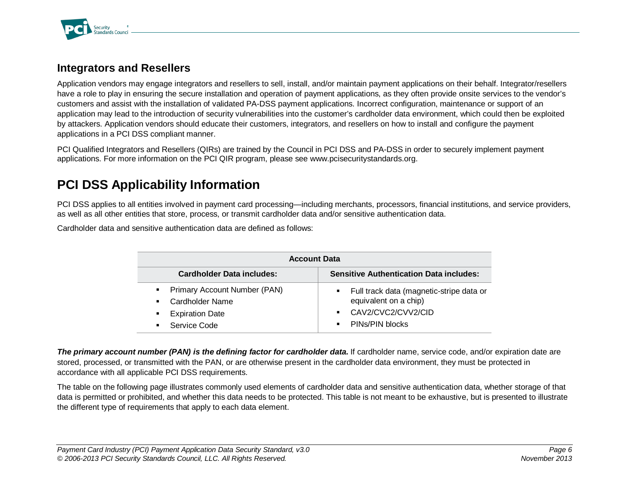

#### <span id="page-5-0"></span>**Integrators and Resellers**

Application vendors may engage integrators and resellers to sell, install, and/or maintain payment applications on their behalf. Integrator/resellers have a role to play in ensuring the secure installation and operation of payment applications, as they often provide onsite services to the vendor's customers and assist with the installation of validated PA-DSS payment applications. Incorrect configuration, maintenance or support of an application may lead to the introduction of security vulnerabilities into the customer's cardholder data environment, which could then be exploited by attackers. Application vendors should educate their customers, integrators, and resellers on how to install and configure the payment applications in a PCI DSS compliant manner.

PCI Qualified Integrators and Resellers (QIRs) are trained by the Council in PCI DSS and PA-DSS in order to securely implement payment applications. For more information on the PCI QIR program, please see [www.pcisecuritystandards.org.](http://www.pcisecuritystandards.org/)

## <span id="page-5-1"></span>**PCI DSS Applicability Information**

PCI DSS applies to all entities involved in payment card processing—including merchants, processors, financial institutions, and service providers, as well as all other entities that store, process, or transmit cardholder data and/or sensitive authentication data.

Cardholder data and sensitive authentication data are defined as follows:

| <b>Account Data</b>                                                                                |                                                                                                           |  |  |
|----------------------------------------------------------------------------------------------------|-----------------------------------------------------------------------------------------------------------|--|--|
| <b>Cardholder Data includes:</b><br><b>Sensitive Authentication Data includes:</b>                 |                                                                                                           |  |  |
| • Primary Account Number (PAN)<br>Cardholder Name<br>$\blacksquare$<br><b>Expiration Date</b><br>٠ | Full track data (magnetic-stripe data or<br>equivalent on a chip)<br>CAV2/CVC2/CVV2/CID<br>$\blacksquare$ |  |  |
| Service Code<br>٠                                                                                  | PINS/PIN blocks<br>$\blacksquare$                                                                         |  |  |

*The primary account number (PAN) is the defining factor for cardholder data***.** If cardholder name, service code, and/or expiration date are stored, processed, or transmitted with the PAN, or are otherwise present in the cardholder data environment, they must be protected in accordance with all applicable PCI DSS requirements.

The table on the following page illustrates commonly used elements of cardholder data and sensitive authentication data, whether storage of that data is permitted or prohibited, and whether this data needs to be protected. This table is not meant to be exhaustive, but is presented to illustrate the different type of requirements that apply to each data element.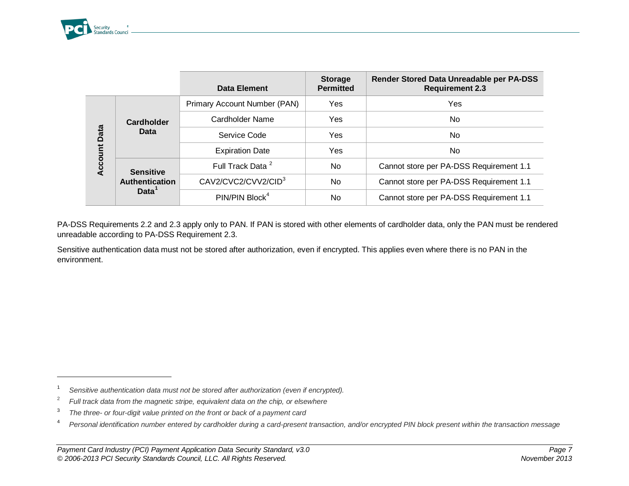<span id="page-6-1"></span><span id="page-6-0"></span>

-

<span id="page-6-3"></span><span id="page-6-2"></span>

|         |                   | Data Element                    | <b>Storage</b><br><b>Permitted</b> | Render Stored Data Unreadable per PA-DSS<br><b>Requirement 2.3</b> |
|---------|-------------------|---------------------------------|------------------------------------|--------------------------------------------------------------------|
|         |                   | Primary Account Number (PAN)    | Yes                                | Yes                                                                |
|         | <b>Cardholder</b> | Cardholder Name                 | Yes                                | No.                                                                |
| Data    | <b>Data</b>       | Service Code                    | Yes                                | No.                                                                |
| Account |                   | <b>Expiration Date</b>          | Yes                                | No.                                                                |
|         | <b>Sensitive</b>  | Full Track Data <sup>2</sup>    | No.                                | Cannot store per PA-DSS Requirement 1.1                            |
|         | Authentication    | CAV2/CVC2/CVV2/CID <sup>3</sup> | No                                 | Cannot store per PA-DSS Requirement 1.1                            |
|         | Data <sup>1</sup> | PIN/PIN Block <sup>4</sup>      | No                                 | Cannot store per PA-DSS Requirement 1.1                            |

PA-DSS Requirements 2.2 and 2.3 apply only to PAN. If PAN is stored with other elements of cardholder data, only the PAN must be rendered unreadable according to PA-DSS Requirement 2.3.

Sensitive authentication data must not be stored after authorization, even if encrypted. This applies even where there is no PAN in the environment.

<sup>1</sup> *Sensitive authentication data must not be stored after authorization (even if encrypted).*

<sup>2</sup> *Full track data from the magnetic stripe, equivalent data on the chip, or elsewhere*

<sup>3</sup> *The three- or four-digit value printed on the front or back of a payment card*

<sup>4</sup> *Personal identification number entered by cardholder during a card-present transaction, and/or encrypted PIN block present within the transaction message*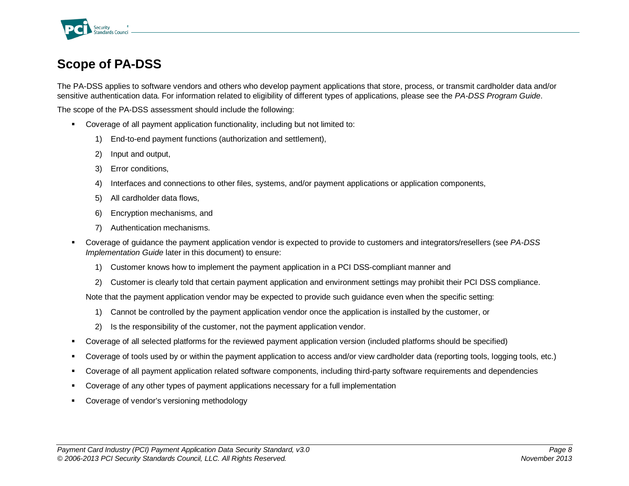

# <span id="page-7-0"></span>**Scope of PA-DSS**

The PA-DSS applies to software vendors and others who develop payment applications that store, process, or transmit cardholder data and/or sensitive authentication data. For information related to eligibility of different types of applications, please see the *PA-DSS Program Guide*.

The scope of the PA-DSS assessment should include the following:

- Coverage of all payment application functionality, including but not limited to:
	- 1) End-to-end payment functions (authorization and settlement),
	- 2) Input and output,
	- 3) Error conditions,
	- 4) Interfaces and connections to other files, systems, and/or payment applications or application components,
	- 5) All cardholder data flows,
	- 6) Encryption mechanisms, and
	- 7) Authentication mechanisms.
- Coverage of guidance the payment application vendor is expected to provide to customers and integrators/resellers (see *PA-DSS Implementation Guide* later in this document) to ensure:
	- 1) Customer knows how to implement the payment application in a PCI DSS-compliant manner and
	- 2) Customer is clearly told that certain payment application and environment settings may prohibit their PCI DSS compliance.

Note that the payment application vendor may be expected to provide such guidance even when the specific setting:

- 1) Cannot be controlled by the payment application vendor once the application is installed by the customer, or
- 2) Is the responsibility of the customer, not the payment application vendor.
- Coverage of all selected platforms for the reviewed payment application version (included platforms should be specified)
- Coverage of tools used by or within the payment application to access and/or view cardholder data (reporting tools, logging tools, etc.)
- Coverage of all payment application related software components, including third-party software requirements and dependencies
- Coverage of any other types of payment applications necessary for a full implementation
- Coverage of vendor's versioning methodology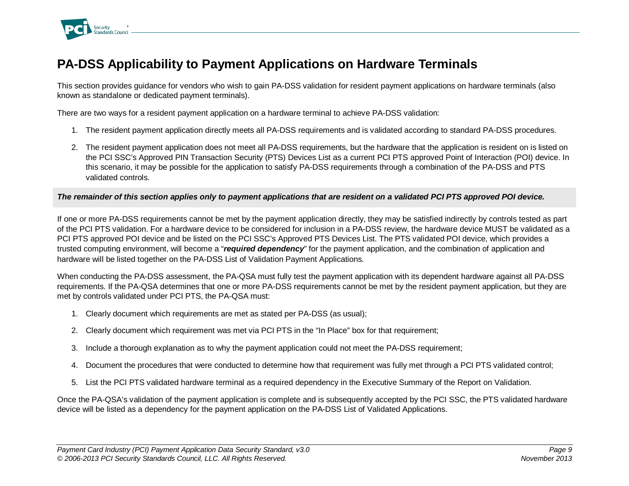

## <span id="page-8-0"></span>**PA-DSS Applicability to Payment Applications on Hardware Terminals**

This section provides guidance for vendors who wish to gain PA-DSS validation for resident payment applications on hardware terminals (also known as standalone or dedicated payment terminals).

There are two ways for a resident payment application on a hardware terminal to achieve PA-DSS validation:

- 1. The resident payment application directly meets all PA-DSS requirements and is validated according to standard PA-DSS procedures.
- 2. The resident payment application does not meet all PA-DSS requirements, but the hardware that the application is resident on is listed on the PCI SSC's Approved PIN Transaction Security (PTS) Devices List as a current PCI PTS approved Point of Interaction (POI) device. In this scenario, it may be possible for the application to satisfy PA-DSS requirements through a combination of the PA-DSS and PTS validated controls.

#### *The remainder of this section applies only to payment applications that are resident on a validated PCI PTS approved POI device.*

If one or more PA-DSS requirements cannot be met by the payment application directly, they may be satisfied indirectly by controls tested as part of the PCI PTS validation. For a hardware device to be considered for inclusion in a PA-DSS review, the hardware device MUST be validated as a PCI PTS approved POI device and be listed on the PCI SSC's Approved PTS Devices List. The PTS validated POI device, which provides a trusted computing environment, will become a "*required dependency*" for the payment application, and the combination of application and hardware will be listed together on the PA-DSS List of Validation Payment Applications.

When conducting the PA-DSS assessment, the PA-QSA must fully test the payment application with its dependent hardware against all PA-DSS requirements. If the PA-QSA determines that one or more PA-DSS requirements cannot be met by the resident payment application, but they are met by controls validated under PCI PTS, the PA-QSA must:

- 1. Clearly document which requirements are met as stated per PA-DSS (as usual);
- 2. Clearly document which requirement was met via PCI PTS in the "In Place" box for that requirement;
- 3. Include a thorough explanation as to why the payment application could not meet the PA-DSS requirement;
- 4. Document the procedures that were conducted to determine how that requirement was fully met through a PCI PTS validated control;
- 5. List the PCI PTS validated hardware terminal as a required dependency in the Executive Summary of the Report on Validation.

Once the PA-QSA's validation of the payment application is complete and is subsequently accepted by the PCI SSC, the PTS validated hardware device will be listed as a dependency for the payment application on the PA-DSS List of Validated Applications.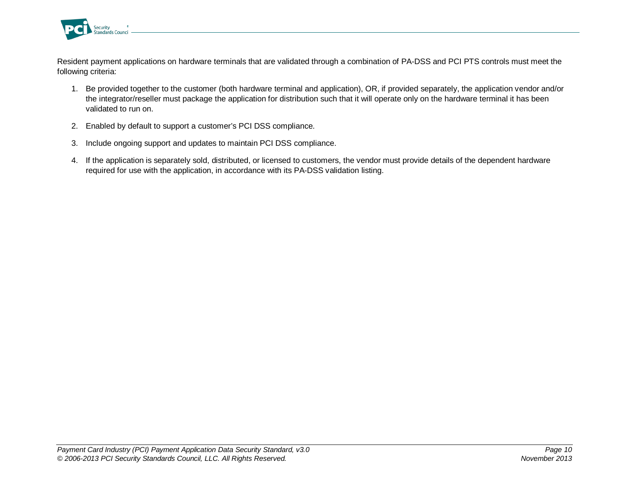

Resident payment applications on hardware terminals that are validated through a combination of PA-DSS and PCI PTS controls must meet the following criteria:

- 1. Be provided together to the customer (both hardware terminal and application), OR, if provided separately, the application vendor and/or the integrator/reseller must package the application for distribution such that it will operate only on the hardware terminal it has been validated to run on.
- 2. Enabled by default to support a customer's PCI DSS compliance.
- 3. Include ongoing support and updates to maintain PCI DSS compliance.
- 4. If the application is separately sold, distributed, or licensed to customers, the vendor must provide details of the dependent hardware required for use with the application, in accordance with its PA-DSS validation listing.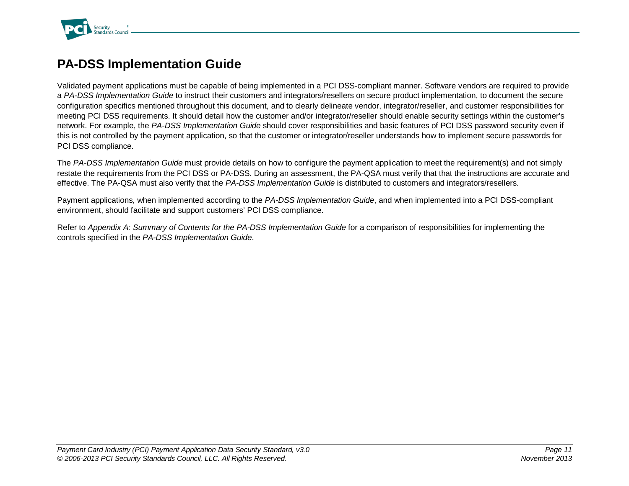

# <span id="page-10-0"></span>**PA-DSS Implementation Guide**

Validated payment applications must be capable of being implemented in a PCI DSS-compliant manner. Software vendors are required to provide a *PA-DSS Implementation Guide* to instruct their customers and integrators/resellers on secure product implementation, to document the secure configuration specifics mentioned throughout this document, and to clearly delineate vendor, integrator/reseller, and customer responsibilities for meeting PCI DSS requirements. It should detail how the customer and/or integrator/reseller should enable security settings within the customer's network. For example, the *PA-DSS Implementation Guide* should cover responsibilities and basic features of PCI DSS password security even if this is not controlled by the payment application, so that the customer or integrator/reseller understands how to implement secure passwords for PCI DSS compliance.

The *PA-DSS Implementation Guide* must provide details on how to configure the payment application to meet the requirement(s) and not simply restate the requirements from the PCI DSS or PA-DSS. During an assessment, the PA-QSA must verify that that the instructions are accurate and effective. The PA-QSA must also verify that the *PA-DSS Implementation Guide* is distributed to customers and integrators/resellers.

Payment applications, when implemented according to the *PA-DSS Implementation Guide*, and when implemented into a PCI DSS-compliant environment, should facilitate and support customers' PCI DSS compliance.

Refer to *Appendix A: Summary of Contents for the PA-DSS Implementation Guide* for a comparison of responsibilities for implementing the controls specified in the *PA-DSS Implementation Guide*.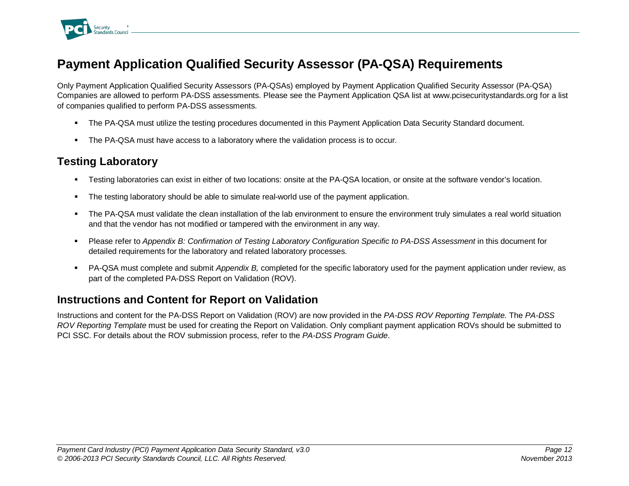

# <span id="page-11-0"></span>**Payment Application Qualified Security Assessor (PA-QSA) Requirements**

Only Payment Application Qualified Security Assessors (PA-QSAs) employed by Payment Application Qualified Security Assessor (PA-QSA) Companies are allowed to perform PA-DSS assessments. Please see the Payment Application QSA list at [www.pcisecuritystandards.org](http://www.pcisecuritystandards.org/) for a list of companies qualified to perform PA-DSS assessments.

- **The PA-QSA must utilize the testing procedures documented in this Payment Application Data Security Standard document.**
- The PA-QSA must have access to a laboratory where the validation process is to occur.

#### <span id="page-11-1"></span>**Testing Laboratory**

- Testing laboratories can exist in either of two locations: onsite at the PA-QSA location, or onsite at the software vendor's location.
- The testing laboratory should be able to simulate real-world use of the payment application.
- The PA-QSA must validate the clean installation of the lab environment to ensure the environment truly simulates a real world situation and that the vendor has not modified or tampered with the environment in any way.
- Please refer to *Appendix B: Confirmation of Testing Laboratory Configuration Specific to PA-DSS Assessment* in this document for detailed requirements for the laboratory and related laboratory processes.
- PA-QSA must complete and submit *Appendix B,* completed for the specific laboratory used for the payment application under review, as part of the completed PA-DSS Report on Validation (ROV).

#### <span id="page-11-2"></span>**Instructions and Content for Report on Validation**

Instructions and content for the PA-DSS Report on Validation (ROV) are now provided in the *PA-DSS ROV Reporting Template.* The *PA-DSS ROV Reporting Template* must be used for creating the Report on Validation. Only compliant payment application ROVs should be submitted to PCI SSC. For details about the ROV submission process, refer to the *PA-DSS Program Guide*.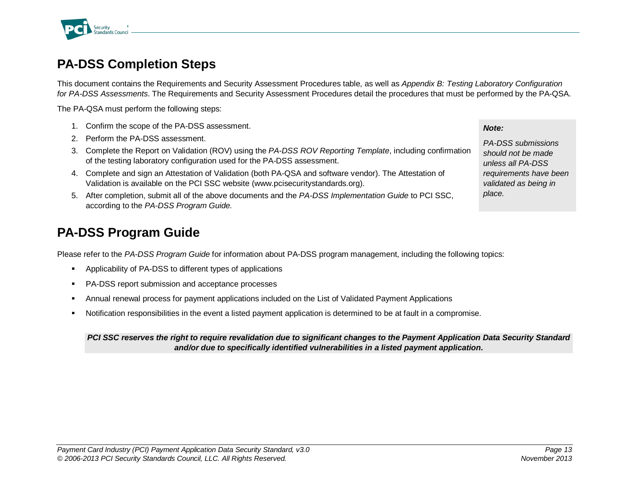

# <span id="page-12-0"></span>**PA-DSS Completion Steps**

This document contains the Requirements and Security Assessment Procedures table, as well as *Appendix B: Testing Laboratory Configuration for PA-DSS Assessments*. The Requirements and Security Assessment Procedures detail the procedures that must be performed by the PA-QSA.

The PA-QSA must perform the following steps:

- 1. Confirm the scope of the PA-DSS assessment.
- 2. Perform the PA-DSS assessment.
- 3. Complete the Report on Validation (ROV) using the *PA-DSS ROV Reporting Template*, including confirmation of the testing laboratory configuration used for the PA-DSS assessment.
- 4. Complete and sign an Attestation of Validation (both PA-QSA and software vendor). The Attestation of Validation is available on the PCI SSC website (www.pcisecuritystandards.org).
- 5. After completion, submit all of the above documents and the *PA-DSS Implementation Guide* to PCI SSC, according to the *PA-DSS Program Guide.*

## <span id="page-12-1"></span>**PA-DSS Program Guide**

Please refer to the *PA-DSS Program Guide* for information about PA-DSS program management, including the following topics:

- Applicability of PA-DSS to different types of applications
- **PA-DSS report submission and acceptance processes**
- Annual renewal process for payment applications included on the List of Validated Payment Applications
- Notification responsibilities in the event a listed payment application is determined to be at fault in a compromise.

*PCI SSC reserves the right to require revalidation due to significant changes to the Payment Application Data Security Standard and/or due to specifically identified vulnerabilities in a listed payment application.*

*Note:*

*PA-DSS submissions should not be made unless all PA-DSS requirements have been validated as being in place.*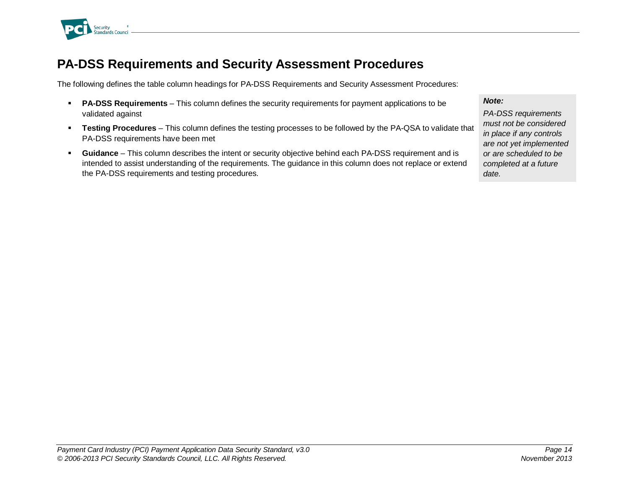

## <span id="page-13-0"></span>**PA-DSS Requirements and Security Assessment Procedures**

The following defines the table column headings for PA-DSS Requirements and Security Assessment Procedures:

- **PA-DSS Requirements** This column defines the security requirements for payment applications to be validated against
- **Testing Procedures** This column defines the testing processes to be followed by the PA-QSA to validate that PA-DSS requirements have been met
- **Guidance** This column describes the intent or security objective behind each PA-DSS requirement and is intended to assist understanding of the requirements. The guidance in this column does not replace or extend the PA-DSS requirements and testing procedures.

*Note:*

*PA-DSS requirements must not be considered in place if any controls are not yet implemented or are scheduled to be completed at a future date.*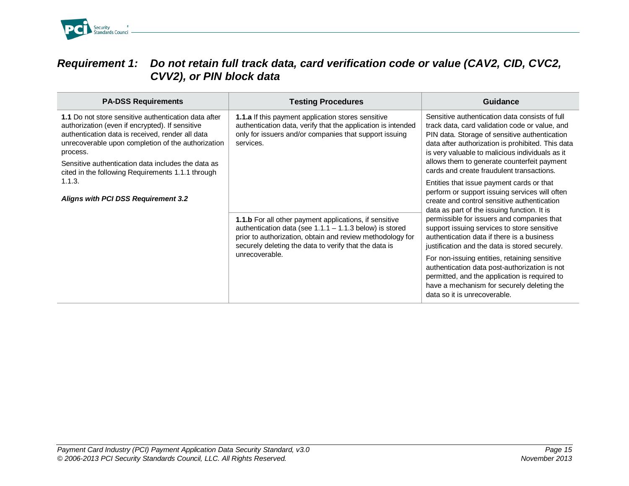

#### <span id="page-14-0"></span>*Requirement 1: Do not retain full track data, card verification code or value (CAV2, CID, CVC2, CVV2), or PIN block data*

| <b>PA-DSS Requirements</b>                                                                                                                                                                                                                                                                                                               | <b>Testing Procedures</b>                                                                                                                                                                                                                                          | Guidance                                                                                                                                                                                                                                                                                                                                                                                                                                                                                                                                                                                                                |
|------------------------------------------------------------------------------------------------------------------------------------------------------------------------------------------------------------------------------------------------------------------------------------------------------------------------------------------|--------------------------------------------------------------------------------------------------------------------------------------------------------------------------------------------------------------------------------------------------------------------|-------------------------------------------------------------------------------------------------------------------------------------------------------------------------------------------------------------------------------------------------------------------------------------------------------------------------------------------------------------------------------------------------------------------------------------------------------------------------------------------------------------------------------------------------------------------------------------------------------------------------|
| 1.1 Do not store sensitive authentication data after<br>authorization (even if encrypted). If sensitive<br>authentication data is received, render all data<br>unrecoverable upon completion of the authorization<br>process.<br>Sensitive authentication data includes the data as<br>cited in the following Requirements 1.1.1 through | 1.1.a If this payment application stores sensitive<br>authentication data, verify that the application is intended<br>only for issuers and/or companies that support issuing<br>services.                                                                          | Sensitive authentication data consists of full<br>track data, card validation code or value, and<br>PIN data. Storage of sensitive authentication<br>data after authorization is prohibited. This data<br>is very valuable to malicious individuals as it<br>allows them to generate counterfeit payment<br>cards and create fraudulent transactions.                                                                                                                                                                                                                                                                   |
| 1.1.3.<br><b>Aligns with PCI DSS Requirement 3.2</b>                                                                                                                                                                                                                                                                                     | <b>1.1.b</b> For all other payment applications, if sensitive<br>authentication data (see $1.1.1 - 1.1.3$ below) is stored<br>prior to authorization, obtain and review methodology for<br>securely deleting the data to verify that the data is<br>unrecoverable. | Entities that issue payment cards or that<br>perform or support issuing services will often<br>create and control sensitive authentication<br>data as part of the issuing function. It is<br>permissible for issuers and companies that<br>support issuing services to store sensitive<br>authentication data if there is a business<br>justification and the data is stored securely.<br>For non-issuing entities, retaining sensitive<br>authentication data post-authorization is not<br>permitted, and the application is required to<br>have a mechanism for securely deleting the<br>data so it is unrecoverable. |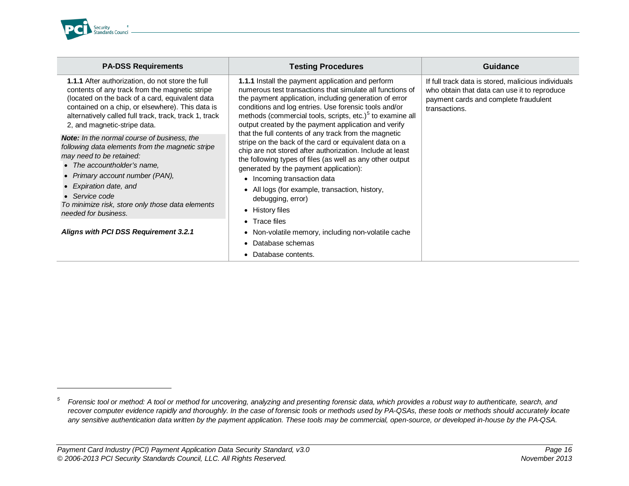<span id="page-15-0"></span>

j

| <b>PA-DSS Requirements</b>                                                                                                                                                                                                                                                                                                         | <b>Testing Procedures</b>                                                                                                                                                                                                                                                                                                                                                                                                             | Guidance                                                                                                                                                      |
|------------------------------------------------------------------------------------------------------------------------------------------------------------------------------------------------------------------------------------------------------------------------------------------------------------------------------------|---------------------------------------------------------------------------------------------------------------------------------------------------------------------------------------------------------------------------------------------------------------------------------------------------------------------------------------------------------------------------------------------------------------------------------------|---------------------------------------------------------------------------------------------------------------------------------------------------------------|
| 1.1.1 After authorization, do not store the full<br>contents of any track from the magnetic stripe<br>(located on the back of a card, equivalent data)<br>contained on a chip, or elsewhere). This data is<br>alternatively called full track, track, track 1, track<br>2, and magnetic-stripe data.                               | 1.1.1 Install the payment application and perform<br>numerous test transactions that simulate all functions of<br>the payment application, including generation of error<br>conditions and log entries. Use forensic tools and/or<br>methods (commercial tools, scripts, etc.) <sup>5</sup> to examine all<br>output created by the payment application and verify                                                                    | If full track data is stored, malicious individuals<br>who obtain that data can use it to reproduce<br>payment cards and complete fraudulent<br>transactions. |
| <b>Note:</b> In the normal course of business, the<br>following data elements from the magnetic stripe<br>may need to be retained:<br>• The accountholder's name,<br>• Primary account number (PAN),<br>Expiration date, and<br>$\bullet$ Service code<br>To minimize risk, store only those data elements<br>needed for business. | that the full contents of any track from the magnetic<br>stripe on the back of the card or equivalent data on a<br>chip are not stored after authorization. Include at least<br>the following types of files (as well as any other output<br>generated by the payment application):<br>• Incoming transaction data<br>• All logs (for example, transaction, history,<br>debugging, error)<br>• History files<br>$\bullet$ Trace files |                                                                                                                                                               |
| Aligns with PCI DSS Requirement 3.2.1                                                                                                                                                                                                                                                                                              | • Non-volatile memory, including non-volatile cache                                                                                                                                                                                                                                                                                                                                                                                   |                                                                                                                                                               |
|                                                                                                                                                                                                                                                                                                                                    | Database schemas                                                                                                                                                                                                                                                                                                                                                                                                                      |                                                                                                                                                               |
|                                                                                                                                                                                                                                                                                                                                    | • Database contents.                                                                                                                                                                                                                                                                                                                                                                                                                  |                                                                                                                                                               |

*<sup>5</sup> Forensic tool or method: A tool or method for uncovering, analyzing and presenting forensic data, which provides a robust way to authenticate, search, and recover computer evidence rapidly and thoroughly. In the case of forensic tools or methods used by PA-QSAs, these tools or methods should accurately locate any sensitive authentication data written by the payment application. These tools may be commercial, open-source, or developed in-house by the PA-QSA.*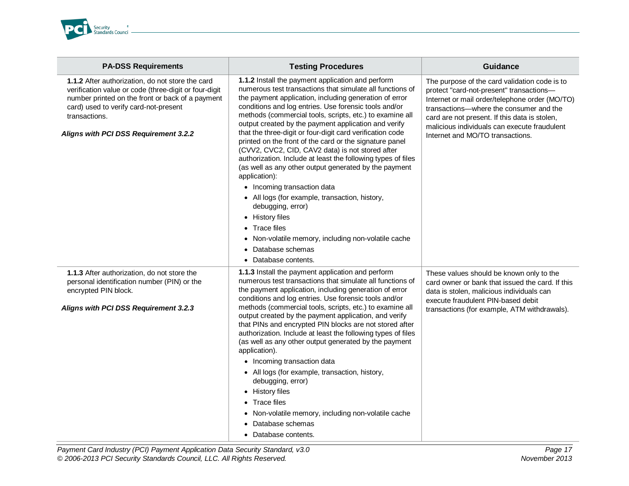

| <b>PA-DSS Requirements</b>                                                                                                                                                                                                                                       | <b>Testing Procedures</b>                                                                                                                                                                                                                                                                                                                                                                                                                                                                                                                                                                                                                                                                                                                                                                                                                                                                                            | <b>Guidance</b>                                                                                                                                                                                                                                                                                                             |
|------------------------------------------------------------------------------------------------------------------------------------------------------------------------------------------------------------------------------------------------------------------|----------------------------------------------------------------------------------------------------------------------------------------------------------------------------------------------------------------------------------------------------------------------------------------------------------------------------------------------------------------------------------------------------------------------------------------------------------------------------------------------------------------------------------------------------------------------------------------------------------------------------------------------------------------------------------------------------------------------------------------------------------------------------------------------------------------------------------------------------------------------------------------------------------------------|-----------------------------------------------------------------------------------------------------------------------------------------------------------------------------------------------------------------------------------------------------------------------------------------------------------------------------|
| 1.1.2 After authorization, do not store the card<br>verification value or code (three-digit or four-digit<br>number printed on the front or back of a payment<br>card) used to verify card-not-present<br>transactions.<br>Aligns with PCI DSS Requirement 3.2.2 | 1.1.2 Install the payment application and perform<br>numerous test transactions that simulate all functions of<br>the payment application, including generation of error<br>conditions and log entries. Use forensic tools and/or<br>methods (commercial tools, scripts, etc.) to examine all<br>output created by the payment application and verify<br>that the three-digit or four-digit card verification code<br>printed on the front of the card or the signature panel<br>(CVV2, CVC2, CID, CAV2 data) is not stored after<br>authorization. Include at least the following types of files<br>(as well as any other output generated by the payment<br>application):<br>• Incoming transaction data<br>• All logs (for example, transaction, history,<br>debugging, error)<br>• History files<br>Trace files<br>Non-volatile memory, including non-volatile cache<br>Database schemas<br>• Database contents. | The purpose of the card validation code is to<br>protect "card-not-present" transactions-<br>Internet or mail order/telephone order (MO/TO)<br>transactions-where the consumer and the<br>card are not present. If this data is stolen,<br>malicious individuals can execute fraudulent<br>Internet and MO/TO transactions. |
| 1.1.3 After authorization, do not store the<br>personal identification number (PIN) or the<br>encrypted PIN block.<br>Aligns with PCI DSS Requirement 3.2.3                                                                                                      | 1.1.3 Install the payment application and perform<br>numerous test transactions that simulate all functions of<br>the payment application, including generation of error<br>conditions and log entries. Use forensic tools and/or<br>methods (commercial tools, scripts, etc.) to examine all<br>output created by the payment application, and verify<br>that PINs and encrypted PIN blocks are not stored after<br>authorization. Include at least the following types of files<br>(as well as any other output generated by the payment<br>application).<br>• Incoming transaction data<br>• All logs (for example, transaction, history,<br>debugging, error)<br>• History files<br>• Trace files<br>Non-volatile memory, including non-volatile cache<br>Database schemas<br>Database contents.                                                                                                                 | These values should be known only to the<br>card owner or bank that issued the card. If this<br>data is stolen, malicious individuals can<br>execute fraudulent PIN-based debit<br>transactions (for example, ATM withdrawals).                                                                                             |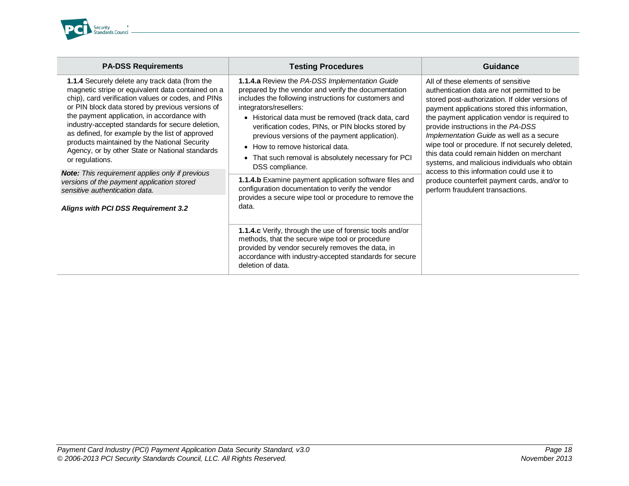

| <b>PA-DSS Requirements</b>                                                                                                                                                                                                                                                                                                                                                                                                                                                                | <b>Testing Procedures</b>                                                                                                                                                                                                                                                                                                                                                                                                                                            | Guidance                                                                                                                                                                                                                                                                                                                                                                                                                                                                                                                                                                                                     |
|-------------------------------------------------------------------------------------------------------------------------------------------------------------------------------------------------------------------------------------------------------------------------------------------------------------------------------------------------------------------------------------------------------------------------------------------------------------------------------------------|----------------------------------------------------------------------------------------------------------------------------------------------------------------------------------------------------------------------------------------------------------------------------------------------------------------------------------------------------------------------------------------------------------------------------------------------------------------------|--------------------------------------------------------------------------------------------------------------------------------------------------------------------------------------------------------------------------------------------------------------------------------------------------------------------------------------------------------------------------------------------------------------------------------------------------------------------------------------------------------------------------------------------------------------------------------------------------------------|
| 1.1.4 Securely delete any track data (from the<br>magnetic stripe or equivalent data contained on a<br>chip), card verification values or codes, and PINs<br>or PIN block data stored by previous versions of<br>the payment application, in accordance with<br>industry-accepted standards for secure deletion,<br>as defined, for example by the list of approved<br>products maintained by the National Security<br>Agency, or by other State or National standards<br>or regulations. | 1.1.4.a Review the PA-DSS Implementation Guide<br>prepared by the vendor and verify the documentation<br>includes the following instructions for customers and<br>integrators/resellers:<br>• Historical data must be removed (track data, card<br>verification codes, PINs, or PIN blocks stored by<br>previous versions of the payment application).<br>• How to remove historical data.<br>• That such removal is absolutely necessary for PCI<br>DSS compliance. | All of these elements of sensitive<br>authentication data are not permitted to be<br>stored post-authorization. If older versions of<br>payment applications stored this information,<br>the payment application vendor is required to<br>provide instructions in the PA-DSS<br>Implementation Guide as well as a secure<br>wipe tool or procedure. If not securely deleted,<br>this data could remain hidden on merchant<br>systems, and malicious individuals who obtain<br>access to this information could use it to<br>produce counterfeit payment cards, and/or to<br>perform fraudulent transactions. |
| <b>Note:</b> This requirement applies only if previous<br>versions of the payment application stored<br>sensitive authentication data.                                                                                                                                                                                                                                                                                                                                                    | 1.1.4.b Examine payment application software files and<br>configuration documentation to verify the vendor<br>provides a secure wipe tool or procedure to remove the                                                                                                                                                                                                                                                                                                 |                                                                                                                                                                                                                                                                                                                                                                                                                                                                                                                                                                                                              |
| Aligns with PCI DSS Requirement 3.2                                                                                                                                                                                                                                                                                                                                                                                                                                                       | data.<br>1.1.4.c Verify, through the use of forensic tools and/or<br>methods, that the secure wipe tool or procedure<br>provided by vendor securely removes the data, in<br>accordance with industry-accepted standards for secure<br>deletion of data.                                                                                                                                                                                                              |                                                                                                                                                                                                                                                                                                                                                                                                                                                                                                                                                                                                              |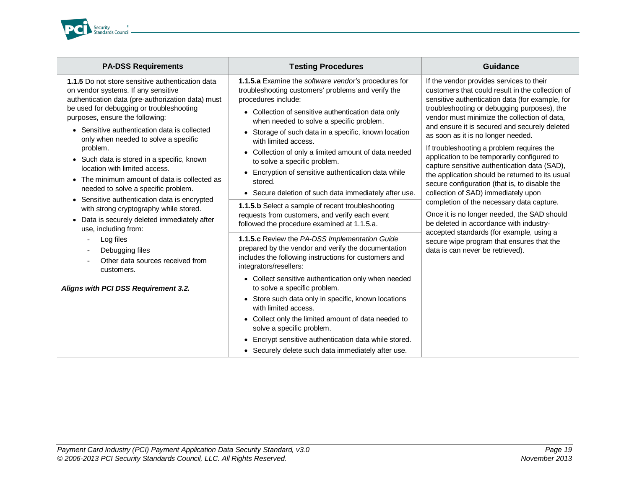

| <b>PA-DSS Requirements</b>                                                                                                                                                                                                                                                                                                                                                                                                                                                                                                                                                                                                                                                                                                                            | <b>Testing Procedures</b>                                                                                                                                                                                                                                                                                                                                                                                                                                                                                                                                                                                                                                                                    | <b>Guidance</b>                                                                                                                                                                                                                                                                                                                                                                                                                                                                                                                                                                                                                                                                                                                                                                                                                                                                                  |
|-------------------------------------------------------------------------------------------------------------------------------------------------------------------------------------------------------------------------------------------------------------------------------------------------------------------------------------------------------------------------------------------------------------------------------------------------------------------------------------------------------------------------------------------------------------------------------------------------------------------------------------------------------------------------------------------------------------------------------------------------------|----------------------------------------------------------------------------------------------------------------------------------------------------------------------------------------------------------------------------------------------------------------------------------------------------------------------------------------------------------------------------------------------------------------------------------------------------------------------------------------------------------------------------------------------------------------------------------------------------------------------------------------------------------------------------------------------|--------------------------------------------------------------------------------------------------------------------------------------------------------------------------------------------------------------------------------------------------------------------------------------------------------------------------------------------------------------------------------------------------------------------------------------------------------------------------------------------------------------------------------------------------------------------------------------------------------------------------------------------------------------------------------------------------------------------------------------------------------------------------------------------------------------------------------------------------------------------------------------------------|
| 1.1.5 Do not store sensitive authentication data<br>on vendor systems. If any sensitive<br>authentication data (pre-authorization data) must<br>be used for debugging or troubleshooting<br>purposes, ensure the following:<br>• Sensitive authentication data is collected<br>only when needed to solve a specific<br>problem.<br>• Such data is stored in a specific, known<br>location with limited access.<br>The minimum amount of data is collected as<br>needed to solve a specific problem.<br>• Sensitive authentication data is encrypted<br>with strong cryptography while stored.<br>Data is securely deleted immediately after<br>use, including from:<br>Log files<br>Debugging files<br>Other data sources received from<br>customers. | 1.1.5.a Examine the software vendor's procedures for<br>troubleshooting customers' problems and verify the<br>procedures include:<br>• Collection of sensitive authentication data only<br>when needed to solve a specific problem.<br>• Storage of such data in a specific, known location<br>with limited access.<br>• Collection of only a limited amount of data needed<br>to solve a specific problem.<br>• Encryption of sensitive authentication data while<br>stored.<br>• Secure deletion of such data immediately after use.<br>1.1.5.b Select a sample of recent troubleshooting<br>requests from customers, and verify each event<br>followed the procedure examined at 1.1.5.a. | If the vendor provides services to their<br>customers that could result in the collection of<br>sensitive authentication data (for example, for<br>troubleshooting or debugging purposes), the<br>vendor must minimize the collection of data,<br>and ensure it is secured and securely deleted<br>as soon as it is no longer needed.<br>If troubleshooting a problem requires the<br>application to be temporarily configured to<br>capture sensitive authentication data (SAD),<br>the application should be returned to its usual<br>secure configuration (that is, to disable the<br>collection of SAD) immediately upon<br>completion of the necessary data capture.<br>Once it is no longer needed, the SAD should<br>be deleted in accordance with industry-<br>accepted standards (for example, using a<br>secure wipe program that ensures that the<br>data is can never be retrieved). |
|                                                                                                                                                                                                                                                                                                                                                                                                                                                                                                                                                                                                                                                                                                                                                       | 1.1.5.c Review the PA-DSS Implementation Guide<br>prepared by the vendor and verify the documentation<br>includes the following instructions for customers and<br>integrators/resellers:                                                                                                                                                                                                                                                                                                                                                                                                                                                                                                     |                                                                                                                                                                                                                                                                                                                                                                                                                                                                                                                                                                                                                                                                                                                                                                                                                                                                                                  |
| Aligns with PCI DSS Requirement 3.2.                                                                                                                                                                                                                                                                                                                                                                                                                                                                                                                                                                                                                                                                                                                  | • Collect sensitive authentication only when needed<br>to solve a specific problem.<br>• Store such data only in specific, known locations<br>with limited access.<br>• Collect only the limited amount of data needed to<br>solve a specific problem.<br>• Encrypt sensitive authentication data while stored.<br>• Securely delete such data immediately after use.                                                                                                                                                                                                                                                                                                                        |                                                                                                                                                                                                                                                                                                                                                                                                                                                                                                                                                                                                                                                                                                                                                                                                                                                                                                  |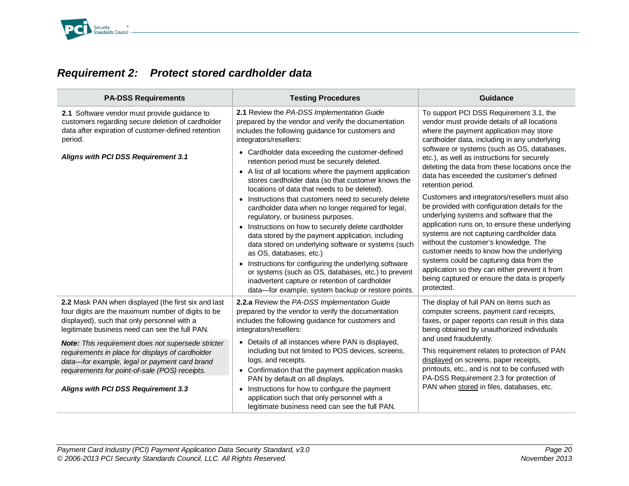

#### <span id="page-19-0"></span>*Requirement 2: Protect stored cardholder data*

| <b>PA-DSS Requirements</b>                                                                                                                                                                                                                                                                                                                                                                                                                                            | <b>Testing Procedures</b>                                                                                                                                                                                                                                                                                                                                                                                                                                                                                                                                                                                                                                                                                                                                                                                                                                                                                                                                                                                                      | Guidance                                                                                                                                                                                                                                                                                                                                                                                                                                                                                                                                                                                                                                                                                                                                                                                                                                                                                               |
|-----------------------------------------------------------------------------------------------------------------------------------------------------------------------------------------------------------------------------------------------------------------------------------------------------------------------------------------------------------------------------------------------------------------------------------------------------------------------|--------------------------------------------------------------------------------------------------------------------------------------------------------------------------------------------------------------------------------------------------------------------------------------------------------------------------------------------------------------------------------------------------------------------------------------------------------------------------------------------------------------------------------------------------------------------------------------------------------------------------------------------------------------------------------------------------------------------------------------------------------------------------------------------------------------------------------------------------------------------------------------------------------------------------------------------------------------------------------------------------------------------------------|--------------------------------------------------------------------------------------------------------------------------------------------------------------------------------------------------------------------------------------------------------------------------------------------------------------------------------------------------------------------------------------------------------------------------------------------------------------------------------------------------------------------------------------------------------------------------------------------------------------------------------------------------------------------------------------------------------------------------------------------------------------------------------------------------------------------------------------------------------------------------------------------------------|
| 2.1 Software vendor must provide guidance to<br>customers regarding secure deletion of cardholder<br>data after expiration of customer-defined retention<br>period.<br>Aligns with PCI DSS Requirement 3.1                                                                                                                                                                                                                                                            | 2.1 Review the PA-DSS Implementation Guide<br>prepared by the vendor and verify the documentation<br>includes the following guidance for customers and<br>integrators/resellers:<br>• Cardholder data exceeding the customer-defined<br>retention period must be securely deleted.<br>• A list of all locations where the payment application<br>stores cardholder data (so that customer knows the<br>locations of data that needs to be deleted).<br>• Instructions that customers need to securely delete<br>cardholder data when no longer required for legal,<br>regulatory, or business purposes.<br>• Instructions on how to securely delete cardholder<br>data stored by the payment application, including<br>data stored on underlying software or systems (such<br>as OS, databases, etc.)<br>• Instructions for configuring the underlying software<br>or systems (such as OS, databases, etc.) to prevent<br>inadvertent capture or retention of cardholder<br>data-for example, system backup or restore points. | To support PCI DSS Requirement 3.1, the<br>vendor must provide details of all locations<br>where the payment application may store<br>cardholder data, including in any underlying<br>software or systems (such as OS, databases,<br>etc.), as well as instructions for securely<br>deleting the data from these locations once the<br>data has exceeded the customer's defined<br>retention period.<br>Customers and integrators/resellers must also<br>be provided with configuration details for the<br>underlying systems and software that the<br>application runs on, to ensure these underlying<br>systems are not capturing cardholder data<br>without the customer's knowledge. The<br>customer needs to know how the underlying<br>systems could be capturing data from the<br>application so they can either prevent it from<br>being captured or ensure the data is properly<br>protected. |
| 2.2 Mask PAN when displayed (the first six and last<br>four digits are the maximum number of digits to be<br>displayed), such that only personnel with a<br>legitimate business need can see the full PAN.<br><b>Note:</b> This requirement does not supersede stricter<br>requirements in place for displays of cardholder<br>data-for example, legal or payment card brand<br>requirements for point-of-sale (POS) receipts.<br>Aligns with PCI DSS Requirement 3.3 | 2.2.a Review the PA-DSS Implementation Guide<br>prepared by the vendor to verify the documentation<br>includes the following guidance for customers and<br>integrators/resellers:<br>• Details of all instances where PAN is displayed,<br>including but not limited to POS devices, screens,<br>logs, and receipts.<br>• Confirmation that the payment application masks<br>PAN by default on all displays.<br>• Instructions for how to configure the payment<br>application such that only personnel with a<br>legitimate business need can see the full PAN.                                                                                                                                                                                                                                                                                                                                                                                                                                                               | The display of full PAN on items such as<br>computer screens, payment card receipts,<br>faxes, or paper reports can result in this data<br>being obtained by unauthorized individuals<br>and used fraudulently.<br>This requirement relates to protection of PAN<br>displayed on screens, paper receipts,<br>printouts, etc., and is not to be confused with<br>PA-DSS Requirement 2.3 for protection of<br>PAN when stored in files, databases, etc.                                                                                                                                                                                                                                                                                                                                                                                                                                                  |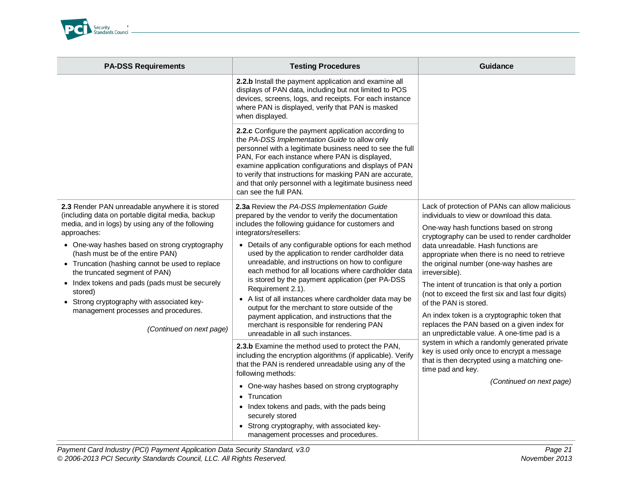

| <b>PA-DSS Requirements</b>                                                                                                                                                                                                                                                                                                                                                                                                                                                                                                       | <b>Testing Procedures</b>                                                                                                                                                                                                                                                                                                                                                                                                                                                                                                                                                                                                                                                                                                                                                                | Guidance                                                                                                                                                                                                                                                                                                                                                                                                                                                                                                                                                                                                                                                                                                                                                                                                                    |
|----------------------------------------------------------------------------------------------------------------------------------------------------------------------------------------------------------------------------------------------------------------------------------------------------------------------------------------------------------------------------------------------------------------------------------------------------------------------------------------------------------------------------------|------------------------------------------------------------------------------------------------------------------------------------------------------------------------------------------------------------------------------------------------------------------------------------------------------------------------------------------------------------------------------------------------------------------------------------------------------------------------------------------------------------------------------------------------------------------------------------------------------------------------------------------------------------------------------------------------------------------------------------------------------------------------------------------|-----------------------------------------------------------------------------------------------------------------------------------------------------------------------------------------------------------------------------------------------------------------------------------------------------------------------------------------------------------------------------------------------------------------------------------------------------------------------------------------------------------------------------------------------------------------------------------------------------------------------------------------------------------------------------------------------------------------------------------------------------------------------------------------------------------------------------|
|                                                                                                                                                                                                                                                                                                                                                                                                                                                                                                                                  | 2.2.b Install the payment application and examine all<br>displays of PAN data, including but not limited to POS<br>devices, screens, logs, and receipts. For each instance<br>where PAN is displayed, verify that PAN is masked<br>when displayed.                                                                                                                                                                                                                                                                                                                                                                                                                                                                                                                                       |                                                                                                                                                                                                                                                                                                                                                                                                                                                                                                                                                                                                                                                                                                                                                                                                                             |
|                                                                                                                                                                                                                                                                                                                                                                                                                                                                                                                                  | 2.2.c Configure the payment application according to<br>the PA-DSS Implementation Guide to allow only<br>personnel with a legitimate business need to see the full<br>PAN, For each instance where PAN is displayed,<br>examine application configurations and displays of PAN<br>to verify that instructions for masking PAN are accurate,<br>and that only personnel with a legitimate business need<br>can see the full PAN.                                                                                                                                                                                                                                                                                                                                                          |                                                                                                                                                                                                                                                                                                                                                                                                                                                                                                                                                                                                                                                                                                                                                                                                                             |
| 2.3 Render PAN unreadable anywhere it is stored<br>(including data on portable digital media, backup<br>media, and in logs) by using any of the following<br>approaches:<br>• One-way hashes based on strong cryptography<br>(hash must be of the entire PAN)<br>• Truncation (hashing cannot be used to replace<br>the truncated segment of PAN)<br>• Index tokens and pads (pads must be securely<br>stored)<br>• Strong cryptography with associated key-<br>management processes and procedures.<br>(Continued on next page) | 2.3a Review the PA-DSS Implementation Guide<br>prepared by the vendor to verify the documentation<br>includes the following guidance for customers and<br>integrators/resellers:<br>• Details of any configurable options for each method<br>used by the application to render cardholder data<br>unreadable, and instructions on how to configure<br>each method for all locations where cardholder data<br>is stored by the payment application (per PA-DSS<br>Requirement 2.1).<br>• A list of all instances where cardholder data may be<br>output for the merchant to store outside of the<br>payment application, and instructions that the<br>merchant is responsible for rendering PAN<br>unreadable in all such instances.<br>2.3.b Examine the method used to protect the PAN, | Lack of protection of PANs can allow malicious<br>individuals to view or download this data.<br>One-way hash functions based on strong<br>cryptography can be used to render cardholder<br>data unreadable. Hash functions are<br>appropriate when there is no need to retrieve<br>the original number (one-way hashes are<br>irreversible).<br>The intent of truncation is that only a portion<br>(not to exceed the first six and last four digits)<br>of the PAN is stored.<br>An index token is a cryptographic token that<br>replaces the PAN based on a given index for<br>an unpredictable value. A one-time pad is a<br>system in which a randomly generated private<br>key is used only once to encrypt a message<br>that is then decrypted using a matching one-<br>time pad and key.<br>(Continued on next page) |
|                                                                                                                                                                                                                                                                                                                                                                                                                                                                                                                                  | including the encryption algorithms (if applicable). Verify<br>that the PAN is rendered unreadable using any of the<br>following methods:<br>• One-way hashes based on strong cryptography<br>• Truncation<br>• Index tokens and pads, with the pads being<br>securely stored<br>• Strong cryptography, with associated key-<br>management processes and procedures.                                                                                                                                                                                                                                                                                                                                                                                                                     |                                                                                                                                                                                                                                                                                                                                                                                                                                                                                                                                                                                                                                                                                                                                                                                                                             |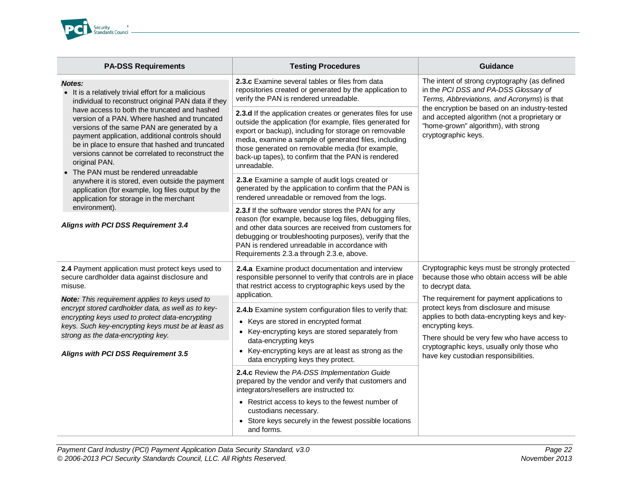

| <b>PA-DSS Requirements</b>                                                                                                                                                                                                                                                                                                                                                                                                                                                                   | <b>Testing Procedures</b>                                                                                                                                                                                                                                                                                                                                            | <b>Guidance</b>                                                                                                                                                                                                                                                                                       |
|----------------------------------------------------------------------------------------------------------------------------------------------------------------------------------------------------------------------------------------------------------------------------------------------------------------------------------------------------------------------------------------------------------------------------------------------------------------------------------------------|----------------------------------------------------------------------------------------------------------------------------------------------------------------------------------------------------------------------------------------------------------------------------------------------------------------------------------------------------------------------|-------------------------------------------------------------------------------------------------------------------------------------------------------------------------------------------------------------------------------------------------------------------------------------------------------|
| <b>Notes:</b><br>It is a relatively trivial effort for a malicious<br>individual to reconstruct original PAN data if they<br>have access to both the truncated and hashed<br>version of a PAN. Where hashed and truncated<br>versions of the same PAN are generated by a<br>payment application, additional controls should<br>be in place to ensure that hashed and truncated<br>versions cannot be correlated to reconstruct the<br>original PAN.<br>• The PAN must be rendered unreadable | 2.3.c Examine several tables or files from data<br>repositories created or generated by the application to<br>verify the PAN is rendered unreadable.                                                                                                                                                                                                                 | The intent of strong cryptography (as defined<br>in the PCI DSS and PA-DSS Glossary of<br>Terms, Abbreviations, and Acronyms) is that<br>the encryption be based on an industry-tested<br>and accepted algorithm (not a proprietary or<br>"home-grown" algorithm), with strong<br>cryptographic keys. |
|                                                                                                                                                                                                                                                                                                                                                                                                                                                                                              | 2.3.d If the application creates or generates files for use<br>outside the application (for example, files generated for<br>export or backup), including for storage on removable<br>media, examine a sample of generated files, including<br>those generated on removable media (for example,<br>back-up tapes), to confirm that the PAN is rendered<br>unreadable. |                                                                                                                                                                                                                                                                                                       |
| anywhere it is stored, even outside the payment<br>application (for example, log files output by the<br>application for storage in the merchant                                                                                                                                                                                                                                                                                                                                              | 2.3.e Examine a sample of audit logs created or<br>generated by the application to confirm that the PAN is<br>rendered unreadable or removed from the logs.                                                                                                                                                                                                          |                                                                                                                                                                                                                                                                                                       |
| environment).<br>Aligns with PCI DSS Requirement 3.4                                                                                                                                                                                                                                                                                                                                                                                                                                         | 2.3.f If the software vendor stores the PAN for any<br>reason (for example, because log files, debugging files,<br>and other data sources are received from customers for<br>debugging or troubleshooting purposes), verify that the<br>PAN is rendered unreadable in accordance with<br>Requirements 2.3.a through 2.3.e, above.                                    |                                                                                                                                                                                                                                                                                                       |
| 2.4 Payment application must protect keys used to<br>secure cardholder data against disclosure and<br>misuse.                                                                                                                                                                                                                                                                                                                                                                                | 2.4.a Examine product documentation and interview<br>responsible personnel to verify that controls are in place<br>that restrict access to cryptographic keys used by the                                                                                                                                                                                            | Cryptographic keys must be strongly protected<br>because those who obtain access will be able<br>to decrypt data.                                                                                                                                                                                     |
| Note: This requirement applies to keys used to<br>encrypt stored cardholder data, as well as to key-<br>encrypting keys used to protect data-encrypting<br>keys. Such key-encrypting keys must be at least as<br>strong as the data-encrypting key.                                                                                                                                                                                                                                          | application.<br>2.4.b Examine system configuration files to verify that:<br>• Keys are stored in encrypted format<br>• Key-encrypting keys are stored separately from<br>data-encrypting keys<br>• Key-encrypting keys are at least as strong as the                                                                                                                 | The requirement for payment applications to<br>protect keys from disclosure and misuse<br>applies to both data-encrypting keys and key-<br>encrypting keys.<br>There should be very few who have access to<br>cryptographic keys, usually only those who                                              |
| Aligns with PCI DSS Requirement 3.5                                                                                                                                                                                                                                                                                                                                                                                                                                                          | data encrypting keys they protect.<br>2.4.c Review the PA-DSS Implementation Guide                                                                                                                                                                                                                                                                                   | have key custodian responsibilities.                                                                                                                                                                                                                                                                  |
|                                                                                                                                                                                                                                                                                                                                                                                                                                                                                              | prepared by the vendor and verify that customers and<br>integrators/resellers are instructed to:                                                                                                                                                                                                                                                                     |                                                                                                                                                                                                                                                                                                       |
|                                                                                                                                                                                                                                                                                                                                                                                                                                                                                              | • Restrict access to keys to the fewest number of<br>custodians necessary.<br>• Store keys securely in the fewest possible locations                                                                                                                                                                                                                                 |                                                                                                                                                                                                                                                                                                       |
|                                                                                                                                                                                                                                                                                                                                                                                                                                                                                              | and forms.                                                                                                                                                                                                                                                                                                                                                           |                                                                                                                                                                                                                                                                                                       |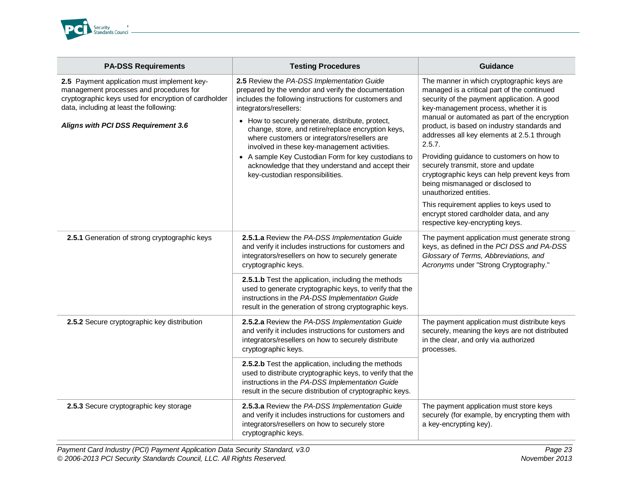

| <b>PA-DSS Requirements</b>                                                                                                                                                                                                       | <b>Testing Procedures</b>                                                                                                                                                                                                                                                                                                                                                                                                                                                                                                                     | <b>Guidance</b>                                                                                                                                                                                                                                                                                                                                                                                                                                                                                                                                                                                                                                                         |
|----------------------------------------------------------------------------------------------------------------------------------------------------------------------------------------------------------------------------------|-----------------------------------------------------------------------------------------------------------------------------------------------------------------------------------------------------------------------------------------------------------------------------------------------------------------------------------------------------------------------------------------------------------------------------------------------------------------------------------------------------------------------------------------------|-------------------------------------------------------------------------------------------------------------------------------------------------------------------------------------------------------------------------------------------------------------------------------------------------------------------------------------------------------------------------------------------------------------------------------------------------------------------------------------------------------------------------------------------------------------------------------------------------------------------------------------------------------------------------|
| 2.5 Payment application must implement key-<br>management processes and procedures for<br>cryptographic keys used for encryption of cardholder<br>data, including at least the following:<br>Aligns with PCI DSS Requirement 3.6 | 2.5 Review the PA-DSS Implementation Guide<br>prepared by the vendor and verify the documentation<br>includes the following instructions for customers and<br>integrators/resellers:<br>• How to securely generate, distribute, protect,<br>change, store, and retire/replace encryption keys,<br>where customers or integrators/resellers are<br>involved in these key-management activities.<br>• A sample Key Custodian Form for key custodians to<br>acknowledge that they understand and accept their<br>key-custodian responsibilities. | The manner in which cryptographic keys are<br>managed is a critical part of the continued<br>security of the payment application. A good<br>key-management process, whether it is<br>manual or automated as part of the encryption<br>product, is based on industry standards and<br>addresses all key elements at 2.5.1 through<br>2.5.7.<br>Providing guidance to customers on how to<br>securely transmit, store and update<br>cryptographic keys can help prevent keys from<br>being mismanaged or disclosed to<br>unauthorized entities.<br>This requirement applies to keys used to<br>encrypt stored cardholder data, and any<br>respective key-encrypting keys. |
| 2.5.1 Generation of strong cryptographic keys                                                                                                                                                                                    | 2.5.1.a Review the PA-DSS Implementation Guide<br>and verify it includes instructions for customers and<br>integrators/resellers on how to securely generate<br>cryptographic keys.                                                                                                                                                                                                                                                                                                                                                           | The payment application must generate strong<br>keys, as defined in the PCI DSS and PA-DSS<br>Glossary of Terms, Abbreviations, and<br>Acronyms under "Strong Cryptography."                                                                                                                                                                                                                                                                                                                                                                                                                                                                                            |
|                                                                                                                                                                                                                                  | 2.5.1.b Test the application, including the methods<br>used to generate cryptographic keys, to verify that the<br>instructions in the PA-DSS Implementation Guide<br>result in the generation of strong cryptographic keys.                                                                                                                                                                                                                                                                                                                   |                                                                                                                                                                                                                                                                                                                                                                                                                                                                                                                                                                                                                                                                         |
| 2.5.2 Secure cryptographic key distribution                                                                                                                                                                                      | 2.5.2.a Review the PA-DSS Implementation Guide<br>and verify it includes instructions for customers and<br>integrators/resellers on how to securely distribute<br>cryptographic keys.                                                                                                                                                                                                                                                                                                                                                         | The payment application must distribute keys<br>securely, meaning the keys are not distributed<br>in the clear, and only via authorized<br>processes.                                                                                                                                                                                                                                                                                                                                                                                                                                                                                                                   |
|                                                                                                                                                                                                                                  | 2.5.2.b Test the application, including the methods<br>used to distribute cryptographic keys, to verify that the<br>instructions in the PA-DSS Implementation Guide<br>result in the secure distribution of cryptographic keys.                                                                                                                                                                                                                                                                                                               |                                                                                                                                                                                                                                                                                                                                                                                                                                                                                                                                                                                                                                                                         |
| 2.5.3 Secure cryptographic key storage                                                                                                                                                                                           | 2.5.3.a Review the PA-DSS Implementation Guide<br>and verify it includes instructions for customers and<br>integrators/resellers on how to securely store<br>cryptographic keys.                                                                                                                                                                                                                                                                                                                                                              | The payment application must store keys<br>securely (for example, by encrypting them with<br>a key-encrypting key).                                                                                                                                                                                                                                                                                                                                                                                                                                                                                                                                                     |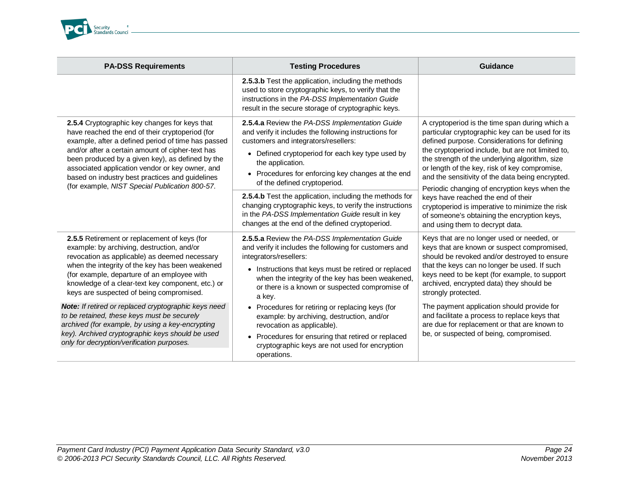

| <b>PA-DSS Requirements</b>                                                                                                                                                                                                                                                                                                                                                                                             | <b>Testing Procedures</b>                                                                                                                                                                                                                                                                                                                                                                                                                            | Guidance                                                                                                                                                                                                                                                                                                                                                                                                                                                                                                 |
|------------------------------------------------------------------------------------------------------------------------------------------------------------------------------------------------------------------------------------------------------------------------------------------------------------------------------------------------------------------------------------------------------------------------|------------------------------------------------------------------------------------------------------------------------------------------------------------------------------------------------------------------------------------------------------------------------------------------------------------------------------------------------------------------------------------------------------------------------------------------------------|----------------------------------------------------------------------------------------------------------------------------------------------------------------------------------------------------------------------------------------------------------------------------------------------------------------------------------------------------------------------------------------------------------------------------------------------------------------------------------------------------------|
|                                                                                                                                                                                                                                                                                                                                                                                                                        | 2.5.3.b Test the application, including the methods<br>used to store cryptographic keys, to verify that the<br>instructions in the PA-DSS Implementation Guide<br>result in the secure storage of cryptographic keys.                                                                                                                                                                                                                                |                                                                                                                                                                                                                                                                                                                                                                                                                                                                                                          |
| 2.5.4 Cryptographic key changes for keys that<br>have reached the end of their cryptoperiod (for<br>example, after a defined period of time has passed<br>and/or after a certain amount of cipher-text has<br>been produced by a given key), as defined by the<br>associated application vendor or key owner, and<br>based on industry best practices and guidelines<br>(for example, NIST Special Publication 800-57. | 2.5.4.a Review the PA-DSS Implementation Guide<br>and verify it includes the following instructions for<br>customers and integrators/resellers:<br>Defined cryptoperiod for each key type used by<br>$\bullet$<br>the application.<br>• Procedures for enforcing key changes at the end<br>of the defined cryptoperiod.<br><b>2.5.4.b</b> Test the application, including the methods for<br>changing cryptographic keys, to verify the instructions | A cryptoperiod is the time span during which a<br>particular cryptographic key can be used for its<br>defined purpose. Considerations for defining<br>the cryptoperiod include, but are not limited to,<br>the strength of the underlying algorithm, size<br>or length of the key, risk of key compromise,<br>and the sensitivity of the data being encrypted.<br>Periodic changing of encryption keys when the<br>keys have reached the end of their<br>cryptoperiod is imperative to minimize the risk |
|                                                                                                                                                                                                                                                                                                                                                                                                                        | in the PA-DSS Implementation Guide result in key<br>changes at the end of the defined cryptoperiod.                                                                                                                                                                                                                                                                                                                                                  | of someone's obtaining the encryption keys,<br>and using them to decrypt data.                                                                                                                                                                                                                                                                                                                                                                                                                           |
| 2.5.5 Retirement or replacement of keys (for<br>example: by archiving, destruction, and/or<br>revocation as applicable) as deemed necessary<br>when the integrity of the key has been weakened<br>(for example, departure of an employee with<br>knowledge of a clear-text key component, etc.) or<br>keys are suspected of being compromised.                                                                         | 2.5.5.a Review the PA-DSS Implementation Guide<br>and verify it includes the following for customers and<br>integrators/resellers:<br>• Instructions that keys must be retired or replaced<br>when the integrity of the key has been weakened,<br>or there is a known or suspected compromise of<br>a key.                                                                                                                                           | Keys that are no longer used or needed, or<br>keys that are known or suspect compromised,<br>should be revoked and/or destroyed to ensure<br>that the keys can no longer be used. If such<br>keys need to be kept (for example, to support<br>archived, encrypted data) they should be<br>strongly protected.                                                                                                                                                                                            |
| Note: If retired or replaced cryptographic keys need<br>to be retained, these keys must be securely<br>archived (for example, by using a key-encrypting<br>key). Archived cryptographic keys should be used<br>only for decryption/verification purposes.                                                                                                                                                              | • Procedures for retiring or replacing keys (for<br>example: by archiving, destruction, and/or<br>revocation as applicable).<br>Procedures for ensuring that retired or replaced<br>cryptographic keys are not used for encryption<br>operations.                                                                                                                                                                                                    | The payment application should provide for<br>and facilitate a process to replace keys that<br>are due for replacement or that are known to<br>be, or suspected of being, compromised.                                                                                                                                                                                                                                                                                                                   |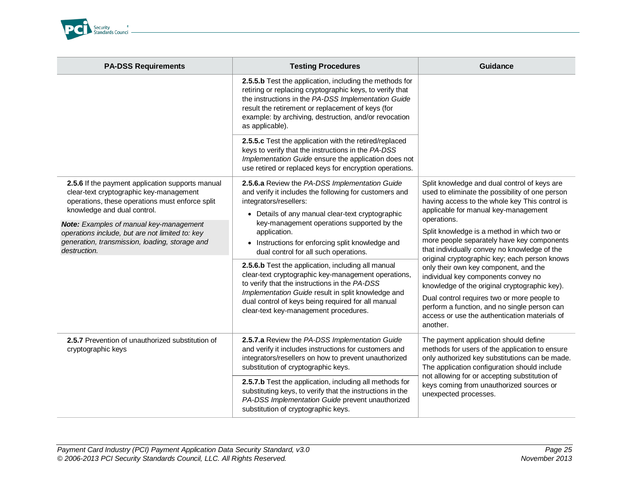

| <b>PA-DSS Requirements</b>                                                                                                                                                    | <b>Testing Procedures</b>                                                                                                                                                                                                                                                                                       | Guidance                                                                                                                                                                                                                                                                                                                                   |
|-------------------------------------------------------------------------------------------------------------------------------------------------------------------------------|-----------------------------------------------------------------------------------------------------------------------------------------------------------------------------------------------------------------------------------------------------------------------------------------------------------------|--------------------------------------------------------------------------------------------------------------------------------------------------------------------------------------------------------------------------------------------------------------------------------------------------------------------------------------------|
|                                                                                                                                                                               | 2.5.5.b Test the application, including the methods for<br>retiring or replacing cryptographic keys, to verify that<br>the instructions in the PA-DSS Implementation Guide<br>result the retirement or replacement of keys (for<br>example: by archiving, destruction, and/or revocation<br>as applicable).     |                                                                                                                                                                                                                                                                                                                                            |
|                                                                                                                                                                               | 2.5.5.c Test the application with the retired/replaced<br>keys to verify that the instructions in the PA-DSS<br>Implementation Guide ensure the application does not<br>use retired or replaced keys for encryption operations.                                                                                 |                                                                                                                                                                                                                                                                                                                                            |
| 2.5.6 If the payment application supports manual<br>clear-text cryptographic key-management<br>operations, these operations must enforce split<br>knowledge and dual control. | 2.5.6.a Review the PA-DSS Implementation Guide<br>and verify it includes the following for customers and<br>integrators/resellers:<br>• Details of any manual clear-text cryptographic                                                                                                                          | Split knowledge and dual control of keys are<br>used to eliminate the possibility of one person<br>having access to the whole key This control is<br>applicable for manual key-management                                                                                                                                                  |
| <b>Note:</b> Examples of manual key-management<br>operations include, but are not limited to: key<br>generation, transmission, loading, storage and<br>destruction.           | key-management operations supported by the<br>application.<br>• Instructions for enforcing split knowledge and<br>dual control for all such operations.                                                                                                                                                         | operations.<br>Split knowledge is a method in which two or<br>more people separately have key components<br>that individually convey no knowledge of the                                                                                                                                                                                   |
|                                                                                                                                                                               | 2.5.6.b Test the application, including all manual<br>clear-text cryptographic key-management operations,<br>to verify that the instructions in the PA-DSS<br>Implementation Guide result in split knowledge and<br>dual control of keys being required for all manual<br>clear-text key-management procedures. | original cryptographic key; each person knows<br>only their own key component, and the<br>individual key components convey no<br>knowledge of the original cryptographic key).<br>Dual control requires two or more people to<br>perform a function, and no single person can<br>access or use the authentication materials of<br>another. |
| 2.5.7 Prevention of unauthorized substitution of<br>cryptographic keys                                                                                                        | 2.5.7.a Review the PA-DSS Implementation Guide<br>and verify it includes instructions for customers and<br>integrators/resellers on how to prevent unauthorized<br>substitution of cryptographic keys.                                                                                                          | The payment application should define<br>methods for users of the application to ensure<br>only authorized key substitutions can be made.<br>The application configuration should include<br>not allowing for or accepting substitution of<br>keys coming from unauthorized sources or<br>unexpected processes.                            |
|                                                                                                                                                                               | 2.5.7.b Test the application, including all methods for<br>substituting keys, to verify that the instructions in the<br>PA-DSS Implementation Guide prevent unauthorized<br>substitution of cryptographic keys.                                                                                                 |                                                                                                                                                                                                                                                                                                                                            |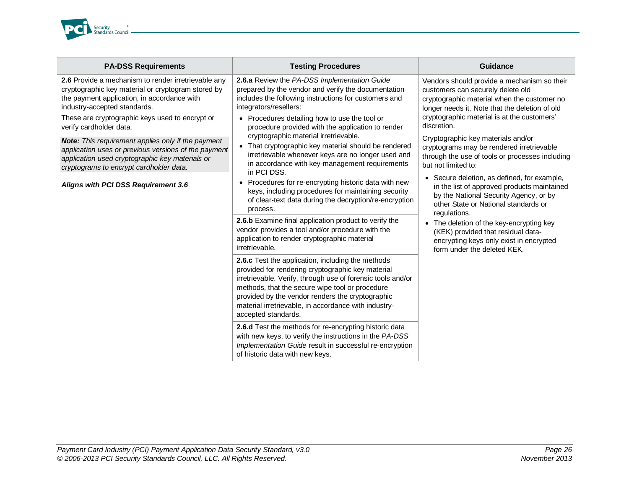

| <b>PA-DSS Requirements</b>                                                                                                                                                                                                                                             | <b>Testing Procedures</b>                                                                                                                                                                                                                                                                                                                                   | <b>Guidance</b>                                                                                                                                                                                                                                 |
|------------------------------------------------------------------------------------------------------------------------------------------------------------------------------------------------------------------------------------------------------------------------|-------------------------------------------------------------------------------------------------------------------------------------------------------------------------------------------------------------------------------------------------------------------------------------------------------------------------------------------------------------|-------------------------------------------------------------------------------------------------------------------------------------------------------------------------------------------------------------------------------------------------|
| 2.6 Provide a mechanism to render irretrievable any<br>cryptographic key material or cryptogram stored by<br>the payment application, in accordance with<br>industry-accepted standards.<br>These are cryptographic keys used to encrypt or<br>verify cardholder data. | 2.6.a Review the PA-DSS Implementation Guide<br>prepared by the vendor and verify the documentation<br>includes the following instructions for customers and<br>integrators/resellers:<br>• Procedures detailing how to use the tool or<br>procedure provided with the application to render<br>cryptographic material irretrievable.                       | Vendors should provide a mechanism so their<br>customers can securely delete old<br>cryptographic material when the customer no<br>longer needs it. Note that the deletion of old<br>cryptographic material is at the customers'<br>discretion. |
| <b>Note:</b> This requirement applies only if the payment<br>application uses or previous versions of the payment<br>application used cryptographic key materials or<br>cryptograms to encrypt cardholder data.                                                        | That cryptographic key material should be rendered<br>$\bullet$<br>irretrievable whenever keys are no longer used and<br>in accordance with key-management requirements<br>in PCI DSS.                                                                                                                                                                      | Cryptographic key materials and/or<br>cryptograms may be rendered irretrievable<br>through the use of tools or processes including<br>but not limited to:                                                                                       |
| Aligns with PCI DSS Requirement 3.6                                                                                                                                                                                                                                    | Procedures for re-encrypting historic data with new<br>$\bullet$<br>keys, including procedures for maintaining security<br>of clear-text data during the decryption/re-encryption<br>process.                                                                                                                                                               | • Secure deletion, as defined, for example,<br>in the list of approved products maintained<br>by the National Security Agency, or by<br>other State or National standards or<br>regulations.                                                    |
|                                                                                                                                                                                                                                                                        | 2.6.b Examine final application product to verify the<br>vendor provides a tool and/or procedure with the<br>application to render cryptographic material<br>irretrievable.                                                                                                                                                                                 | The deletion of the key-encrypting key<br>(KEK) provided that residual data-<br>encrypting keys only exist in encrypted<br>form under the deleted KEK.                                                                                          |
|                                                                                                                                                                                                                                                                        | 2.6.c Test the application, including the methods<br>provided for rendering cryptographic key material<br>irretrievable. Verify, through use of forensic tools and/or<br>methods, that the secure wipe tool or procedure<br>provided by the vendor renders the cryptographic<br>material irretrievable, in accordance with industry-<br>accepted standards. |                                                                                                                                                                                                                                                 |
|                                                                                                                                                                                                                                                                        | 2.6.d Test the methods for re-encrypting historic data<br>with new keys, to verify the instructions in the PA-DSS<br>Implementation Guide result in successful re-encryption<br>of historic data with new keys.                                                                                                                                             |                                                                                                                                                                                                                                                 |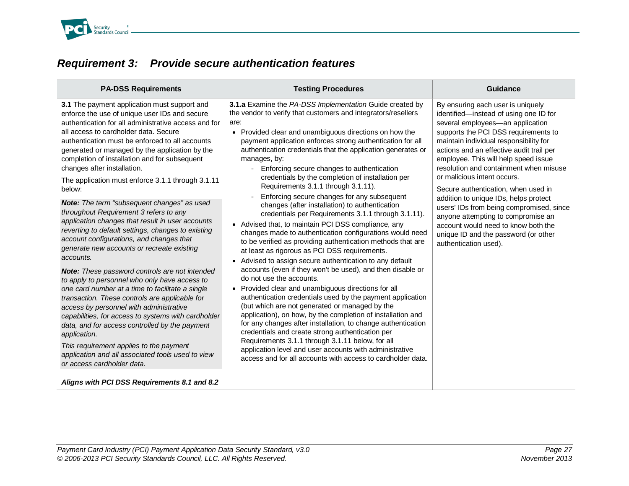

<span id="page-26-0"></span>

|  | <b>Requirement 3: Provide secure authentication features</b> |
|--|--------------------------------------------------------------|
|--|--------------------------------------------------------------|

| <b>PA-DSS Requirements</b>                                                                                                                                                                                                                                                                                                                                                                                                                                                                                                                                                                                                                                                                                                                                                                                                                                                                                                                                                                                                                                                                                                                                                                                                                                                     | <b>Testing Procedures</b>                                                                                                                                                                                                                                                                                                                                                                                                                                                                                                                                                                                                                                                                                                                                                                                                                                                                                                                                                                                                                                                                                                                                                                                                                                                                                                                                                                                                                                                                                                                                                                                                 | Guidance                                                                                                                                                                                                                                                                                                                                                                                                                                                                                                                                                                                                                                 |
|--------------------------------------------------------------------------------------------------------------------------------------------------------------------------------------------------------------------------------------------------------------------------------------------------------------------------------------------------------------------------------------------------------------------------------------------------------------------------------------------------------------------------------------------------------------------------------------------------------------------------------------------------------------------------------------------------------------------------------------------------------------------------------------------------------------------------------------------------------------------------------------------------------------------------------------------------------------------------------------------------------------------------------------------------------------------------------------------------------------------------------------------------------------------------------------------------------------------------------------------------------------------------------|---------------------------------------------------------------------------------------------------------------------------------------------------------------------------------------------------------------------------------------------------------------------------------------------------------------------------------------------------------------------------------------------------------------------------------------------------------------------------------------------------------------------------------------------------------------------------------------------------------------------------------------------------------------------------------------------------------------------------------------------------------------------------------------------------------------------------------------------------------------------------------------------------------------------------------------------------------------------------------------------------------------------------------------------------------------------------------------------------------------------------------------------------------------------------------------------------------------------------------------------------------------------------------------------------------------------------------------------------------------------------------------------------------------------------------------------------------------------------------------------------------------------------------------------------------------------------------------------------------------------------|------------------------------------------------------------------------------------------------------------------------------------------------------------------------------------------------------------------------------------------------------------------------------------------------------------------------------------------------------------------------------------------------------------------------------------------------------------------------------------------------------------------------------------------------------------------------------------------------------------------------------------------|
| 3.1 The payment application must support and<br>enforce the use of unique user IDs and secure<br>authentication for all administrative access and for<br>all access to cardholder data. Secure<br>authentication must be enforced to all accounts<br>generated or managed by the application by the<br>completion of installation and for subsequent<br>changes after installation.<br>The application must enforce 3.1.1 through 3.1.11<br>below:<br><b>Note:</b> The term "subsequent changes" as used<br>throughout Requirement 3 refers to any<br>application changes that result in user accounts<br>reverting to default settings, changes to existing<br>account configurations, and changes that<br>generate new accounts or recreate existing<br>accounts.<br>Note: These password controls are not intended<br>to apply to personnel who only have access to<br>one card number at a time to facilitate a single<br>transaction. These controls are applicable for<br>access by personnel with administrative<br>capabilities, for access to systems with cardholder<br>data, and for access controlled by the payment<br>application.<br>This requirement applies to the payment<br>application and all associated tools used to view<br>or access cardholder data. | 3.1.a Examine the PA-DSS Implementation Guide created by<br>the vendor to verify that customers and integrators/resellers<br>are:<br>Provided clear and unambiguous directions on how the<br>$\bullet$<br>payment application enforces strong authentication for all<br>authentication credentials that the application generates or<br>manages, by:<br>Enforcing secure changes to authentication<br>$\equiv$<br>credentials by the completion of installation per<br>Requirements 3.1.1 through 3.1.11).<br>Enforcing secure changes for any subsequent<br>changes (after installation) to authentication<br>credentials per Requirements 3.1.1 through 3.1.11).<br>• Advised that, to maintain PCI DSS compliance, any<br>changes made to authentication configurations would need<br>to be verified as providing authentication methods that are<br>at least as rigorous as PCI DSS requirements.<br>Advised to assign secure authentication to any default<br>$\bullet$<br>accounts (even if they won't be used), and then disable or<br>do not use the accounts.<br>Provided clear and unambiguous directions for all<br>$\bullet$<br>authentication credentials used by the payment application<br>(but which are not generated or managed by the<br>application), on how, by the completion of installation and<br>for any changes after installation, to change authentication<br>credentials and create strong authentication per<br>Requirements 3.1.1 through 3.1.11 below, for all<br>application level and user accounts with administrative<br>access and for all accounts with access to cardholder data. | By ensuring each user is uniquely<br>identified-instead of using one ID for<br>several employees-an application<br>supports the PCI DSS requirements to<br>maintain individual responsibility for<br>actions and an effective audit trail per<br>employee. This will help speed issue<br>resolution and containment when misuse<br>or malicious intent occurs.<br>Secure authentication, when used in<br>addition to unique IDs, helps protect<br>users' IDs from being compromised, since<br>anyone attempting to compromise an<br>account would need to know both the<br>unique ID and the password (or other<br>authentication used). |
| Aligns with PCI DSS Requirements 8.1 and 8.2                                                                                                                                                                                                                                                                                                                                                                                                                                                                                                                                                                                                                                                                                                                                                                                                                                                                                                                                                                                                                                                                                                                                                                                                                                   |                                                                                                                                                                                                                                                                                                                                                                                                                                                                                                                                                                                                                                                                                                                                                                                                                                                                                                                                                                                                                                                                                                                                                                                                                                                                                                                                                                                                                                                                                                                                                                                                                           |                                                                                                                                                                                                                                                                                                                                                                                                                                                                                                                                                                                                                                          |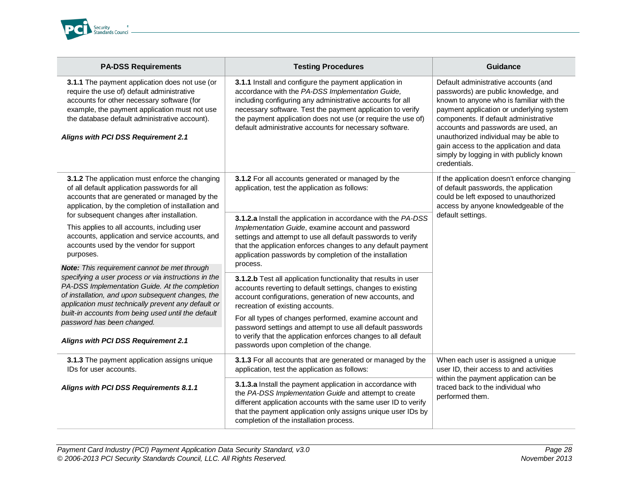

| <b>PA-DSS Requirements</b>                                                                                                                                                                                                                                                                                                                              | <b>Testing Procedures</b>                                                                                                                                                                                                                                                                                                                                        | <b>Guidance</b>                                                                                                                                                                                                                                                                                                                                                                                       |
|---------------------------------------------------------------------------------------------------------------------------------------------------------------------------------------------------------------------------------------------------------------------------------------------------------------------------------------------------------|------------------------------------------------------------------------------------------------------------------------------------------------------------------------------------------------------------------------------------------------------------------------------------------------------------------------------------------------------------------|-------------------------------------------------------------------------------------------------------------------------------------------------------------------------------------------------------------------------------------------------------------------------------------------------------------------------------------------------------------------------------------------------------|
| 3.1.1 The payment application does not use (or<br>require the use of) default administrative<br>accounts for other necessary software (for<br>example, the payment application must not use<br>the database default administrative account).<br>Aligns with PCI DSS Requirement 2.1                                                                     | 3.1.1 Install and configure the payment application in<br>accordance with the PA-DSS Implementation Guide,<br>including configuring any administrative accounts for all<br>necessary software. Test the payment application to verify<br>the payment application does not use (or require the use of)<br>default administrative accounts for necessary software. | Default administrative accounts (and<br>passwords) are public knowledge, and<br>known to anyone who is familiar with the<br>payment application or underlying system<br>components. If default administrative<br>accounts and passwords are used, an<br>unauthorized individual may be able to<br>gain access to the application and data<br>simply by logging in with publicly known<br>credentials. |
| 3.1.2 The application must enforce the changing<br>of all default application passwords for all<br>accounts that are generated or managed by the<br>application, by the completion of installation and                                                                                                                                                  | 3.1.2 For all accounts generated or managed by the<br>application, test the application as follows:                                                                                                                                                                                                                                                              | If the application doesn't enforce changing<br>of default passwords, the application<br>could be left exposed to unauthorized<br>access by anyone knowledgeable of the<br>default settings.                                                                                                                                                                                                           |
| for subsequent changes after installation.<br>This applies to all accounts, including user<br>accounts, application and service accounts, and<br>accounts used by the vendor for support<br>purposes.                                                                                                                                                   | 3.1.2.a Install the application in accordance with the PA-DSS<br>Implementation Guide, examine account and password<br>settings and attempt to use all default passwords to verify<br>that the application enforces changes to any default payment<br>application passwords by completion of the installation<br>process.                                        |                                                                                                                                                                                                                                                                                                                                                                                                       |
| Note: This requirement cannot be met through<br>specifying a user process or via instructions in the<br>PA-DSS Implementation Guide. At the completion<br>of installation, and upon subsequent changes, the<br>application must technically prevent any default or<br>built-in accounts from being used until the default<br>password has been changed. | 3.1.2.b Test all application functionality that results in user<br>accounts reverting to default settings, changes to existing<br>account configurations, generation of new accounts, and<br>recreation of existing accounts.<br>For all types of changes performed, examine account and                                                                         |                                                                                                                                                                                                                                                                                                                                                                                                       |
| Aligns with PCI DSS Requirement 2.1                                                                                                                                                                                                                                                                                                                     | password settings and attempt to use all default passwords<br>to verify that the application enforces changes to all default<br>passwords upon completion of the change.                                                                                                                                                                                         |                                                                                                                                                                                                                                                                                                                                                                                                       |
| 3.1.3 The payment application assigns unique<br>IDs for user accounts.                                                                                                                                                                                                                                                                                  | 3.1.3 For all accounts that are generated or managed by the<br>application, test the application as follows:                                                                                                                                                                                                                                                     | When each user is assigned a unique<br>user ID, their access to and activities                                                                                                                                                                                                                                                                                                                        |
| Aligns with PCI DSS Requirements 8.1.1                                                                                                                                                                                                                                                                                                                  | 3.1.3.a Install the payment application in accordance with<br>the PA-DSS Implementation Guide and attempt to create<br>different application accounts with the same user ID to verify<br>that the payment application only assigns unique user IDs by<br>completion of the installation process.                                                                 | within the payment application can be<br>traced back to the individual who<br>performed them.                                                                                                                                                                                                                                                                                                         |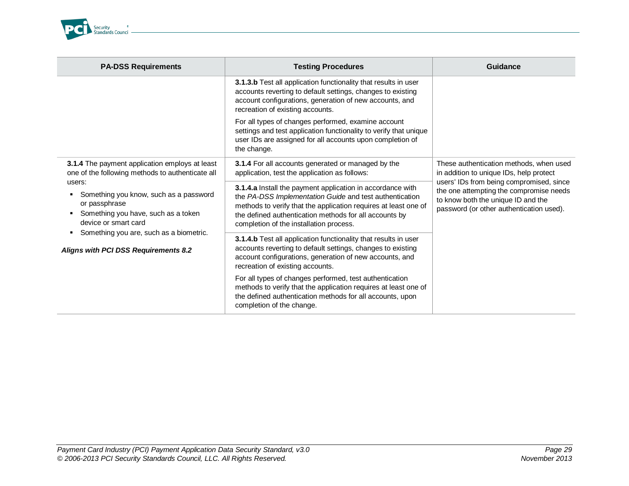

| <b>PA-DSS Requirements</b>                                                                                                                                                                                                                                                                                                | <b>Testing Procedures</b>                                                                                                                                                                                                                                                                     | Guidance                                                                                                                                                                                                                                                    |
|---------------------------------------------------------------------------------------------------------------------------------------------------------------------------------------------------------------------------------------------------------------------------------------------------------------------------|-----------------------------------------------------------------------------------------------------------------------------------------------------------------------------------------------------------------------------------------------------------------------------------------------|-------------------------------------------------------------------------------------------------------------------------------------------------------------------------------------------------------------------------------------------------------------|
|                                                                                                                                                                                                                                                                                                                           | 3.1.3.b Test all application functionality that results in user<br>accounts reverting to default settings, changes to existing<br>account configurations, generation of new accounts, and<br>recreation of existing accounts.                                                                 |                                                                                                                                                                                                                                                             |
|                                                                                                                                                                                                                                                                                                                           | For all types of changes performed, examine account<br>settings and test application functionality to verify that unique<br>user IDs are assigned for all accounts upon completion of<br>the change.                                                                                          |                                                                                                                                                                                                                                                             |
| 3.1.4 The payment application employs at least<br>one of the following methods to authenticate all<br>users:<br>Something you know, such as a password<br>or passphrase<br>Something you have, such as a token<br>device or smart card<br>Something you are, such as a biometric.<br>Aligns with PCI DSS Requirements 8.2 | 3.1.4 For all accounts generated or managed by the<br>application, test the application as follows:                                                                                                                                                                                           | These authentication methods, when used<br>in addition to unique IDs, help protect<br>users' IDs from being compromised, since<br>the one attempting the compromise needs<br>to know both the unique ID and the<br>password (or other authentication used). |
|                                                                                                                                                                                                                                                                                                                           | 3.1.4.a Install the payment application in accordance with<br>the PA-DSS Implementation Guide and test authentication<br>methods to verify that the application requires at least one of<br>the defined authentication methods for all accounts by<br>completion of the installation process. |                                                                                                                                                                                                                                                             |
|                                                                                                                                                                                                                                                                                                                           | 3.1.4.b Test all application functionality that results in user<br>accounts reverting to default settings, changes to existing<br>account configurations, generation of new accounts, and<br>recreation of existing accounts.                                                                 |                                                                                                                                                                                                                                                             |
|                                                                                                                                                                                                                                                                                                                           | For all types of changes performed, test authentication<br>methods to verify that the application requires at least one of<br>the defined authentication methods for all accounts, upon<br>completion of the change.                                                                          |                                                                                                                                                                                                                                                             |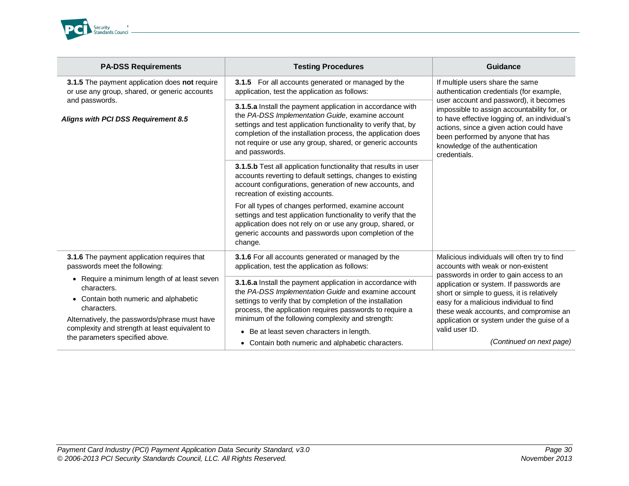

| <b>PA-DSS Requirements</b>                                                                                                                                                                                                                                           | <b>Testing Procedures</b>                                                                                                                                                                                                                                                                                                                    | Guidance                                                                                                                                                                                                                                                                                                                                                                    |
|----------------------------------------------------------------------------------------------------------------------------------------------------------------------------------------------------------------------------------------------------------------------|----------------------------------------------------------------------------------------------------------------------------------------------------------------------------------------------------------------------------------------------------------------------------------------------------------------------------------------------|-----------------------------------------------------------------------------------------------------------------------------------------------------------------------------------------------------------------------------------------------------------------------------------------------------------------------------------------------------------------------------|
| 3.1.5 The payment application does not require<br>or use any group, shared, or generic accounts                                                                                                                                                                      | For all accounts generated or managed by the<br>3.1.5<br>application, test the application as follows:                                                                                                                                                                                                                                       | If multiple users share the same<br>authentication credentials (for example,<br>user account and password), it becomes<br>impossible to assign accountability for, or<br>to have effective logging of, an individual's<br>actions, since a given action could have<br>been performed by anyone that has<br>knowledge of the authentication<br>credentials.                  |
| and passwords.<br>Aligns with PCI DSS Requirement 8.5                                                                                                                                                                                                                | 3.1.5.a Install the payment application in accordance with<br>the PA-DSS Implementation Guide, examine account<br>settings and test application functionality to verify that, by<br>completion of the installation process, the application does<br>not require or use any group, shared, or generic accounts<br>and passwords.              |                                                                                                                                                                                                                                                                                                                                                                             |
|                                                                                                                                                                                                                                                                      | 3.1.5.b Test all application functionality that results in user<br>accounts reverting to default settings, changes to existing<br>account configurations, generation of new accounts, and<br>recreation of existing accounts.                                                                                                                |                                                                                                                                                                                                                                                                                                                                                                             |
|                                                                                                                                                                                                                                                                      | For all types of changes performed, examine account<br>settings and test application functionality to verify that the<br>application does not rely on or use any group, shared, or<br>generic accounts and passwords upon completion of the<br>change.                                                                                       |                                                                                                                                                                                                                                                                                                                                                                             |
| 3.1.6 The payment application requires that<br>passwords meet the following:                                                                                                                                                                                         | 3.1.6 For all accounts generated or managed by the<br>application, test the application as follows:                                                                                                                                                                                                                                          | Malicious individuals will often try to find<br>accounts with weak or non-existent<br>passwords in order to gain access to an<br>application or system. If passwords are<br>short or simple to guess, it is relatively<br>easy for a malicious individual to find<br>these weak accounts, and compromise an<br>application or system under the guise of a<br>valid user ID. |
| Require a minimum length of at least seven<br>$\bullet$<br>characters.<br>• Contain both numeric and alphabetic<br>characters.<br>Alternatively, the passwords/phrase must have<br>complexity and strength at least equivalent to<br>the parameters specified above. | 3.1.6.a Install the payment application in accordance with<br>the PA-DSS Implementation Guide and examine account<br>settings to verify that by completion of the installation<br>process, the application requires passwords to require a<br>minimum of the following complexity and strength:<br>• Be at least seven characters in length. |                                                                                                                                                                                                                                                                                                                                                                             |
|                                                                                                                                                                                                                                                                      | • Contain both numeric and alphabetic characters.                                                                                                                                                                                                                                                                                            | (Continued on next page)                                                                                                                                                                                                                                                                                                                                                    |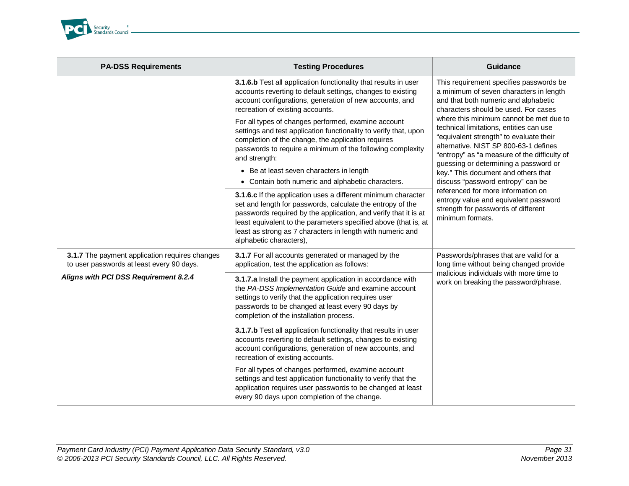

| <b>PA-DSS Requirements</b>                                                                  | <b>Testing Procedures</b>                                                                                                                                                                                                                                                                                                                                  | <b>Guidance</b>                                                                                                                                                                                                                                                                                                                                                                                                                       |
|---------------------------------------------------------------------------------------------|------------------------------------------------------------------------------------------------------------------------------------------------------------------------------------------------------------------------------------------------------------------------------------------------------------------------------------------------------------|---------------------------------------------------------------------------------------------------------------------------------------------------------------------------------------------------------------------------------------------------------------------------------------------------------------------------------------------------------------------------------------------------------------------------------------|
|                                                                                             | 3.1.6.b Test all application functionality that results in user<br>accounts reverting to default settings, changes to existing<br>account configurations, generation of new accounts, and<br>recreation of existing accounts.                                                                                                                              | This requirement specifies passwords be<br>a minimum of seven characters in length<br>and that both numeric and alphabetic<br>characters should be used. For cases<br>where this minimum cannot be met due to<br>technical limitations, entities can use<br>"equivalent strength" to evaluate their<br>alternative. NIST SP 800-63-1 defines<br>"entropy" as "a measure of the difficulty of<br>guessing or determining a password or |
|                                                                                             | For all types of changes performed, examine account<br>settings and test application functionality to verify that, upon<br>completion of the change, the application requires<br>passwords to require a minimum of the following complexity<br>and strength:                                                                                               |                                                                                                                                                                                                                                                                                                                                                                                                                                       |
|                                                                                             | • Be at least seven characters in length                                                                                                                                                                                                                                                                                                                   | key." This document and others that                                                                                                                                                                                                                                                                                                                                                                                                   |
|                                                                                             | • Contain both numeric and alphabetic characters.                                                                                                                                                                                                                                                                                                          | discuss "password entropy" can be<br>referenced for more information on                                                                                                                                                                                                                                                                                                                                                               |
|                                                                                             | 3.1.6.c If the application uses a different minimum character<br>set and length for passwords, calculate the entropy of the<br>passwords required by the application, and verify that it is at<br>least equivalent to the parameters specified above (that is, at<br>least as strong as 7 characters in length with numeric and<br>alphabetic characters), | entropy value and equivalent password<br>strength for passwords of different<br>minimum formats.                                                                                                                                                                                                                                                                                                                                      |
| 3.1.7 The payment application requires changes<br>to user passwords at least every 90 days. | 3.1.7 For all accounts generated or managed by the<br>application, test the application as follows:                                                                                                                                                                                                                                                        | Passwords/phrases that are valid for a<br>long time without being changed provide<br>malicious individuals with more time to<br>work on breaking the password/phrase.                                                                                                                                                                                                                                                                 |
| Aligns with PCI DSS Requirement 8.2.4                                                       | 3.1.7.a Install the payment application in accordance with<br>the PA-DSS Implementation Guide and examine account<br>settings to verify that the application requires user<br>passwords to be changed at least every 90 days by<br>completion of the installation process.                                                                                 |                                                                                                                                                                                                                                                                                                                                                                                                                                       |
|                                                                                             | 3.1.7.b Test all application functionality that results in user<br>accounts reverting to default settings, changes to existing<br>account configurations, generation of new accounts, and<br>recreation of existing accounts.                                                                                                                              |                                                                                                                                                                                                                                                                                                                                                                                                                                       |
|                                                                                             | For all types of changes performed, examine account<br>settings and test application functionality to verify that the<br>application requires user passwords to be changed at least<br>every 90 days upon completion of the change.                                                                                                                        |                                                                                                                                                                                                                                                                                                                                                                                                                                       |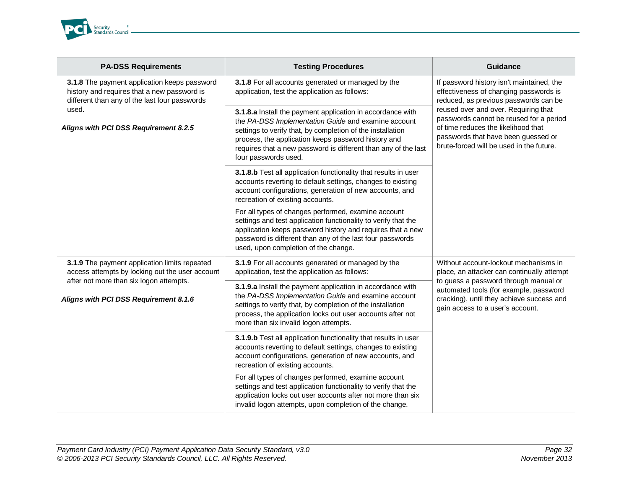

| <b>PA-DSS Requirements</b>                                                                                                                                                           | <b>Testing Procedures</b>                                                                                                                                                                                                                                                                                                        | <b>Guidance</b>                                                                                                                                                                                                                                                                                                                           |
|--------------------------------------------------------------------------------------------------------------------------------------------------------------------------------------|----------------------------------------------------------------------------------------------------------------------------------------------------------------------------------------------------------------------------------------------------------------------------------------------------------------------------------|-------------------------------------------------------------------------------------------------------------------------------------------------------------------------------------------------------------------------------------------------------------------------------------------------------------------------------------------|
| 3.1.8 The payment application keeps password<br>history and requires that a new password is<br>different than any of the last four passwords                                         | 3.1.8 For all accounts generated or managed by the<br>application, test the application as follows:                                                                                                                                                                                                                              | If password history isn't maintained, the<br>effectiveness of changing passwords is<br>reduced, as previous passwords can be<br>reused over and over. Requiring that<br>passwords cannot be reused for a period<br>of time reduces the likelihood that<br>passwords that have been guessed or<br>brute-forced will be used in the future. |
| used.<br>Aligns with PCI DSS Requirement 8.2.5                                                                                                                                       | 3.1.8.a Install the payment application in accordance with<br>the PA-DSS Implementation Guide and examine account<br>settings to verify that, by completion of the installation<br>process, the application keeps password history and<br>requires that a new password is different than any of the last<br>four passwords used. |                                                                                                                                                                                                                                                                                                                                           |
|                                                                                                                                                                                      | 3.1.8.b Test all application functionality that results in user<br>accounts reverting to default settings, changes to existing<br>account configurations, generation of new accounts, and<br>recreation of existing accounts.                                                                                                    |                                                                                                                                                                                                                                                                                                                                           |
|                                                                                                                                                                                      | For all types of changes performed, examine account<br>settings and test application functionality to verify that the<br>application keeps password history and requires that a new<br>password is different than any of the last four passwords<br>used, upon completion of the change.                                         |                                                                                                                                                                                                                                                                                                                                           |
| 3.1.9 The payment application limits repeated<br>access attempts by locking out the user account<br>after not more than six logon attempts.<br>Aligns with PCI DSS Requirement 8.1.6 | 3.1.9 For all accounts generated or managed by the<br>application, test the application as follows:                                                                                                                                                                                                                              | Without account-lockout mechanisms in<br>place, an attacker can continually attempt<br>to guess a password through manual or<br>automated tools (for example, password<br>cracking), until they achieve success and<br>gain access to a user's account.                                                                                   |
|                                                                                                                                                                                      | 3.1.9.a Install the payment application in accordance with<br>the PA-DSS Implementation Guide and examine account<br>settings to verify that, by completion of the installation<br>process, the application locks out user accounts after not<br>more than six invalid logon attempts.                                           |                                                                                                                                                                                                                                                                                                                                           |
|                                                                                                                                                                                      | 3.1.9.b Test all application functionality that results in user<br>accounts reverting to default settings, changes to existing<br>account configurations, generation of new accounts, and<br>recreation of existing accounts.                                                                                                    |                                                                                                                                                                                                                                                                                                                                           |
|                                                                                                                                                                                      | For all types of changes performed, examine account<br>settings and test application functionality to verify that the<br>application locks out user accounts after not more than six<br>invalid logon attempts, upon completion of the change.                                                                                   |                                                                                                                                                                                                                                                                                                                                           |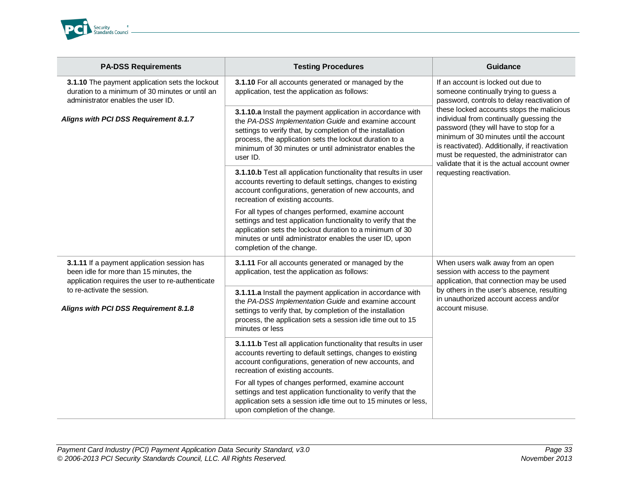

| <b>PA-DSS Requirements</b>                                                                                                                 | <b>Testing Procedures</b>                                                                                                                                                                                                                                                                                           | <b>Guidance</b>                                                                                                                                                                                                                                                                                                                                                                                                                                                                    |
|--------------------------------------------------------------------------------------------------------------------------------------------|---------------------------------------------------------------------------------------------------------------------------------------------------------------------------------------------------------------------------------------------------------------------------------------------------------------------|------------------------------------------------------------------------------------------------------------------------------------------------------------------------------------------------------------------------------------------------------------------------------------------------------------------------------------------------------------------------------------------------------------------------------------------------------------------------------------|
| 3.1.10 The payment application sets the lockout<br>duration to a minimum of 30 minutes or until an<br>administrator enables the user ID.   | 3.1.10 For all accounts generated or managed by the<br>application, test the application as follows:                                                                                                                                                                                                                | If an account is locked out due to<br>someone continually trying to guess a<br>password, controls to delay reactivation of<br>these locked accounts stops the malicious<br>individual from continually guessing the<br>password (they will have to stop for a<br>minimum of 30 minutes until the account<br>is reactivated). Additionally, if reactivation<br>must be requested, the administrator can<br>validate that it is the actual account owner<br>requesting reactivation. |
| Aligns with PCI DSS Requirement 8.1.7                                                                                                      | 3.1.10.a Install the payment application in accordance with<br>the PA-DSS Implementation Guide and examine account<br>settings to verify that, by completion of the installation<br>process, the application sets the lockout duration to a<br>minimum of 30 minutes or until administrator enables the<br>user ID. |                                                                                                                                                                                                                                                                                                                                                                                                                                                                                    |
|                                                                                                                                            | 3.1.10.b Test all application functionality that results in user<br>accounts reverting to default settings, changes to existing<br>account configurations, generation of new accounts, and<br>recreation of existing accounts.                                                                                      |                                                                                                                                                                                                                                                                                                                                                                                                                                                                                    |
|                                                                                                                                            | For all types of changes performed, examine account<br>settings and test application functionality to verify that the<br>application sets the lockout duration to a minimum of 30<br>minutes or until administrator enables the user ID, upon<br>completion of the change.                                          |                                                                                                                                                                                                                                                                                                                                                                                                                                                                                    |
| 3.1.11 If a payment application session has<br>been idle for more than 15 minutes, the<br>application requires the user to re-authenticate | 3.1.11 For all accounts generated or managed by the<br>application, test the application as follows:                                                                                                                                                                                                                | When users walk away from an open<br>session with access to the payment<br>application, that connection may be used<br>by others in the user's absence, resulting<br>in unauthorized account access and/or<br>account misuse.                                                                                                                                                                                                                                                      |
| to re-activate the session.<br>Aligns with PCI DSS Requirement 8.1.8                                                                       | 3.1.11.a Install the payment application in accordance with<br>the PA-DSS Implementation Guide and examine account<br>settings to verify that, by completion of the installation<br>process, the application sets a session idle time out to 15<br>minutes or less                                                  |                                                                                                                                                                                                                                                                                                                                                                                                                                                                                    |
|                                                                                                                                            | 3.1.11.b Test all application functionality that results in user<br>accounts reverting to default settings, changes to existing<br>account configurations, generation of new accounts, and<br>recreation of existing accounts.                                                                                      |                                                                                                                                                                                                                                                                                                                                                                                                                                                                                    |
|                                                                                                                                            | For all types of changes performed, examine account<br>settings and test application functionality to verify that the<br>application sets a session idle time out to 15 minutes or less,<br>upon completion of the change.                                                                                          |                                                                                                                                                                                                                                                                                                                                                                                                                                                                                    |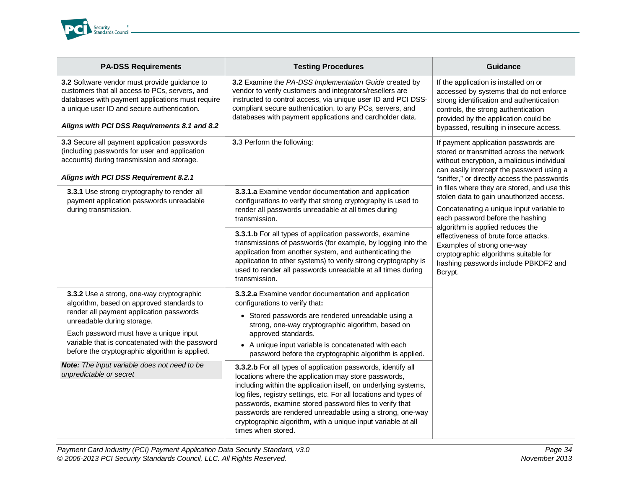

| <b>PA-DSS Requirements</b>                                                                                                                                                                                                                                                                                      | <b>Testing Procedures</b>                                                                                                                                                                                                                                                                                                                                                                                                                                                  | <b>Guidance</b>                                                                                                                                                                                                                                                                                                                                                                                                                                                                                                                                                                                               |
|-----------------------------------------------------------------------------------------------------------------------------------------------------------------------------------------------------------------------------------------------------------------------------------------------------------------|----------------------------------------------------------------------------------------------------------------------------------------------------------------------------------------------------------------------------------------------------------------------------------------------------------------------------------------------------------------------------------------------------------------------------------------------------------------------------|---------------------------------------------------------------------------------------------------------------------------------------------------------------------------------------------------------------------------------------------------------------------------------------------------------------------------------------------------------------------------------------------------------------------------------------------------------------------------------------------------------------------------------------------------------------------------------------------------------------|
| 3.2 Software vendor must provide guidance to<br>customers that all access to PCs, servers, and<br>databases with payment applications must require<br>a unique user ID and secure authentication.<br>Aligns with PCI DSS Requirements 8.1 and 8.2                                                               | 3.2 Examine the PA-DSS Implementation Guide created by<br>vendor to verify customers and integrators/resellers are<br>instructed to control access, via unique user ID and PCI DSS-<br>compliant secure authentication, to any PCs, servers, and<br>databases with payment applications and cardholder data.                                                                                                                                                               | If the application is installed on or<br>accessed by systems that do not enforce<br>strong identification and authentication<br>controls, the strong authentication<br>provided by the application could be<br>bypassed, resulting in insecure access.                                                                                                                                                                                                                                                                                                                                                        |
| 3.3 Secure all payment application passwords<br>(including passwords for user and application<br>accounts) during transmission and storage.<br>Aligns with PCI DSS Requirement 8.2.1                                                                                                                            | 3.3 Perform the following:                                                                                                                                                                                                                                                                                                                                                                                                                                                 | If payment application passwords are<br>stored or transmitted across the network<br>without encryption, a malicious individual<br>can easily intercept the password using a<br>"sniffer," or directly access the passwords<br>in files where they are stored, and use this<br>stolen data to gain unauthorized access.<br>Concatenating a unique input variable to<br>each password before the hashing<br>algorithm is applied reduces the<br>effectiveness of brute force attacks.<br>Examples of strong one-way<br>cryptographic algorithms suitable for<br>hashing passwords include PBKDF2 and<br>Bcrypt. |
| 3.3.1 Use strong cryptography to render all<br>payment application passwords unreadable<br>during transmission.                                                                                                                                                                                                 | 3.3.1.a Examine vendor documentation and application<br>configurations to verify that strong cryptography is used to<br>render all passwords unreadable at all times during<br>transmission.                                                                                                                                                                                                                                                                               |                                                                                                                                                                                                                                                                                                                                                                                                                                                                                                                                                                                                               |
|                                                                                                                                                                                                                                                                                                                 | 3.3.1.b For all types of application passwords, examine<br>transmissions of passwords (for example, by logging into the<br>application from another system, and authenticating the<br>application to other systems) to verify strong cryptography is<br>used to render all passwords unreadable at all times during<br>transmission.                                                                                                                                       |                                                                                                                                                                                                                                                                                                                                                                                                                                                                                                                                                                                                               |
| 3.3.2 Use a strong, one-way cryptographic<br>algorithm, based on approved standards to<br>render all payment application passwords<br>unreadable during storage.<br>Each password must have a unique input<br>variable that is concatenated with the password<br>before the cryptographic algorithm is applied. | 3.3.2.a Examine vendor documentation and application<br>configurations to verify that:<br>• Stored passwords are rendered unreadable using a<br>strong, one-way cryptographic algorithm, based on<br>approved standards.<br>• A unique input variable is concatenated with each<br>password before the cryptographic algorithm is applied.                                                                                                                                 |                                                                                                                                                                                                                                                                                                                                                                                                                                                                                                                                                                                                               |
| Note: The input variable does not need to be<br>unpredictable or secret                                                                                                                                                                                                                                         | 3.3.2.b For all types of application passwords, identify all<br>locations where the application may store passwords,<br>including within the application itself, on underlying systems,<br>log files, registry settings, etc. For all locations and types of<br>passwords, examine stored password files to verify that<br>passwords are rendered unreadable using a strong, one-way<br>cryptographic algorithm, with a unique input variable at all<br>times when stored. |                                                                                                                                                                                                                                                                                                                                                                                                                                                                                                                                                                                                               |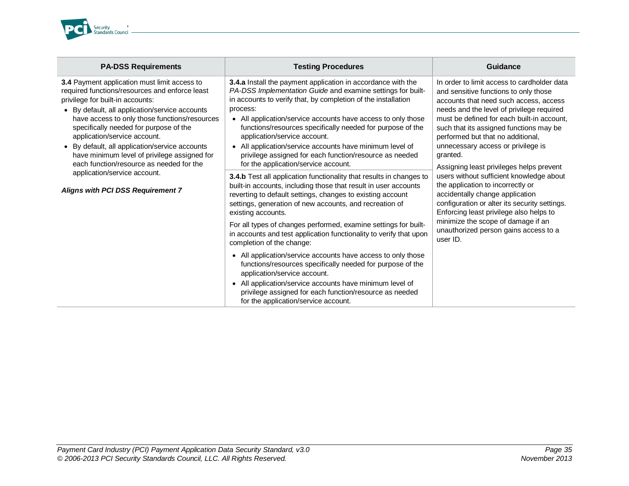

| <b>PA-DSS Requirements</b>                                                                                                                                                                                                                                                                                                                                                                                                                                    | <b>Testing Procedures</b>                                                                                                                                                                                                                                                                                                                                                                                                                                                                                                                                                                                                                                                                                                                      | Guidance                                                                                                                                                                                                                                                                                                                                                                                                                                                                                                                                                                                                                                                                                                           |
|---------------------------------------------------------------------------------------------------------------------------------------------------------------------------------------------------------------------------------------------------------------------------------------------------------------------------------------------------------------------------------------------------------------------------------------------------------------|------------------------------------------------------------------------------------------------------------------------------------------------------------------------------------------------------------------------------------------------------------------------------------------------------------------------------------------------------------------------------------------------------------------------------------------------------------------------------------------------------------------------------------------------------------------------------------------------------------------------------------------------------------------------------------------------------------------------------------------------|--------------------------------------------------------------------------------------------------------------------------------------------------------------------------------------------------------------------------------------------------------------------------------------------------------------------------------------------------------------------------------------------------------------------------------------------------------------------------------------------------------------------------------------------------------------------------------------------------------------------------------------------------------------------------------------------------------------------|
| 3.4 Payment application must limit access to<br>required functions/resources and enforce least<br>privilege for built-in accounts:<br>• By default, all application/service accounts<br>have access to only those functions/resources<br>specifically needed for purpose of the<br>application/service account.<br>• By default, all application/service accounts<br>have minimum level of privilege assigned for<br>each function/resource as needed for the | 3.4.a Install the payment application in accordance with the<br>PA-DSS Implementation Guide and examine settings for built-<br>in accounts to verify that, by completion of the installation<br>process:<br>• All application/service accounts have access to only those<br>functions/resources specifically needed for purpose of the<br>application/service account.<br>All application/service accounts have minimum level of<br>$\bullet$<br>privilege assigned for each function/resource as needed<br>for the application/service account.                                                                                                                                                                                               | In order to limit access to cardholder data<br>and sensitive functions to only those<br>accounts that need such access, access<br>needs and the level of privilege required<br>must be defined for each built-in account,<br>such that its assigned functions may be<br>performed but that no additional,<br>unnecessary access or privilege is<br>granted.<br>Assigning least privileges helps prevent<br>users without sufficient knowledge about<br>the application to incorrectly or<br>accidentally change application<br>configuration or alter its security settings.<br>Enforcing least privilege also helps to<br>minimize the scope of damage if an<br>unauthorized person gains access to a<br>user ID. |
| application/service account.<br>Aligns with PCI DSS Requirement 7                                                                                                                                                                                                                                                                                                                                                                                             | 3.4.b Test all application functionality that results in changes to<br>built-in accounts, including those that result in user accounts<br>reverting to default settings, changes to existing account<br>settings, generation of new accounts, and recreation of<br>existing accounts.<br>For all types of changes performed, examine settings for built-<br>in accounts and test application functionality to verify that upon<br>completion of the change:<br>• All application/service accounts have access to only those<br>functions/resources specifically needed for purpose of the<br>application/service account.<br>All application/service accounts have minimum level of<br>privilege assigned for each function/resource as needed |                                                                                                                                                                                                                                                                                                                                                                                                                                                                                                                                                                                                                                                                                                                    |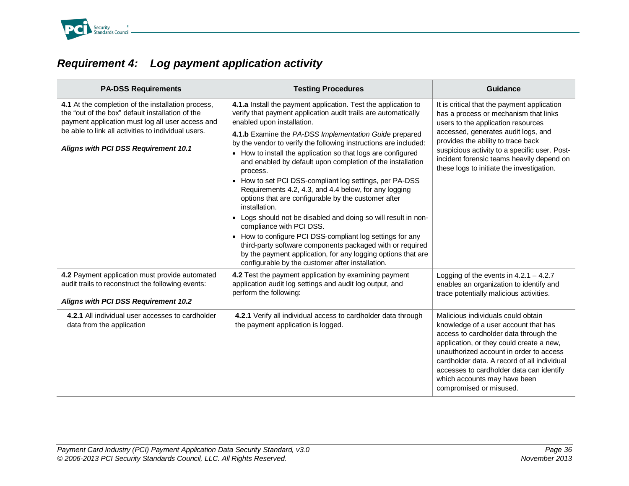

# <span id="page-35-0"></span>*Requirement 4: Log payment application activity*

| <b>PA-DSS Requirements</b>                                                                                                                                                                                                                                | <b>Testing Procedures</b>                                                                                                                                                                                                                                                                                                                                                                                                                                                                                                                                                                                                                                                                                                                                                                                    | Guidance                                                                                                                                                                                                                                                                                                                                                         |
|-----------------------------------------------------------------------------------------------------------------------------------------------------------------------------------------------------------------------------------------------------------|--------------------------------------------------------------------------------------------------------------------------------------------------------------------------------------------------------------------------------------------------------------------------------------------------------------------------------------------------------------------------------------------------------------------------------------------------------------------------------------------------------------------------------------------------------------------------------------------------------------------------------------------------------------------------------------------------------------------------------------------------------------------------------------------------------------|------------------------------------------------------------------------------------------------------------------------------------------------------------------------------------------------------------------------------------------------------------------------------------------------------------------------------------------------------------------|
| 4.1 At the completion of the installation process,<br>the "out of the box" default installation of the<br>payment application must log all user access and<br>be able to link all activities to individual users.<br>Aligns with PCI DSS Requirement 10.1 | 4.1.a Install the payment application. Test the application to<br>verify that payment application audit trails are automatically<br>enabled upon installation.                                                                                                                                                                                                                                                                                                                                                                                                                                                                                                                                                                                                                                               | It is critical that the payment application<br>has a process or mechanism that links<br>users to the application resources<br>accessed, generates audit logs, and<br>provides the ability to trace back<br>suspicious activity to a specific user. Post-<br>incident forensic teams heavily depend on<br>these logs to initiate the investigation.               |
|                                                                                                                                                                                                                                                           | 4.1.b Examine the PA-DSS Implementation Guide prepared<br>by the vendor to verify the following instructions are included:<br>• How to install the application so that logs are configured<br>and enabled by default upon completion of the installation<br>process.<br>• How to set PCI DSS-compliant log settings, per PA-DSS<br>Requirements 4.2, 4.3, and 4.4 below, for any logging<br>options that are configurable by the customer after<br>installation.<br>• Logs should not be disabled and doing so will result in non-<br>compliance with PCI DSS.<br>• How to configure PCI DSS-compliant log settings for any<br>third-party software components packaged with or required<br>by the payment application, for any logging options that are<br>configurable by the customer after installation. |                                                                                                                                                                                                                                                                                                                                                                  |
| 4.2 Payment application must provide automated<br>audit trails to reconstruct the following events:<br>Aligns with PCI DSS Requirement 10.2                                                                                                               | 4.2 Test the payment application by examining payment<br>application audit log settings and audit log output, and<br>perform the following:                                                                                                                                                                                                                                                                                                                                                                                                                                                                                                                                                                                                                                                                  | Logging of the events in $4.2.1 - 4.2.7$<br>enables an organization to identify and<br>trace potentially malicious activities.                                                                                                                                                                                                                                   |
| 4.2.1 All individual user accesses to cardholder<br>data from the application                                                                                                                                                                             | 4.2.1 Verify all individual access to cardholder data through<br>the payment application is logged.                                                                                                                                                                                                                                                                                                                                                                                                                                                                                                                                                                                                                                                                                                          | Malicious individuals could obtain<br>knowledge of a user account that has<br>access to cardholder data through the<br>application, or they could create a new,<br>unauthorized account in order to access<br>cardholder data. A record of all individual<br>accesses to cardholder data can identify<br>which accounts may have been<br>compromised or misused. |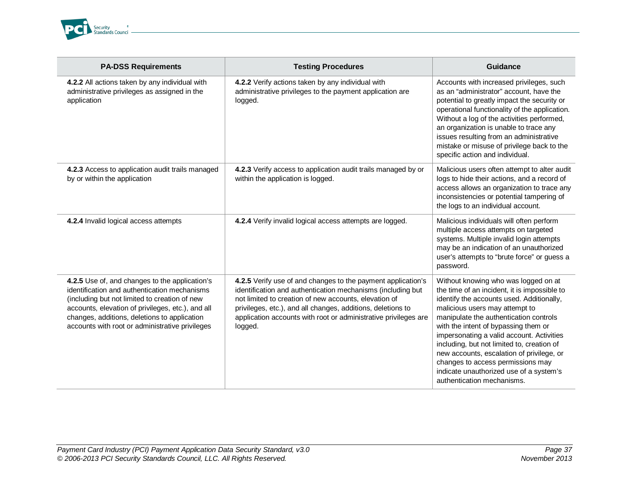

| <b>PA-DSS Requirements</b>                                                                                                                                                                                                                                                                              | <b>Testing Procedures</b>                                                                                                                                                                                                                                                                                                         | Guidance                                                                                                                                                                                                                                                                                                                                                                                                                                                                                                    |
|---------------------------------------------------------------------------------------------------------------------------------------------------------------------------------------------------------------------------------------------------------------------------------------------------------|-----------------------------------------------------------------------------------------------------------------------------------------------------------------------------------------------------------------------------------------------------------------------------------------------------------------------------------|-------------------------------------------------------------------------------------------------------------------------------------------------------------------------------------------------------------------------------------------------------------------------------------------------------------------------------------------------------------------------------------------------------------------------------------------------------------------------------------------------------------|
| 4.2.2 All actions taken by any individual with<br>administrative privileges as assigned in the<br>application                                                                                                                                                                                           | 4.2.2 Verify actions taken by any individual with<br>administrative privileges to the payment application are<br>logged.                                                                                                                                                                                                          | Accounts with increased privileges, such<br>as an "administrator" account, have the<br>potential to greatly impact the security or<br>operational functionality of the application.<br>Without a log of the activities performed,<br>an organization is unable to trace any<br>issues resulting from an administrative<br>mistake or misuse of privilege back to the<br>specific action and individual.                                                                                                     |
| 4.2.3 Access to application audit trails managed<br>by or within the application                                                                                                                                                                                                                        | 4.2.3 Verify access to application audit trails managed by or<br>within the application is logged.                                                                                                                                                                                                                                | Malicious users often attempt to alter audit<br>logs to hide their actions, and a record of<br>access allows an organization to trace any<br>inconsistencies or potential tampering of<br>the logs to an individual account.                                                                                                                                                                                                                                                                                |
| 4.2.4 Invalid logical access attempts                                                                                                                                                                                                                                                                   | 4.2.4 Verify invalid logical access attempts are logged.                                                                                                                                                                                                                                                                          | Malicious individuals will often perform<br>multiple access attempts on targeted<br>systems. Multiple invalid login attempts<br>may be an indication of an unauthorized<br>user's attempts to "brute force" or guess a<br>password.                                                                                                                                                                                                                                                                         |
| 4.2.5 Use of, and changes to the application's<br>identification and authentication mechanisms<br>(including but not limited to creation of new<br>accounts, elevation of privileges, etc.), and all<br>changes, additions, deletions to application<br>accounts with root or administrative privileges | 4.2.5 Verify use of and changes to the payment application's<br>identification and authentication mechanisms (including but<br>not limited to creation of new accounts, elevation of<br>privileges, etc.), and all changes, additions, deletions to<br>application accounts with root or administrative privileges are<br>logged. | Without knowing who was logged on at<br>the time of an incident, it is impossible to<br>identify the accounts used. Additionally,<br>malicious users may attempt to<br>manipulate the authentication controls<br>with the intent of bypassing them or<br>impersonating a valid account. Activities<br>including, but not limited to, creation of<br>new accounts, escalation of privilege, or<br>changes to access permissions may<br>indicate unauthorized use of a system's<br>authentication mechanisms. |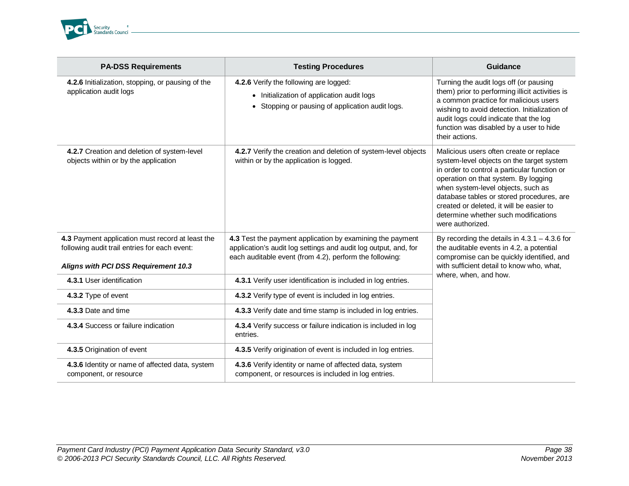

| <b>PA-DSS Requirements</b>                                                                                                                | <b>Testing Procedures</b>                                                                                                                                                               | Guidance                                                                                                                                                                                                                                                                                                                                                                |
|-------------------------------------------------------------------------------------------------------------------------------------------|-----------------------------------------------------------------------------------------------------------------------------------------------------------------------------------------|-------------------------------------------------------------------------------------------------------------------------------------------------------------------------------------------------------------------------------------------------------------------------------------------------------------------------------------------------------------------------|
| 4.2.6 Initialization, stopping, or pausing of the<br>application audit logs                                                               | 4.2.6 Verify the following are logged:<br>• Initialization of application audit logs<br>• Stopping or pausing of application audit logs.                                                | Turning the audit logs off (or pausing<br>them) prior to performing illicit activities is<br>a common practice for malicious users<br>wishing to avoid detection. Initialization of<br>audit logs could indicate that the log<br>function was disabled by a user to hide<br>their actions.                                                                              |
| 4.2.7 Creation and deletion of system-level<br>objects within or by the application                                                       | 4.2.7 Verify the creation and deletion of system-level objects<br>within or by the application is logged.                                                                               | Malicious users often create or replace<br>system-level objects on the target system<br>in order to control a particular function or<br>operation on that system. By logging<br>when system-level objects, such as<br>database tables or stored procedures, are<br>created or deleted, it will be easier to<br>determine whether such modifications<br>were authorized. |
| 4.3 Payment application must record at least the<br>following audit trail entries for each event:<br>Aligns with PCI DSS Requirement 10.3 | 4.3 Test the payment application by examining the payment<br>application's audit log settings and audit log output, and, for<br>each auditable event (from 4.2), perform the following: | By recording the details in $4.3.1 - 4.3.6$ for<br>the auditable events in 4.2, a potential<br>compromise can be quickly identified, and<br>with sufficient detail to know who, what,                                                                                                                                                                                   |
| 4.3.1 User identification                                                                                                                 | 4.3.1 Verify user identification is included in log entries.                                                                                                                            | where, when, and how.                                                                                                                                                                                                                                                                                                                                                   |
| 4.3.2 Type of event                                                                                                                       | 4.3.2 Verify type of event is included in log entries.                                                                                                                                  |                                                                                                                                                                                                                                                                                                                                                                         |
| 4.3.3 Date and time                                                                                                                       | 4.3.3 Verify date and time stamp is included in log entries.                                                                                                                            |                                                                                                                                                                                                                                                                                                                                                                         |
| 4.3.4 Success or failure indication                                                                                                       | 4.3.4 Verify success or failure indication is included in log<br>entries.                                                                                                               |                                                                                                                                                                                                                                                                                                                                                                         |
| 4.3.5 Origination of event                                                                                                                | 4.3.5 Verify origination of event is included in log entries.                                                                                                                           |                                                                                                                                                                                                                                                                                                                                                                         |
| 4.3.6 Identity or name of affected data, system<br>component, or resource                                                                 | 4.3.6 Verify identity or name of affected data, system<br>component, or resources is included in log entries.                                                                           |                                                                                                                                                                                                                                                                                                                                                                         |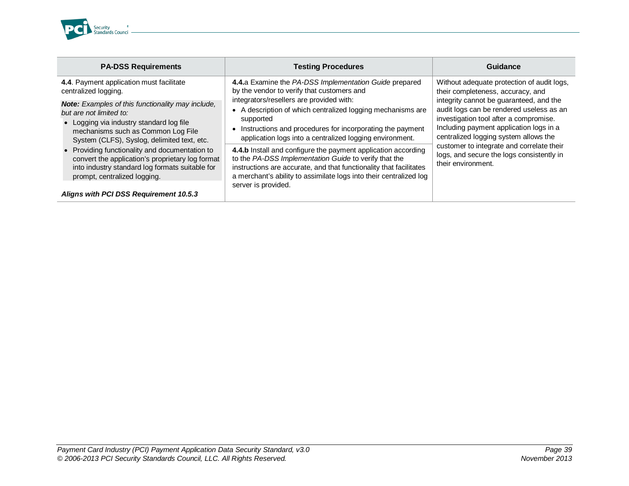

| <b>PA-DSS Requirements</b>                                                                                                                                                                                                                                                               | <b>Testing Procedures</b>                                                                                                                                                                                                                                                                                                                               | Guidance                                                                                                                                                                                                                                                                                                                                                                                                             |
|------------------------------------------------------------------------------------------------------------------------------------------------------------------------------------------------------------------------------------------------------------------------------------------|---------------------------------------------------------------------------------------------------------------------------------------------------------------------------------------------------------------------------------------------------------------------------------------------------------------------------------------------------------|----------------------------------------------------------------------------------------------------------------------------------------------------------------------------------------------------------------------------------------------------------------------------------------------------------------------------------------------------------------------------------------------------------------------|
| 4.4. Payment application must facilitate<br>centralized logging.<br><b>Note:</b> Examples of this functionality may include,<br>but are not limited to:<br>• Logging via industry standard log file<br>mechanisms such as Common Log File<br>System (CLFS), Syslog, delimited text, etc. | 4.4.a Examine the PA-DSS Implementation Guide prepared<br>by the vendor to verify that customers and<br>integrators/resellers are provided with:<br>• A description of which centralized logging mechanisms are<br>supported<br>• Instructions and procedures for incorporating the payment<br>application logs into a centralized logging environment. | Without adequate protection of audit logs,<br>their completeness, accuracy, and<br>integrity cannot be guaranteed, and the<br>audit logs can be rendered useless as an<br>investigation tool after a compromise.<br>Including payment application logs in a<br>centralized logging system allows the<br>customer to integrate and correlate their<br>logs, and secure the logs consistently in<br>their environment. |
| • Providing functionality and documentation to<br>convert the application's proprietary log format<br>into industry standard log formats suitable for<br>prompt, centralized logging.<br>Aligns with PCI DSS Requirement 10.5.3                                                          | 4.4.b Install and configure the payment application according<br>to the PA-DSS Implementation Guide to verify that the<br>instructions are accurate, and that functionality that facilitates<br>a merchant's ability to assimilate logs into their centralized log<br>server is provided.                                                               |                                                                                                                                                                                                                                                                                                                                                                                                                      |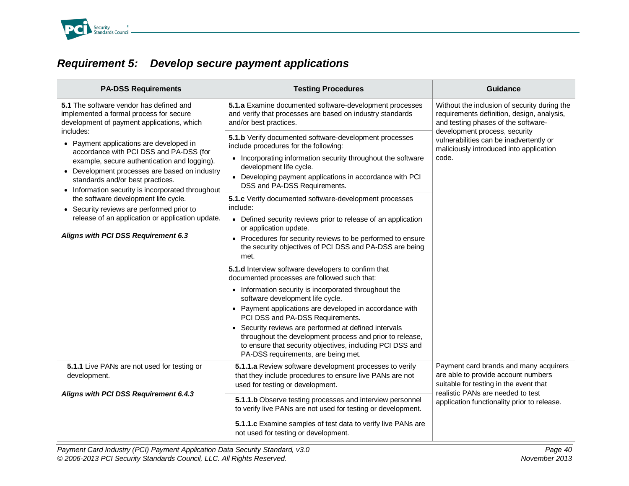

# *Requirement 5: Develop secure payment applications*

| <b>PA-DSS Requirements</b>                                                                                                                                                                                                                                                                                                        | <b>Testing Procedures</b>                                                                                                                                                                                                                                                                                                                                                                                         | <b>Guidance</b>                                                                                                                   |
|-----------------------------------------------------------------------------------------------------------------------------------------------------------------------------------------------------------------------------------------------------------------------------------------------------------------------------------|-------------------------------------------------------------------------------------------------------------------------------------------------------------------------------------------------------------------------------------------------------------------------------------------------------------------------------------------------------------------------------------------------------------------|-----------------------------------------------------------------------------------------------------------------------------------|
| 5.1 The software vendor has defined and<br>implemented a formal process for secure<br>development of payment applications, which                                                                                                                                                                                                  | 5.1.a Examine documented software-development processes<br>and verify that processes are based on industry standards<br>and/or best practices.                                                                                                                                                                                                                                                                    | Without the inclusion of security during the<br>requirements definition, design, analysis,<br>and testing phases of the software- |
| includes:<br>• Payment applications are developed in<br>accordance with PCI DSS and PA-DSS (for<br>example, secure authentication and logging).<br>• Development processes are based on industry<br>standards and/or best practices.<br>• Information security is incorporated throughout<br>the software development life cycle. | 5.1.b Verify documented software-development processes<br>include procedures for the following:<br>• Incorporating information security throughout the software<br>development life cycle.<br>• Developing payment applications in accordance with PCI<br>DSS and PA-DSS Requirements.<br>5.1.c Verify documented software-development processes<br>include:                                                      | development process, security<br>vulnerabilities can be inadvertently or<br>maliciously introduced into application<br>code.      |
| • Security reviews are performed prior to<br>release of an application or application update.<br>Aligns with PCI DSS Requirement 6.3                                                                                                                                                                                              | Defined security reviews prior to release of an application<br>or application update.<br>• Procedures for security reviews to be performed to ensure<br>the security objectives of PCI DSS and PA-DSS are being<br>met.                                                                                                                                                                                           |                                                                                                                                   |
|                                                                                                                                                                                                                                                                                                                                   | 5.1.d Interview software developers to confirm that<br>documented processes are followed such that:                                                                                                                                                                                                                                                                                                               |                                                                                                                                   |
|                                                                                                                                                                                                                                                                                                                                   | • Information security is incorporated throughout the<br>software development life cycle.<br>• Payment applications are developed in accordance with<br>PCI DSS and PA-DSS Requirements.<br>• Security reviews are performed at defined intervals<br>throughout the development process and prior to release,<br>to ensure that security objectives, including PCI DSS and<br>PA-DSS requirements, are being met. |                                                                                                                                   |
| 5.1.1 Live PANs are not used for testing or<br>development.                                                                                                                                                                                                                                                                       | 5.1.1.a Review software development processes to verify<br>that they include procedures to ensure live PANs are not<br>used for testing or development.                                                                                                                                                                                                                                                           | Payment card brands and many acquirers<br>are able to provide account numbers<br>suitable for testing in the event that           |
| Aligns with PCI DSS Requirement 6.4.3                                                                                                                                                                                                                                                                                             | 5.1.1.b Observe testing processes and interview personnel<br>to verify live PANs are not used for testing or development.                                                                                                                                                                                                                                                                                         | realistic PANs are needed to test<br>application functionality prior to release.                                                  |
|                                                                                                                                                                                                                                                                                                                                   | 5.1.1.c Examine samples of test data to verify live PANs are<br>not used for testing or development.                                                                                                                                                                                                                                                                                                              |                                                                                                                                   |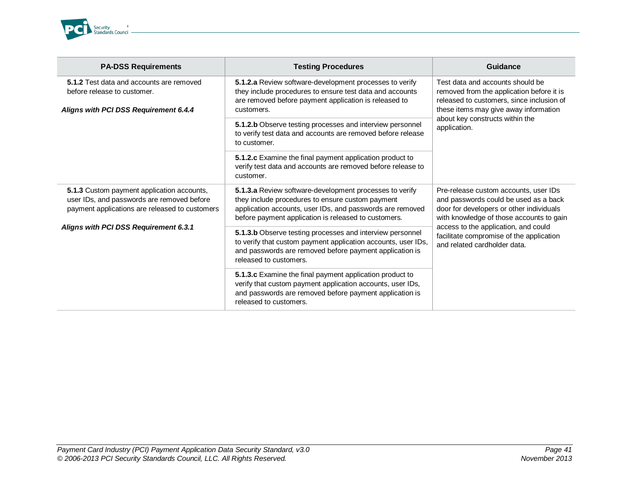

| <b>PA-DSS Requirements</b>                                                                                                                 | <b>Testing Procedures</b>                                                                                                                                                                                                        | Guidance                                                                                                                                                                                                                                                                                   |
|--------------------------------------------------------------------------------------------------------------------------------------------|----------------------------------------------------------------------------------------------------------------------------------------------------------------------------------------------------------------------------------|--------------------------------------------------------------------------------------------------------------------------------------------------------------------------------------------------------------------------------------------------------------------------------------------|
| 5.1.2 Test data and accounts are removed<br>before release to customer.<br>Aligns with PCI DSS Requirement 6.4.4                           | 5.1.2.a Review software-development processes to verify<br>they include procedures to ensure test data and accounts<br>are removed before payment application is released to<br>customers.                                       | Test data and accounts should be<br>removed from the application before it is<br>released to customers, since inclusion of<br>these items may give away information<br>about key constructs within the<br>application.                                                                     |
|                                                                                                                                            | 5.1.2.b Observe testing processes and interview personnel<br>to verify test data and accounts are removed before release<br>to customer.                                                                                         |                                                                                                                                                                                                                                                                                            |
|                                                                                                                                            | 5.1.2.c Examine the final payment application product to<br>verify test data and accounts are removed before release to<br>customer.                                                                                             |                                                                                                                                                                                                                                                                                            |
| 5.1.3 Custom payment application accounts,<br>user IDs, and passwords are removed before<br>payment applications are released to customers | 5.1.3.a Review software-development processes to verify<br>they include procedures to ensure custom payment<br>application accounts, user IDs, and passwords are removed<br>before payment application is released to customers. | Pre-release custom accounts, user IDs<br>and passwords could be used as a back<br>door for developers or other individuals<br>with knowledge of those accounts to gain<br>access to the application, and could<br>facilitate compromise of the application<br>and related cardholder data. |
| Aligns with PCI DSS Requirement 6.3.1                                                                                                      | 5.1.3.b Observe testing processes and interview personnel<br>to verify that custom payment application accounts, user IDs,<br>and passwords are removed before payment application is<br>released to customers.                  |                                                                                                                                                                                                                                                                                            |
|                                                                                                                                            | 5.1.3.c Examine the final payment application product to<br>verify that custom payment application accounts, user IDs,<br>and passwords are removed before payment application is<br>released to customers.                      |                                                                                                                                                                                                                                                                                            |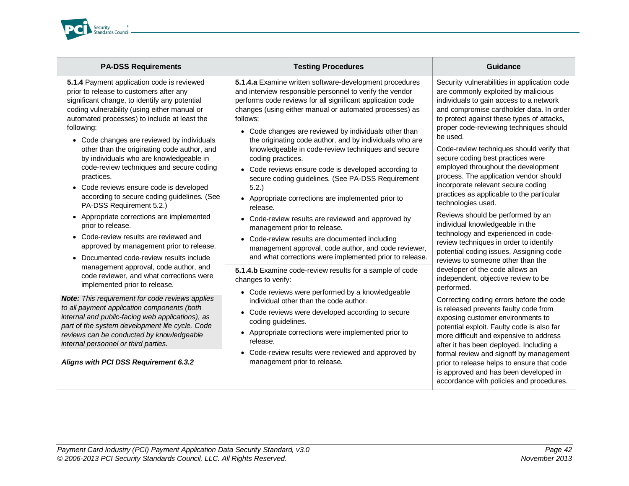

**5.1.4** Payment application code is reviewed prior to release to customers after any significant change, to identify any potential coding vulnerability (using either manual or automated processes) to include at least the following:

- Code changes are reviewed by individuals other than the originating code author, and by individuals who are knowledgeable in code-review techniques and secure coding practices.
- Code reviews ensure code is developed according to secure coding guidelines*.* (See PA-DSS Requirement 5.2.)
- Appropriate corrections are implemented prior to release.
- Code-review results are reviewed and approved by management prior to release.
- Documented code-review results include management approval, code author, and code reviewer, and what corrections were implemented prior to release.

*Note: This requirement for code reviews applies to all payment application components (both internal and public-facing web applications), as part of the system development life cycle. Code reviews can be conducted by knowledgeable internal personnel or third parties.* 

*Aligns with PCI DSS Requirement 6.3.2*

**5.1.4.a** Examine written software-development procedures and interview responsible personnel to verify the vendor performs code reviews for all significant application code changes (using either manual or automated processes) as follows:

**PACE REGISTER REGISTER REGISTER SCHOOLS REGISTER SCHOOLS AND THE CONSTRUCTION CONSTRUCTS** 

- Code changes are reviewed by individuals other than the originating code author, and by individuals who are knowledgeable in code-review techniques and secure coding practices.
- Code reviews ensure code is developed according to secure coding guidelines*.* (See PA-DSS Requirement 5.2.)
- Appropriate corrections are implemented prior to release.
- Code-review results are reviewed and approved by management prior to release.
- Code-review results are documented including management approval, code author, and code reviewer, and what corrections were implemented prior to release.

**5.1.4.b** Examine code-review results for a sample of code changes to verify:

- Code reviews were performed by a knowledgeable individual other than the code author.
- Code reviews were developed according to secure coding guidelines.
- Appropriate corrections were implemented prior to release.
- Code-review results were reviewed and approved by management prior to release.

Security vulnerabilities in application code are commonly exploited by malicious individuals to gain access to a network and compromise cardholder data. In order to protect against these types of attacks, proper code-reviewing techniques should be used.

Code-review techniques should verify that secure coding best practices were employed throughout the development process. The application vendor should incorporate relevant secure coding practices as applicable to the particular technologies used.

Reviews should be performed by an individual knowledgeable in the technology and experienced in codereview techniques in order to identify potential coding issues. Assigning code reviews to someone other than the developer of the code allows an independent, objective review to be performed.

Correcting coding errors before the code is released prevents faulty code from exposing customer environments to potential exploit. Faulty code is also far more difficult and expensive to address after it has been deployed. Including a formal review and signoff by management prior to release helps to ensure that code is approved and has been developed in accordance with policies and procedures.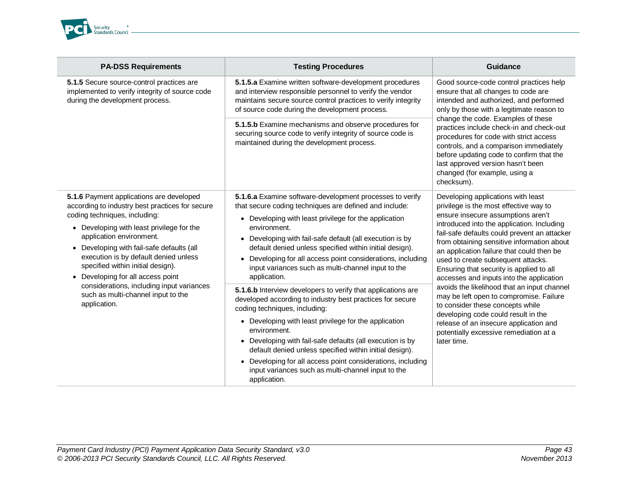

| <b>PA-DSS Requirements</b>                                                                                                                                                                                                                                                                                                                                                                                                                                                          | <b>Testing Procedures</b>                                                                                                                                                                                                                                                                                                                                                                                                                                                                                                                                                                                                                                                                                                                                                                                                                                                                                                                               | <b>Guidance</b>                                                                                                                                                                                                                                                                                                                                                                                                                                                                                                                                                                                                                                                                                                   |
|-------------------------------------------------------------------------------------------------------------------------------------------------------------------------------------------------------------------------------------------------------------------------------------------------------------------------------------------------------------------------------------------------------------------------------------------------------------------------------------|---------------------------------------------------------------------------------------------------------------------------------------------------------------------------------------------------------------------------------------------------------------------------------------------------------------------------------------------------------------------------------------------------------------------------------------------------------------------------------------------------------------------------------------------------------------------------------------------------------------------------------------------------------------------------------------------------------------------------------------------------------------------------------------------------------------------------------------------------------------------------------------------------------------------------------------------------------|-------------------------------------------------------------------------------------------------------------------------------------------------------------------------------------------------------------------------------------------------------------------------------------------------------------------------------------------------------------------------------------------------------------------------------------------------------------------------------------------------------------------------------------------------------------------------------------------------------------------------------------------------------------------------------------------------------------------|
| 5.1.5 Secure source-control practices are<br>implemented to verify integrity of source code<br>during the development process.                                                                                                                                                                                                                                                                                                                                                      | 5.1.5.a Examine written software-development procedures<br>and interview responsible personnel to verify the vendor<br>maintains secure source control practices to verify integrity<br>of source code during the development process.                                                                                                                                                                                                                                                                                                                                                                                                                                                                                                                                                                                                                                                                                                                  | Good source-code control practices help<br>ensure that all changes to code are<br>intended and authorized, and performed<br>only by those with a legitimate reason to<br>change the code. Examples of these<br>practices include check-in and check-out<br>procedures for code with strict access<br>controls, and a comparison immediately<br>before updating code to confirm that the<br>last approved version hasn't been<br>changed (for example, using a<br>checksum).                                                                                                                                                                                                                                       |
|                                                                                                                                                                                                                                                                                                                                                                                                                                                                                     | 5.1.5.b Examine mechanisms and observe procedures for<br>securing source code to verify integrity of source code is<br>maintained during the development process.                                                                                                                                                                                                                                                                                                                                                                                                                                                                                                                                                                                                                                                                                                                                                                                       |                                                                                                                                                                                                                                                                                                                                                                                                                                                                                                                                                                                                                                                                                                                   |
| 5.1.6 Payment applications are developed<br>according to industry best practices for secure<br>coding techniques, including:<br>• Developing with least privilege for the<br>application environment.<br>• Developing with fail-safe defaults (all<br>execution is by default denied unless<br>specified within initial design).<br>Developing for all access point<br>$\bullet$<br>considerations, including input variances<br>such as multi-channel input to the<br>application. | 5.1.6.a Examine software-development processes to verify<br>that secure coding techniques are defined and include:<br>• Developing with least privilege for the application<br>environment.<br>• Developing with fail-safe default (all execution is by<br>default denied unless specified within initial design).<br>Developing for all access point considerations, including<br>input variances such as multi-channel input to the<br>application.<br>5.1.6.b Interview developers to verify that applications are<br>developed according to industry best practices for secure<br>coding techniques, including:<br>• Developing with least privilege for the application<br>environment.<br>• Developing with fail-safe defaults (all execution is by<br>default denied unless specified within initial design).<br>Developing for all access point considerations, including<br>input variances such as multi-channel input to the<br>application. | Developing applications with least<br>privilege is the most effective way to<br>ensure insecure assumptions aren't<br>introduced into the application. Including<br>fail-safe defaults could prevent an attacker<br>from obtaining sensitive information about<br>an application failure that could then be<br>used to create subsequent attacks.<br>Ensuring that security is applied to all<br>accesses and inputs into the application<br>avoids the likelihood that an input channel<br>may be left open to compromise. Failure<br>to consider these concepts while<br>developing code could result in the<br>release of an insecure application and<br>potentially excessive remediation at a<br>later time. |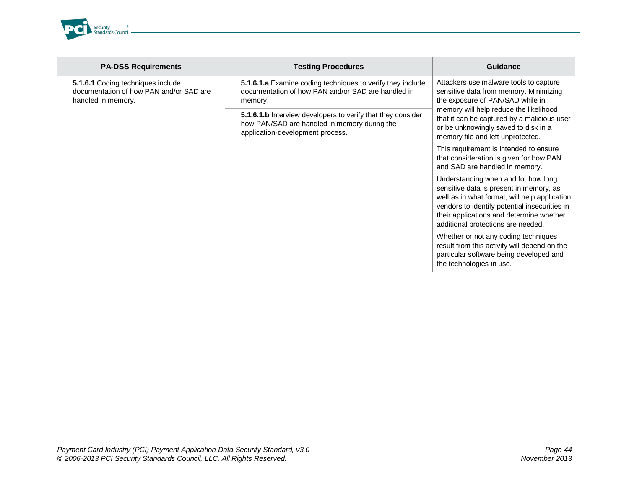

Ī

| <b>PA-DSS Requirements</b>                                                                         | <b>Testing Procedures</b>                                                                                                                       | <b>Guidance</b>                                                                                                                                                                                                                                                                            |
|----------------------------------------------------------------------------------------------------|-------------------------------------------------------------------------------------------------------------------------------------------------|--------------------------------------------------------------------------------------------------------------------------------------------------------------------------------------------------------------------------------------------------------------------------------------------|
| 5.1.6.1 Coding techniques include<br>documentation of how PAN and/or SAD are<br>handled in memory. | 5.1.6.1.a Examine coding techniques to verify they include<br>documentation of how PAN and/or SAD are handled in<br>memory.                     | Attackers use malware tools to capture<br>sensitive data from memory. Minimizing<br>the exposure of PAN/SAD while in<br>memory will help reduce the likelihood<br>that it can be captured by a malicious user<br>or be unknowingly saved to disk in a<br>memory file and left unprotected. |
|                                                                                                    | 5.1.6.1.b Interview developers to verify that they consider<br>how PAN/SAD are handled in memory during the<br>application-development process. |                                                                                                                                                                                                                                                                                            |
|                                                                                                    |                                                                                                                                                 | This requirement is intended to ensure<br>that consideration is given for how PAN<br>and SAD are handled in memory.                                                                                                                                                                        |
|                                                                                                    |                                                                                                                                                 | Understanding when and for how long<br>sensitive data is present in memory, as<br>well as in what format, will help application<br>vendors to identify potential insecurities in<br>their applications and determine whether<br>additional protections are needed.                         |
|                                                                                                    |                                                                                                                                                 | Whether or not any coding techniques<br>result from this activity will depend on the<br>particular software being developed and<br>the technologies in use.                                                                                                                                |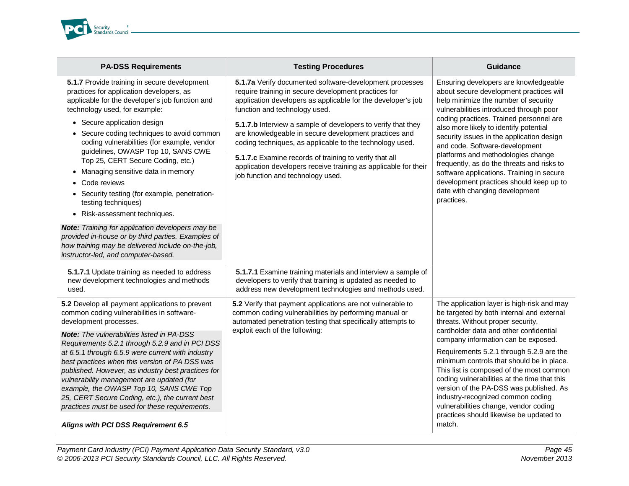

| <b>PA-DSS Requirements</b>                                                                                                                                                                                                                                                                                                                                                                                                                                     | <b>Testing Procedures</b>                                                                                                                                                                                            | <b>Guidance</b>                                                                                                                                                                                                                                                                                                                                                                              |
|----------------------------------------------------------------------------------------------------------------------------------------------------------------------------------------------------------------------------------------------------------------------------------------------------------------------------------------------------------------------------------------------------------------------------------------------------------------|----------------------------------------------------------------------------------------------------------------------------------------------------------------------------------------------------------------------|----------------------------------------------------------------------------------------------------------------------------------------------------------------------------------------------------------------------------------------------------------------------------------------------------------------------------------------------------------------------------------------------|
| 5.1.7 Provide training in secure development<br>practices for application developers, as<br>applicable for the developer's job function and<br>technology used, for example:                                                                                                                                                                                                                                                                                   | 5.1.7a Verify documented software-development processes<br>require training in secure development practices for<br>application developers as applicable for the developer's job<br>function and technology used.     | Ensuring developers are knowledgeable<br>about secure development practices will<br>help minimize the number of security<br>vulnerabilities introduced through poor                                                                                                                                                                                                                          |
| • Secure application design<br>Secure coding techniques to avoid common<br>coding vulnerabilities (for example, vendor                                                                                                                                                                                                                                                                                                                                         | 5.1.7.b Interview a sample of developers to verify that they<br>are knowledgeable in secure development practices and<br>coding techniques, as applicable to the technology used.                                    | coding practices. Trained personnel are<br>also more likely to identify potential<br>security issues in the application design<br>and code. Software-development                                                                                                                                                                                                                             |
| guidelines, OWASP Top 10, SANS CWE<br>Top 25, CERT Secure Coding, etc.)<br>Managing sensitive data in memory<br>Code reviews<br>• Security testing (for example, penetration-<br>testing techniques)<br>• Risk-assessment techniques.                                                                                                                                                                                                                          | 5.1.7.c Examine records of training to verify that all<br>application developers receive training as applicable for their<br>job function and technology used.                                                       | platforms and methodologies change<br>frequently, as do the threats and risks to<br>software applications. Training in secure<br>development practices should keep up to<br>date with changing development<br>practices.                                                                                                                                                                     |
| <b>Note:</b> Training for application developers may be<br>provided in-house or by third parties. Examples of<br>how training may be delivered include on-the-job,<br>instructor-led, and computer-based.                                                                                                                                                                                                                                                      |                                                                                                                                                                                                                      |                                                                                                                                                                                                                                                                                                                                                                                              |
| 5.1.7.1 Update training as needed to address<br>new development technologies and methods<br>used.                                                                                                                                                                                                                                                                                                                                                              | 5.1.7.1 Examine training materials and interview a sample of<br>developers to verify that training is updated as needed to<br>address new development technologies and methods used.                                 |                                                                                                                                                                                                                                                                                                                                                                                              |
| 5.2 Develop all payment applications to prevent<br>common coding vulnerabilities in software-<br>development processes.                                                                                                                                                                                                                                                                                                                                        | 5.2 Verify that payment applications are not vulnerable to<br>common coding vulnerabilities by performing manual or<br>automated penetration testing that specifically attempts to<br>exploit each of the following: | The application layer is high-risk and may<br>be targeted by both internal and external<br>threats. Without proper security,<br>cardholder data and other confidential                                                                                                                                                                                                                       |
| <b>Note:</b> The vulnerabilities listed in PA-DSS<br>Requirements 5.2.1 through 5.2.9 and in PCI DSS<br>at 6.5.1 through 6.5.9 were current with industry<br>best practices when this version of PA DSS was<br>published. However, as industry best practices for<br>vulnerability management are updated (for<br>example, the OWASP Top 10, SANS CWE Top<br>25, CERT Secure Coding, etc.), the current best<br>practices must be used for these requirements. |                                                                                                                                                                                                                      | company information can be exposed.<br>Requirements 5.2.1 through 5.2.9 are the<br>minimum controls that should be in place.<br>This list is composed of the most common<br>coding vulnerabilities at the time that this<br>version of the PA-DSS was published. As<br>industry-recognized common coding<br>vulnerabilities change, vendor coding<br>practices should likewise be updated to |
| Aligns with PCI DSS Requirement 6.5                                                                                                                                                                                                                                                                                                                                                                                                                            |                                                                                                                                                                                                                      | match.                                                                                                                                                                                                                                                                                                                                                                                       |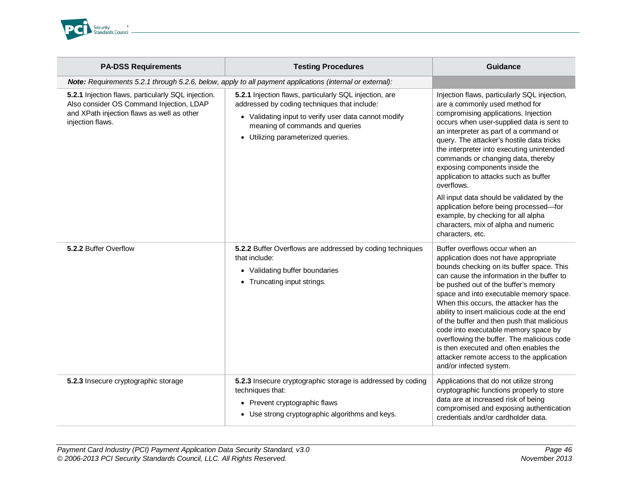

| <b>PA-DSS Requirements</b>                                                                                                                                       | <b>Testing Procedures</b>                                                                                                                                                                                                               | Guidance                                                                                                                                                                                                                                                                                                                                                                                                                                                                                                                                                                                             |
|------------------------------------------------------------------------------------------------------------------------------------------------------------------|-----------------------------------------------------------------------------------------------------------------------------------------------------------------------------------------------------------------------------------------|------------------------------------------------------------------------------------------------------------------------------------------------------------------------------------------------------------------------------------------------------------------------------------------------------------------------------------------------------------------------------------------------------------------------------------------------------------------------------------------------------------------------------------------------------------------------------------------------------|
|                                                                                                                                                                  | Note: Requirements 5.2.1 through 5.2.6, below, apply to all payment applications (internal or external):                                                                                                                                |                                                                                                                                                                                                                                                                                                                                                                                                                                                                                                                                                                                                      |
| 5.2.1 Injection flaws, particularly SQL injection.<br>Also consider OS Command Injection, LDAP<br>and XPath injection flaws as well as other<br>injection flaws. | 5.2.1 Injection flaws, particularly SQL injection, are<br>addressed by coding techniques that include:<br>• Validating input to verify user data cannot modify<br>meaning of commands and queries<br>• Utilizing parameterized queries. | Injection flaws, particularly SQL injection,<br>are a commonly used method for<br>compromising applications. Injection<br>occurs when user-supplied data is sent to<br>an interpreter as part of a command or<br>query. The attacker's hostile data tricks<br>the interpreter into executing unintended<br>commands or changing data, thereby<br>exposing components inside the<br>application to attacks such as buffer<br>overflows.                                                                                                                                                               |
|                                                                                                                                                                  |                                                                                                                                                                                                                                         | All input data should be validated by the<br>application before being processed-for<br>example, by checking for all alpha<br>characters, mix of alpha and numeric<br>characters, etc.                                                                                                                                                                                                                                                                                                                                                                                                                |
| 5.2.2 Buffer Overflow                                                                                                                                            | 5.2.2 Buffer Overflows are addressed by coding techniques<br>that include:<br>• Validating buffer boundaries<br>• Truncating input strings.                                                                                             | Buffer overflows occur when an<br>application does not have appropriate<br>bounds checking on its buffer space. This<br>can cause the information in the buffer to<br>be pushed out of the buffer's memory<br>space and into executable memory space.<br>When this occurs, the attacker has the<br>ability to insert malicious code at the end<br>of the buffer and then push that malicious<br>code into executable memory space by<br>overflowing the buffer. The malicious code<br>is then executed and often enables the<br>attacker remote access to the application<br>and/or infected system. |
| 5.2.3 Insecure cryptographic storage                                                                                                                             | 5.2.3 Insecure cryptographic storage is addressed by coding<br>techniques that:<br>• Prevent cryptographic flaws<br>• Use strong cryptographic algorithms and keys.                                                                     | Applications that do not utilize strong<br>cryptographic functions properly to store<br>data are at increased risk of being<br>compromised and exposing authentication<br>credentials and/or cardholder data.                                                                                                                                                                                                                                                                                                                                                                                        |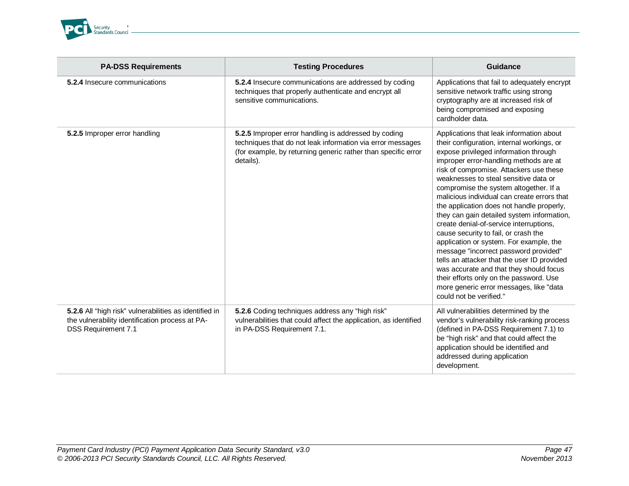

| <b>PA-DSS Requirements</b>                                                                                                              | <b>Testing Procedures</b>                                                                                                                                                                        | Guidance                                                                                                                                                                                                                                                                                                                                                                                                                                                                                                                                                                                                                                                                                                                                                                                                                            |
|-----------------------------------------------------------------------------------------------------------------------------------------|--------------------------------------------------------------------------------------------------------------------------------------------------------------------------------------------------|-------------------------------------------------------------------------------------------------------------------------------------------------------------------------------------------------------------------------------------------------------------------------------------------------------------------------------------------------------------------------------------------------------------------------------------------------------------------------------------------------------------------------------------------------------------------------------------------------------------------------------------------------------------------------------------------------------------------------------------------------------------------------------------------------------------------------------------|
| 5.2.4 Insecure communications                                                                                                           | 5.2.4 Insecure communications are addressed by coding<br>techniques that properly authenticate and encrypt all<br>sensitive communications.                                                      | Applications that fail to adequately encrypt<br>sensitive network traffic using strong<br>cryptography are at increased risk of<br>being compromised and exposing<br>cardholder data.                                                                                                                                                                                                                                                                                                                                                                                                                                                                                                                                                                                                                                               |
| 5.2.5 Improper error handling                                                                                                           | 5.2.5 Improper error handling is addressed by coding<br>techniques that do not leak information via error messages<br>(for example, by returning generic rather than specific error<br>details). | Applications that leak information about<br>their configuration, internal workings, or<br>expose privileged information through<br>improper error-handling methods are at<br>risk of compromise. Attackers use these<br>weaknesses to steal sensitive data or<br>compromise the system altogether. If a<br>malicious individual can create errors that<br>the application does not handle properly,<br>they can gain detailed system information,<br>create denial-of-service interruptions,<br>cause security to fail, or crash the<br>application or system. For example, the<br>message "incorrect password provided"<br>tells an attacker that the user ID provided<br>was accurate and that they should focus<br>their efforts only on the password. Use<br>more generic error messages, like "data<br>could not be verified." |
| 5.2.6 All "high risk" vulnerabilities as identified in<br>the vulnerability identification process at PA-<br><b>DSS Requirement 7.1</b> | 5.2.6 Coding techniques address any "high risk"<br>vulnerabilities that could affect the application, as identified<br>in PA-DSS Requirement 7.1.                                                | All vulnerabilities determined by the<br>vendor's vulnerability risk-ranking process<br>(defined in PA-DSS Requirement 7.1) to<br>be "high risk" and that could affect the<br>application should be identified and<br>addressed during application<br>development.                                                                                                                                                                                                                                                                                                                                                                                                                                                                                                                                                                  |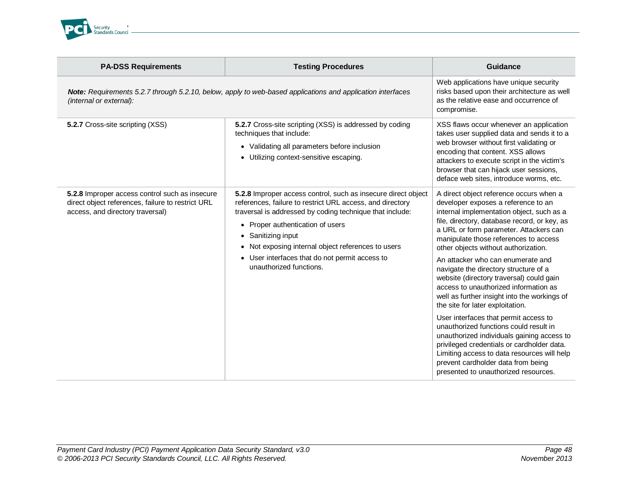

| <b>PA-DSS Requirements</b>                                                                                                                   | <b>Testing Procedures</b>                                                                                                                                                                                                                                                                                                                                                         | Guidance                                                                                                                                                                                                                                                                                                                                                                                                                                                                                                                                                                                                                                                                                                                                                                                                                                                                  |
|----------------------------------------------------------------------------------------------------------------------------------------------|-----------------------------------------------------------------------------------------------------------------------------------------------------------------------------------------------------------------------------------------------------------------------------------------------------------------------------------------------------------------------------------|---------------------------------------------------------------------------------------------------------------------------------------------------------------------------------------------------------------------------------------------------------------------------------------------------------------------------------------------------------------------------------------------------------------------------------------------------------------------------------------------------------------------------------------------------------------------------------------------------------------------------------------------------------------------------------------------------------------------------------------------------------------------------------------------------------------------------------------------------------------------------|
| <b>Note:</b> Requirements 5.2.7 through 5.2.10, below, apply to web-based applications and application interfaces<br>(internal or external): |                                                                                                                                                                                                                                                                                                                                                                                   | Web applications have unique security<br>risks based upon their architecture as well<br>as the relative ease and occurrence of<br>compromise.                                                                                                                                                                                                                                                                                                                                                                                                                                                                                                                                                                                                                                                                                                                             |
| 5.2.7 Cross-site scripting (XSS)                                                                                                             | 5.2.7 Cross-site scripting (XSS) is addressed by coding<br>techniques that include:<br>• Validating all parameters before inclusion<br>• Utilizing context-sensitive escaping.                                                                                                                                                                                                    | XSS flaws occur whenever an application<br>takes user supplied data and sends it to a<br>web browser without first validating or<br>encoding that content. XSS allows<br>attackers to execute script in the victim's<br>browser that can hijack user sessions,<br>deface web sites, introduce worms, etc.                                                                                                                                                                                                                                                                                                                                                                                                                                                                                                                                                                 |
| 5.2.8 Improper access control such as insecure<br>direct object references, failure to restrict URL<br>access, and directory traversal)      | 5.2.8 Improper access control, such as insecure direct object<br>references, failure to restrict URL access, and directory<br>traversal is addressed by coding technique that include:<br>• Proper authentication of users<br>• Sanitizing input<br>Not exposing internal object references to users<br>• User interfaces that do not permit access to<br>unauthorized functions. | A direct object reference occurs when a<br>developer exposes a reference to an<br>internal implementation object, such as a<br>file, directory, database record, or key, as<br>a URL or form parameter. Attackers can<br>manipulate those references to access<br>other objects without authorization.<br>An attacker who can enumerate and<br>navigate the directory structure of a<br>website (directory traversal) could gain<br>access to unauthorized information as<br>well as further insight into the workings of<br>the site for later exploitation.<br>User interfaces that permit access to<br>unauthorized functions could result in<br>unauthorized individuals gaining access to<br>privileged credentials or cardholder data.<br>Limiting access to data resources will help<br>prevent cardholder data from being<br>presented to unauthorized resources. |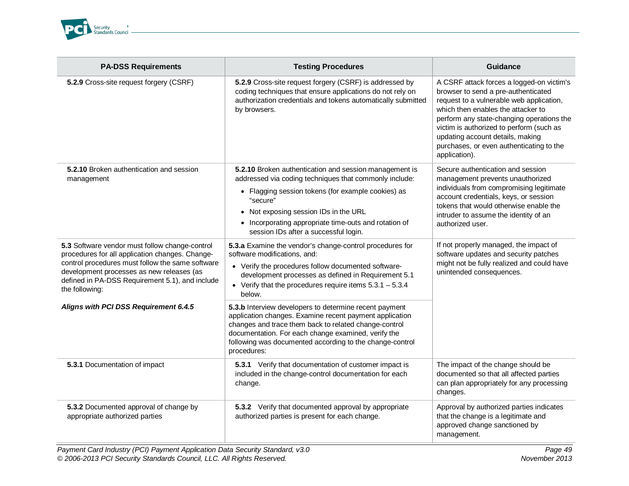

| <b>PA-DSS Requirements</b>                                                                                                                                                                                                                                              | <b>Testing Procedures</b>                                                                                                                                                                                                                                                                                                     | Guidance                                                                                                                                                                                                                                                                                                                                                     |
|-------------------------------------------------------------------------------------------------------------------------------------------------------------------------------------------------------------------------------------------------------------------------|-------------------------------------------------------------------------------------------------------------------------------------------------------------------------------------------------------------------------------------------------------------------------------------------------------------------------------|--------------------------------------------------------------------------------------------------------------------------------------------------------------------------------------------------------------------------------------------------------------------------------------------------------------------------------------------------------------|
| 5.2.9 Cross-site request forgery (CSRF)                                                                                                                                                                                                                                 | 5.2.9 Cross-site request forgery (CSRF) is addressed by<br>coding techniques that ensure applications do not rely on<br>authorization credentials and tokens automatically submitted<br>by browsers.                                                                                                                          | A CSRF attack forces a logged-on victim's<br>browser to send a pre-authenticated<br>request to a vulnerable web application,<br>which then enables the attacker to<br>perform any state-changing operations the<br>victim is authorized to perform (such as<br>updating account details, making<br>purchases, or even authenticating to the<br>application). |
| 5.2.10 Broken authentication and session<br>management                                                                                                                                                                                                                  | 5.2.10 Broken authentication and session management is<br>addressed via coding techniques that commonly include:<br>• Flagging session tokens (for example cookies) as<br>"secure"<br>• Not exposing session IDs in the URL<br>• Incorporating appropriate time-outs and rotation of<br>session IDs after a successful login. | Secure authentication and session<br>management prevents unauthorized<br>individuals from compromising legitimate<br>account credentials, keys, or session<br>tokens that would otherwise enable the<br>intruder to assume the identity of an<br>authorized user.                                                                                            |
| 5.3 Software vendor must follow change-control<br>procedures for all application changes. Change-<br>control procedures must follow the same software<br>development processes as new releases (as<br>defined in PA-DSS Requirement 5.1), and include<br>the following: | 5.3.a Examine the vendor's change-control procedures for<br>software modifications, and:<br>• Verify the procedures follow documented software-<br>development processes as defined in Requirement 5.1<br>• Verify that the procedures require items $5.3.1 - 5.3.4$<br>below.                                                | If not properly managed, the impact of<br>software updates and security patches<br>might not be fully realized and could have<br>unintended consequences.                                                                                                                                                                                                    |
| Aligns with PCI DSS Requirement 6.4.5                                                                                                                                                                                                                                   | 5.3.b Interview developers to determine recent payment<br>application changes. Examine recent payment application<br>changes and trace them back to related change-control<br>documentation. For each change examined, verify the<br>following was documented according to the change-control<br>procedures:                  |                                                                                                                                                                                                                                                                                                                                                              |
| 5.3.1 Documentation of impact                                                                                                                                                                                                                                           | 5.3.1 Verify that documentation of customer impact is<br>included in the change-control documentation for each<br>change.                                                                                                                                                                                                     | The impact of the change should be<br>documented so that all affected parties<br>can plan appropriately for any processing<br>changes.                                                                                                                                                                                                                       |
| 5.3.2 Documented approval of change by<br>appropriate authorized parties                                                                                                                                                                                                | 5.3.2 Verify that documented approval by appropriate<br>authorized parties is present for each change.                                                                                                                                                                                                                        | Approval by authorized parties indicates<br>that the change is a legitimate and<br>approved change sanctioned by<br>management.                                                                                                                                                                                                                              |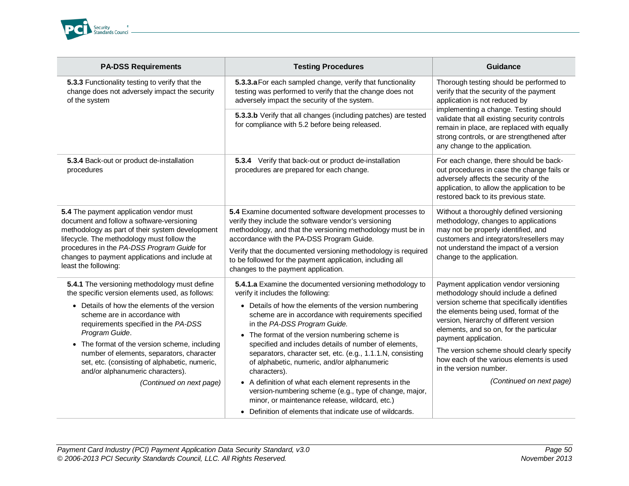

| <b>PA-DSS Requirements</b>                                                                                                                                                                                                                                                                                                                                                                                                                                | <b>Testing Procedures</b>                                                                                                                                                                                                                                                                                                                                                                                                                                                                                                                                                                                                                                                                                                 | Guidance                                                                                                                                                                                                                                                                                                                                                                                                                            |
|-----------------------------------------------------------------------------------------------------------------------------------------------------------------------------------------------------------------------------------------------------------------------------------------------------------------------------------------------------------------------------------------------------------------------------------------------------------|---------------------------------------------------------------------------------------------------------------------------------------------------------------------------------------------------------------------------------------------------------------------------------------------------------------------------------------------------------------------------------------------------------------------------------------------------------------------------------------------------------------------------------------------------------------------------------------------------------------------------------------------------------------------------------------------------------------------------|-------------------------------------------------------------------------------------------------------------------------------------------------------------------------------------------------------------------------------------------------------------------------------------------------------------------------------------------------------------------------------------------------------------------------------------|
| 5.3.3 Functionality testing to verify that the<br>change does not adversely impact the security<br>of the system                                                                                                                                                                                                                                                                                                                                          | 5.3.3.a For each sampled change, verify that functionality<br>testing was performed to verify that the change does not<br>adversely impact the security of the system.                                                                                                                                                                                                                                                                                                                                                                                                                                                                                                                                                    | Thorough testing should be performed to<br>verify that the security of the payment<br>application is not reduced by                                                                                                                                                                                                                                                                                                                 |
|                                                                                                                                                                                                                                                                                                                                                                                                                                                           | 5.3.3.b Verify that all changes (including patches) are tested<br>for compliance with 5.2 before being released.                                                                                                                                                                                                                                                                                                                                                                                                                                                                                                                                                                                                          | implementing a change. Testing should<br>validate that all existing security controls<br>remain in place, are replaced with equally<br>strong controls, or are strengthened after<br>any change to the application.                                                                                                                                                                                                                 |
| 5.3.4 Back-out or product de-installation<br>procedures                                                                                                                                                                                                                                                                                                                                                                                                   | 5.3.4 Verify that back-out or product de-installation<br>procedures are prepared for each change.                                                                                                                                                                                                                                                                                                                                                                                                                                                                                                                                                                                                                         | For each change, there should be back-<br>out procedures in case the change fails or<br>adversely affects the security of the<br>application, to allow the application to be<br>restored back to its previous state.                                                                                                                                                                                                                |
| 5.4 The payment application vendor must<br>document and follow a software-versioning<br>methodology as part of their system development<br>lifecycle. The methodology must follow the<br>procedures in the PA-DSS Program Guide for<br>changes to payment applications and include at<br>least the following:                                                                                                                                             | 5.4 Examine documented software development processes to<br>verify they include the software vendor's versioning<br>methodology, and that the versioning methodology must be in<br>accordance with the PA-DSS Program Guide.<br>Verify that the documented versioning methodology is required<br>to be followed for the payment application, including all<br>changes to the payment application.                                                                                                                                                                                                                                                                                                                         | Without a thoroughly defined versioning<br>methodology, changes to applications<br>may not be properly identified, and<br>customers and integrators/resellers may<br>not understand the impact of a version<br>change to the application.                                                                                                                                                                                           |
| 5.4.1 The versioning methodology must define<br>the specific version elements used, as follows:<br>• Details of how the elements of the version<br>scheme are in accordance with<br>requirements specified in the PA-DSS<br>Program Guide.<br>• The format of the version scheme, including<br>number of elements, separators, character<br>set, etc. (consisting of alphabetic, numeric,<br>and/or alphanumeric characters).<br>(Continued on next page) | 5.4.1.a Examine the documented versioning methodology to<br>verify it includes the following:<br>• Details of how the elements of the version numbering<br>scheme are in accordance with requirements specified<br>in the PA-DSS Program Guide.<br>• The format of the version numbering scheme is<br>specified and includes details of number of elements,<br>separators, character set, etc. (e.g., 1.1.1.N, consisting<br>of alphabetic, numeric, and/or alphanumeric<br>characters).<br>• A definition of what each element represents in the<br>version-numbering scheme (e.g., type of change, major,<br>minor, or maintenance release, wildcard, etc.)<br>• Definition of elements that indicate use of wildcards. | Payment application vendor versioning<br>methodology should include a defined<br>version scheme that specifically identifies<br>the elements being used, format of the<br>version, hierarchy of different version<br>elements, and so on, for the particular<br>payment application.<br>The version scheme should clearly specify<br>how each of the various elements is used<br>in the version number.<br>(Continued on next page) |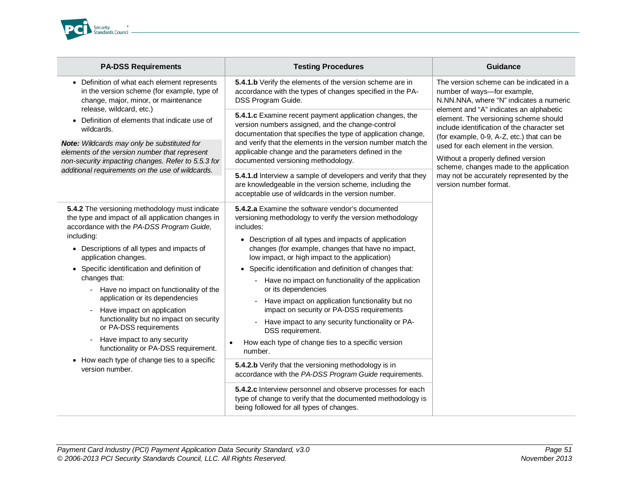

| <b>PA-DSS Requirements</b>                                                                                                                                                                                                                                                                                                                                                                                                                                                                                                                                                                                                     | <b>Testing Procedures</b>                                                                                                                                                                                                                                                                                                                                                                                                                                                                                                                                                                                                                                                                                                                                                                                                                                                                                                                                                | <b>Guidance</b>                                                                                                                                                                                                                                                                                                                                                              |
|--------------------------------------------------------------------------------------------------------------------------------------------------------------------------------------------------------------------------------------------------------------------------------------------------------------------------------------------------------------------------------------------------------------------------------------------------------------------------------------------------------------------------------------------------------------------------------------------------------------------------------|--------------------------------------------------------------------------------------------------------------------------------------------------------------------------------------------------------------------------------------------------------------------------------------------------------------------------------------------------------------------------------------------------------------------------------------------------------------------------------------------------------------------------------------------------------------------------------------------------------------------------------------------------------------------------------------------------------------------------------------------------------------------------------------------------------------------------------------------------------------------------------------------------------------------------------------------------------------------------|------------------------------------------------------------------------------------------------------------------------------------------------------------------------------------------------------------------------------------------------------------------------------------------------------------------------------------------------------------------------------|
| • Definition of what each element represents<br>in the version scheme (for example, type of<br>change, major, minor, or maintenance                                                                                                                                                                                                                                                                                                                                                                                                                                                                                            | 5.4.1.b Verify the elements of the version scheme are in<br>accordance with the types of changes specified in the PA-<br>DSS Program Guide.                                                                                                                                                                                                                                                                                                                                                                                                                                                                                                                                                                                                                                                                                                                                                                                                                              | The version scheme can be indicated in a<br>number of ways-for example,<br>N.NN.NNA, where "N" indicates a numeric                                                                                                                                                                                                                                                           |
| release, wildcard, etc.)<br>• Definition of elements that indicate use of<br>wildcards.<br>Note: Wildcards may only be substituted for<br>elements of the version number that represent<br>non-security impacting changes. Refer to 5.5.3 for<br>additional requirements on the use of wildcards.                                                                                                                                                                                                                                                                                                                              | 5.4.1.c Examine recent payment application changes, the<br>version numbers assigned, and the change-control<br>documentation that specifies the type of application change,<br>and verify that the elements in the version number match the<br>applicable change and the parameters defined in the<br>documented versioning methodology.<br>5.4.1.d Interview a sample of developers and verify that they<br>are knowledgeable in the version scheme, including the<br>acceptable use of wildcards in the version number.                                                                                                                                                                                                                                                                                                                                                                                                                                                | element and "A" indicates an alphabetic<br>element. The versioning scheme should<br>include identification of the character set<br>(for example, 0-9, A-Z, etc.) that can be<br>used for each element in the version.<br>Without a properly defined version<br>scheme, changes made to the application<br>may not be accurately represented by the<br>version number format. |
| 5.4.2 The versioning methodology must indicate<br>the type and impact of all application changes in<br>accordance with the PA-DSS Program Guide,<br>including:<br>• Descriptions of all types and impacts of<br>application changes.<br>• Specific identification and definition of<br>changes that:<br>Have no impact on functionality of the<br>application or its dependencies<br>Have impact on application<br>functionality but no impact on security<br>or PA-DSS requirements<br>Have impact to any security<br>functionality or PA-DSS requirement.<br>• How each type of change ties to a specific<br>version number. | 5.4.2.a Examine the software vendor's documented<br>versioning methodology to verify the version methodology<br>includes:<br>• Description of all types and impacts of application<br>changes (for example, changes that have no impact,<br>low impact, or high impact to the application)<br>• Specific identification and definition of changes that:<br>Have no impact on functionality of the application<br>or its dependencies<br>Have impact on application functionality but no<br>impact on security or PA-DSS requirements<br>Have impact to any security functionality or PA-<br>DSS requirement.<br>How each type of change ties to a specific version<br>number.<br>5.4.2.b Verify that the versioning methodology is in<br>accordance with the PA-DSS Program Guide requirements.<br>5.4.2.c Interview personnel and observe processes for each<br>type of change to verify that the documented methodology is<br>being followed for all types of changes. |                                                                                                                                                                                                                                                                                                                                                                              |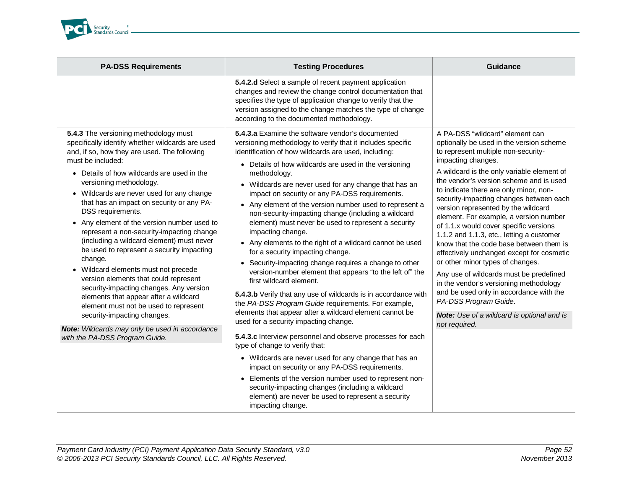

| <b>PA-DSS Requirements</b>                                                                                                                                                                                                                                                                                                                                                                                                                                                                                                                                                                                                                                                                                                                                                                                      | <b>Testing Procedures</b>                                                                                                                                                                                                                                                                                                                                                                                                                                                                                                                                                                                                                                                                                                                                                                                                                                                                                                                                                                                                              | <b>Guidance</b>                                                                                                                                                                                                                                                                                                                                                                                                                                                                                                                                                                                                                                                                                                                                                                                                                                           |
|-----------------------------------------------------------------------------------------------------------------------------------------------------------------------------------------------------------------------------------------------------------------------------------------------------------------------------------------------------------------------------------------------------------------------------------------------------------------------------------------------------------------------------------------------------------------------------------------------------------------------------------------------------------------------------------------------------------------------------------------------------------------------------------------------------------------|----------------------------------------------------------------------------------------------------------------------------------------------------------------------------------------------------------------------------------------------------------------------------------------------------------------------------------------------------------------------------------------------------------------------------------------------------------------------------------------------------------------------------------------------------------------------------------------------------------------------------------------------------------------------------------------------------------------------------------------------------------------------------------------------------------------------------------------------------------------------------------------------------------------------------------------------------------------------------------------------------------------------------------------|-----------------------------------------------------------------------------------------------------------------------------------------------------------------------------------------------------------------------------------------------------------------------------------------------------------------------------------------------------------------------------------------------------------------------------------------------------------------------------------------------------------------------------------------------------------------------------------------------------------------------------------------------------------------------------------------------------------------------------------------------------------------------------------------------------------------------------------------------------------|
|                                                                                                                                                                                                                                                                                                                                                                                                                                                                                                                                                                                                                                                                                                                                                                                                                 | 5.4.2.d Select a sample of recent payment application<br>changes and review the change control documentation that<br>specifies the type of application change to verify that the<br>version assigned to the change matches the type of change<br>according to the documented methodology.                                                                                                                                                                                                                                                                                                                                                                                                                                                                                                                                                                                                                                                                                                                                              |                                                                                                                                                                                                                                                                                                                                                                                                                                                                                                                                                                                                                                                                                                                                                                                                                                                           |
| 5.4.3 The versioning methodology must<br>specifically identify whether wildcards are used<br>and, if so, how they are used. The following<br>must be included:<br>Details of how wildcards are used in the<br>$\bullet$<br>versioning methodology.<br>• Wildcards are never used for any change<br>that has an impact on security or any PA-<br>DSS requirements.<br>• Any element of the version number used to<br>represent a non-security-impacting change<br>(including a wildcard element) must never<br>be used to represent a security impacting<br>change.<br>• Wildcard elements must not precede<br>version elements that could represent<br>security-impacting changes. Any version<br>elements that appear after a wildcard<br>element must not be used to represent<br>security-impacting changes. | 5.4.3.a Examine the software vendor's documented<br>versioning methodology to verify that it includes specific<br>identification of how wildcards are used, including:<br>• Details of how wildcards are used in the versioning<br>methodology.<br>• Wildcards are never used for any change that has an<br>impact on security or any PA-DSS requirements.<br>• Any element of the version number used to represent a<br>non-security-impacting change (including a wildcard<br>element) must never be used to represent a security<br>impacting change.<br>• Any elements to the right of a wildcard cannot be used<br>for a security impacting change.<br>• Security-impacting change requires a change to other<br>version-number element that appears "to the left of" the<br>first wildcard element.<br>5.4.3.b Verify that any use of wildcards is in accordance with<br>the PA-DSS Program Guide requirements. For example,<br>elements that appear after a wildcard element cannot be<br>used for a security impacting change. | A PA-DSS "wildcard" element can<br>optionally be used in the version scheme<br>to represent multiple non-security-<br>impacting changes.<br>A wildcard is the only variable element of<br>the vendor's version scheme and is used<br>to indicate there are only minor, non-<br>security-impacting changes between each<br>version represented by the wildcard<br>element. For example, a version number<br>of 1.1.x would cover specific versions<br>1.1.2 and 1.1.3, etc., letting a customer<br>know that the code base between them is<br>effectively unchanged except for cosmetic<br>or other minor types of changes.<br>Any use of wildcards must be predefined<br>in the vendor's versioning methodology<br>and be used only in accordance with the<br>PA-DSS Program Guide.<br><b>Note:</b> Use of a wildcard is optional and is<br>not required. |
| Note: Wildcards may only be used in accordance<br>with the PA-DSS Program Guide.                                                                                                                                                                                                                                                                                                                                                                                                                                                                                                                                                                                                                                                                                                                                | 5.4.3.c Interview personnel and observe processes for each<br>type of change to verify that:<br>• Wildcards are never used for any change that has an<br>impact on security or any PA-DSS requirements.<br>• Elements of the version number used to represent non-<br>security-impacting changes (including a wildcard<br>element) are never be used to represent a security<br>impacting change.                                                                                                                                                                                                                                                                                                                                                                                                                                                                                                                                                                                                                                      |                                                                                                                                                                                                                                                                                                                                                                                                                                                                                                                                                                                                                                                                                                                                                                                                                                                           |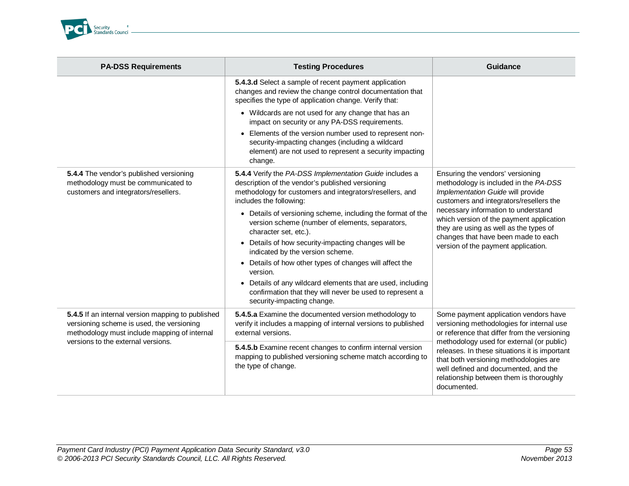

| <b>PA-DSS Requirements</b>                                                                                                                                                           | <b>Testing Procedures</b>                                                                                                                                                                          | Guidance                                                                                                                                                                                                                                                                                                                                                                     |
|--------------------------------------------------------------------------------------------------------------------------------------------------------------------------------------|----------------------------------------------------------------------------------------------------------------------------------------------------------------------------------------------------|------------------------------------------------------------------------------------------------------------------------------------------------------------------------------------------------------------------------------------------------------------------------------------------------------------------------------------------------------------------------------|
|                                                                                                                                                                                      | 5.4.3.d Select a sample of recent payment application<br>changes and review the change control documentation that<br>specifies the type of application change. Verify that:                        |                                                                                                                                                                                                                                                                                                                                                                              |
|                                                                                                                                                                                      | • Wildcards are not used for any change that has an<br>impact on security or any PA-DSS requirements.                                                                                              |                                                                                                                                                                                                                                                                                                                                                                              |
|                                                                                                                                                                                      | • Elements of the version number used to represent non-<br>security-impacting changes (including a wildcard<br>element) are not used to represent a security impacting<br>change.                  |                                                                                                                                                                                                                                                                                                                                                                              |
| 5.4.4 The vendor's published versioning<br>methodology must be communicated to<br>customers and integrators/resellers.                                                               | 5.4.4 Verify the PA-DSS Implementation Guide includes a<br>description of the vendor's published versioning<br>methodology for customers and integrators/resellers, and<br>includes the following: | Ensuring the vendors' versioning<br>methodology is included in the PA-DSS<br>Implementation Guide will provide<br>customers and integrators/resellers the<br>necessary information to understand<br>which version of the payment application<br>they are using as well as the types of<br>changes that have been made to each<br>version of the payment application.         |
|                                                                                                                                                                                      | • Details of versioning scheme, including the format of the<br>version scheme (number of elements, separators,<br>character set, etc.).                                                            |                                                                                                                                                                                                                                                                                                                                                                              |
|                                                                                                                                                                                      | • Details of how security-impacting changes will be<br>indicated by the version scheme.                                                                                                            |                                                                                                                                                                                                                                                                                                                                                                              |
|                                                                                                                                                                                      | • Details of how other types of changes will affect the<br>version.                                                                                                                                |                                                                                                                                                                                                                                                                                                                                                                              |
|                                                                                                                                                                                      | • Details of any wildcard elements that are used, including<br>confirmation that they will never be used to represent a<br>security-impacting change.                                              |                                                                                                                                                                                                                                                                                                                                                                              |
| 5.4.5 If an internal version mapping to published<br>versioning scheme is used, the versioning<br>methodology must include mapping of internal<br>versions to the external versions. | 5.4.5.a Examine the documented version methodology to<br>verify it includes a mapping of internal versions to published<br>external versions.                                                      | Some payment application vendors have<br>versioning methodologies for internal use<br>or reference that differ from the versioning<br>methodology used for external (or public)<br>releases. In these situations it is important<br>that both versioning methodologies are<br>well defined and documented, and the<br>relationship between them is thoroughly<br>documented. |
|                                                                                                                                                                                      | 5.4.5.b Examine recent changes to confirm internal version<br>mapping to published versioning scheme match according to<br>the type of change.                                                     |                                                                                                                                                                                                                                                                                                                                                                              |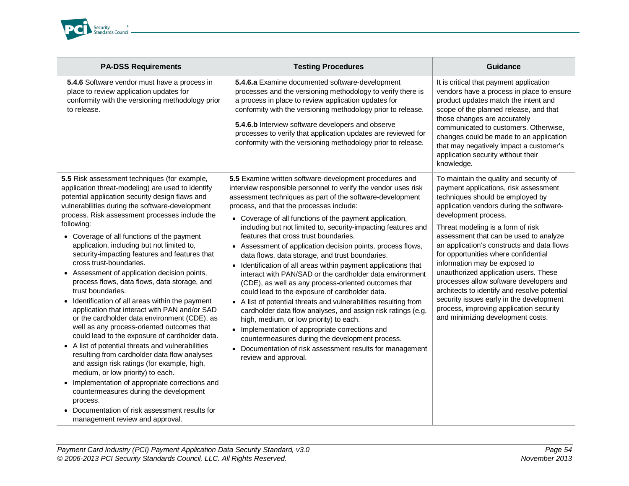

| <b>PA-DSS Requirements</b>                                                                                                                                                                                                                                                                                                                                                                                                                                                                                                                                                                                                                                                                                                                                                                                                                                                                                                                                                                                                                                                                                                                                                                                     | <b>Testing Procedures</b>                                                                                                                                                                                                                                                                                                                                                                                                                                                                                                                                                                                                                                                                                                                                                                                                                                                                                                                                                                                                                                                                                                                   | <b>Guidance</b>                                                                                                                                                                                                                                                                                                                                                                                                                                                                                                                                                                                                                                                |
|----------------------------------------------------------------------------------------------------------------------------------------------------------------------------------------------------------------------------------------------------------------------------------------------------------------------------------------------------------------------------------------------------------------------------------------------------------------------------------------------------------------------------------------------------------------------------------------------------------------------------------------------------------------------------------------------------------------------------------------------------------------------------------------------------------------------------------------------------------------------------------------------------------------------------------------------------------------------------------------------------------------------------------------------------------------------------------------------------------------------------------------------------------------------------------------------------------------|---------------------------------------------------------------------------------------------------------------------------------------------------------------------------------------------------------------------------------------------------------------------------------------------------------------------------------------------------------------------------------------------------------------------------------------------------------------------------------------------------------------------------------------------------------------------------------------------------------------------------------------------------------------------------------------------------------------------------------------------------------------------------------------------------------------------------------------------------------------------------------------------------------------------------------------------------------------------------------------------------------------------------------------------------------------------------------------------------------------------------------------------|----------------------------------------------------------------------------------------------------------------------------------------------------------------------------------------------------------------------------------------------------------------------------------------------------------------------------------------------------------------------------------------------------------------------------------------------------------------------------------------------------------------------------------------------------------------------------------------------------------------------------------------------------------------|
| 5.4.6 Software vendor must have a process in<br>place to review application updates for<br>conformity with the versioning methodology prior<br>to release.                                                                                                                                                                                                                                                                                                                                                                                                                                                                                                                                                                                                                                                                                                                                                                                                                                                                                                                                                                                                                                                     | 5.4.6.a Examine documented software-development<br>processes and the versioning methodology to verify there is<br>a process in place to review application updates for<br>conformity with the versioning methodology prior to release.                                                                                                                                                                                                                                                                                                                                                                                                                                                                                                                                                                                                                                                                                                                                                                                                                                                                                                      | It is critical that payment application<br>vendors have a process in place to ensure<br>product updates match the intent and<br>scope of the planned release, and that<br>those changes are accurately                                                                                                                                                                                                                                                                                                                                                                                                                                                         |
|                                                                                                                                                                                                                                                                                                                                                                                                                                                                                                                                                                                                                                                                                                                                                                                                                                                                                                                                                                                                                                                                                                                                                                                                                | 5.4.6.b Interview software developers and observe<br>processes to verify that application updates are reviewed for<br>conformity with the versioning methodology prior to release.                                                                                                                                                                                                                                                                                                                                                                                                                                                                                                                                                                                                                                                                                                                                                                                                                                                                                                                                                          | communicated to customers. Otherwise,<br>changes could be made to an application<br>that may negatively impact a customer's<br>application security without their<br>knowledge.                                                                                                                                                                                                                                                                                                                                                                                                                                                                                |
| 5.5 Risk assessment techniques (for example,<br>application threat-modeling) are used to identify<br>potential application security design flaws and<br>vulnerabilities during the software-development<br>process. Risk assessment processes include the<br>following:<br>• Coverage of all functions of the payment<br>application, including but not limited to,<br>security-impacting features and features that<br>cross trust-boundaries.<br>• Assessment of application decision points,<br>process flows, data flows, data storage, and<br>trust boundaries.<br>• Identification of all areas within the payment<br>application that interact with PAN and/or SAD<br>or the cardholder data environment (CDE), as<br>well as any process-oriented outcomes that<br>could lead to the exposure of cardholder data.<br>• A list of potential threats and vulnerabilities<br>resulting from cardholder data flow analyses<br>and assign risk ratings (for example, high,<br>medium, or low priority) to each.<br>• Implementation of appropriate corrections and<br>countermeasures during the development<br>process.<br>Documentation of risk assessment results for<br>management review and approval. | 5.5 Examine written software-development procedures and<br>interview responsible personnel to verify the vendor uses risk<br>assessment techniques as part of the software-development<br>process, and that the processes include:<br>• Coverage of all functions of the payment application,<br>including but not limited to, security-impacting features and<br>features that cross trust boundaries.<br>• Assessment of application decision points, process flows,<br>data flows, data storage, and trust boundaries.<br>• Identification of all areas within payment applications that<br>interact with PAN/SAD or the cardholder data environment<br>(CDE), as well as any process-oriented outcomes that<br>could lead to the exposure of cardholder data.<br>• A list of potential threats and vulnerabilities resulting from<br>cardholder data flow analyses, and assign risk ratings (e.g.<br>high, medium, or low priority) to each.<br>• Implementation of appropriate corrections and<br>countermeasures during the development process.<br>• Documentation of risk assessment results for management<br>review and approval. | To maintain the quality and security of<br>payment applications, risk assessment<br>techniques should be employed by<br>application vendors during the software-<br>development process.<br>Threat modeling is a form of risk<br>assessment that can be used to analyze<br>an application's constructs and data flows<br>for opportunities where confidential<br>information may be exposed to<br>unauthorized application users. These<br>processes allow software developers and<br>architects to identify and resolve potential<br>security issues early in the development<br>process, improving application security<br>and minimizing development costs. |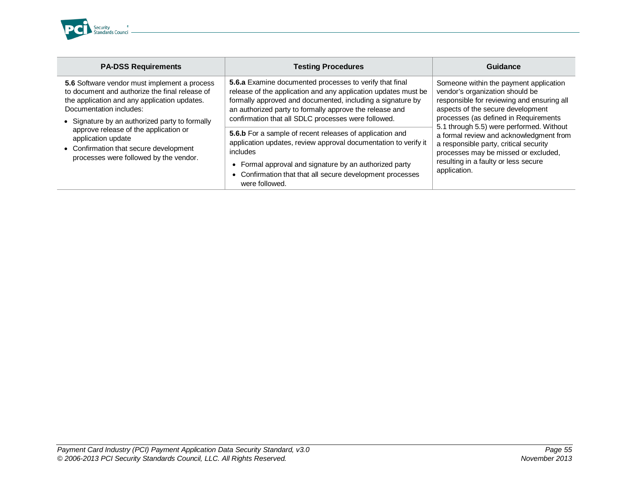

| <b>PA-DSS Requirements</b>                                                                                                                                                                                                  | <b>Testing Procedures</b>                                                                                                                                                                                                                                                                                        | Guidance                                                                                                                                                                                                                                                                                                                                                                                                                               |
|-----------------------------------------------------------------------------------------------------------------------------------------------------------------------------------------------------------------------------|------------------------------------------------------------------------------------------------------------------------------------------------------------------------------------------------------------------------------------------------------------------------------------------------------------------|----------------------------------------------------------------------------------------------------------------------------------------------------------------------------------------------------------------------------------------------------------------------------------------------------------------------------------------------------------------------------------------------------------------------------------------|
| 5.6 Software vendor must implement a process<br>to document and authorize the final release of<br>the application and any application updates.<br>Documentation includes:<br>• Signature by an authorized party to formally | <b>5.6.a</b> Examine documented processes to verify that final<br>release of the application and any application updates must be<br>formally approved and documented, including a signature by<br>an authorized party to formally approve the release and<br>confirmation that all SDLC processes were followed. | Someone within the payment application<br>vendor's organization should be<br>responsible for reviewing and ensuring all<br>aspects of the secure development<br>processes (as defined in Requirements<br>5.1 through 5.5) were performed. Without<br>a formal review and acknowledgment from<br>a responsible party, critical security<br>processes may be missed or excluded,<br>resulting in a faulty or less secure<br>application. |
| approve release of the application or<br>application update<br>• Confirmation that secure development<br>processes were followed by the vendor.                                                                             | 5.6.b For a sample of recent releases of application and<br>application updates, review approval documentation to verify it<br>includes<br>Formal approval and signature by an authorized party<br>Confirmation that that all secure development processes<br>were followed.                                     |                                                                                                                                                                                                                                                                                                                                                                                                                                        |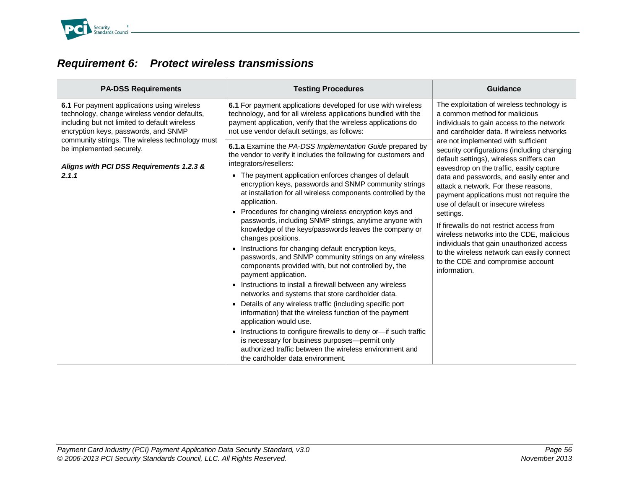

## *Requirement 6: Protect wireless transmissions*

| <b>PA-DSS Requirements</b>                                                                                                                                                           | <b>Testing Procedures</b>                                                                                                                                                                                                                                                                                                                                                                                                                                                                                                                                                                                                                                                                                                                                                                                                                                                                                                                                                                                                                                                                                                                                                                                                                          | <b>Guidance</b>                                                                                                                                                                                                                                                                                                                                                                                                                                                                                                                                                                                          |
|--------------------------------------------------------------------------------------------------------------------------------------------------------------------------------------|----------------------------------------------------------------------------------------------------------------------------------------------------------------------------------------------------------------------------------------------------------------------------------------------------------------------------------------------------------------------------------------------------------------------------------------------------------------------------------------------------------------------------------------------------------------------------------------------------------------------------------------------------------------------------------------------------------------------------------------------------------------------------------------------------------------------------------------------------------------------------------------------------------------------------------------------------------------------------------------------------------------------------------------------------------------------------------------------------------------------------------------------------------------------------------------------------------------------------------------------------|----------------------------------------------------------------------------------------------------------------------------------------------------------------------------------------------------------------------------------------------------------------------------------------------------------------------------------------------------------------------------------------------------------------------------------------------------------------------------------------------------------------------------------------------------------------------------------------------------------|
| 6.1 For payment applications using wireless<br>technology, change wireless vendor defaults,<br>including but not limited to default wireless<br>encryption keys, passwords, and SNMP | 6.1 For payment applications developed for use with wireless<br>technology, and for all wireless applications bundled with the<br>payment application, verify that the wireless applications do<br>not use vendor default settings, as follows:                                                                                                                                                                                                                                                                                                                                                                                                                                                                                                                                                                                                                                                                                                                                                                                                                                                                                                                                                                                                    | The exploitation of wireless technology is<br>a common method for malicious<br>individuals to gain access to the network<br>and cardholder data. If wireless networks                                                                                                                                                                                                                                                                                                                                                                                                                                    |
| community strings. The wireless technology must<br>be implemented securely.<br>Aligns with PCI DSS Requirements 1.2.3 &<br>2.1.1                                                     | 6.1.a Examine the PA-DSS Implementation Guide prepared by<br>the vendor to verify it includes the following for customers and<br>integrators/resellers:<br>• The payment application enforces changes of default<br>encryption keys, passwords and SNMP community strings<br>at installation for all wireless components controlled by the<br>application.<br>Procedures for changing wireless encryption keys and<br>passwords, including SNMP strings, anytime anyone with<br>knowledge of the keys/passwords leaves the company or<br>changes positions.<br>• Instructions for changing default encryption keys,<br>passwords, and SNMP community strings on any wireless<br>components provided with, but not controlled by, the<br>payment application.<br>• Instructions to install a firewall between any wireless<br>networks and systems that store cardholder data.<br>Details of any wireless traffic (including specific port<br>information) that the wireless function of the payment<br>application would use.<br>• Instructions to configure firewalls to deny or-if such traffic<br>is necessary for business purposes-permit only<br>authorized traffic between the wireless environment and<br>the cardholder data environment. | are not implemented with sufficient<br>security configurations (including changing<br>default settings), wireless sniffers can<br>eavesdrop on the traffic, easily capture<br>data and passwords, and easily enter and<br>attack a network. For these reasons,<br>payment applications must not require the<br>use of default or insecure wireless<br>settings.<br>If firewalls do not restrict access from<br>wireless networks into the CDE, malicious<br>individuals that gain unauthorized access<br>to the wireless network can easily connect<br>to the CDE and compromise account<br>information. |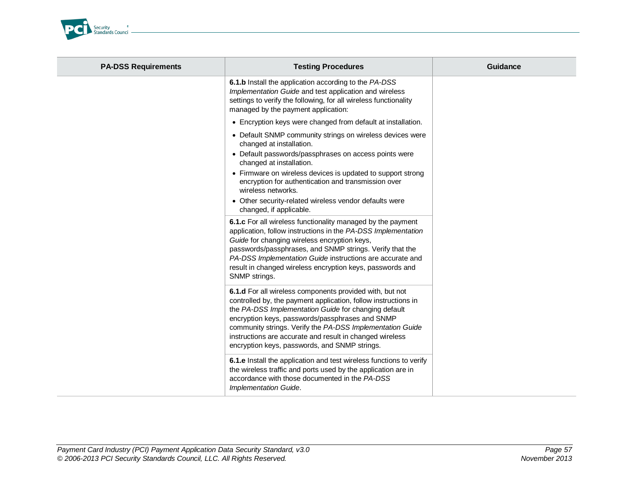

| <b>PA-DSS Requirements</b> | <b>Testing Procedures</b>                                                                                                                                                                                                                                                                                                                                                                                       | <b>Guidance</b> |
|----------------------------|-----------------------------------------------------------------------------------------------------------------------------------------------------------------------------------------------------------------------------------------------------------------------------------------------------------------------------------------------------------------------------------------------------------------|-----------------|
|                            | 6.1.b Install the application according to the PA-DSS<br>Implementation Guide and test application and wireless<br>settings to verify the following, for all wireless functionality<br>managed by the payment application:                                                                                                                                                                                      |                 |
|                            | • Encryption keys were changed from default at installation.                                                                                                                                                                                                                                                                                                                                                    |                 |
|                            | • Default SNMP community strings on wireless devices were<br>changed at installation.                                                                                                                                                                                                                                                                                                                           |                 |
|                            | • Default passwords/passphrases on access points were<br>changed at installation.                                                                                                                                                                                                                                                                                                                               |                 |
|                            | • Firmware on wireless devices is updated to support strong<br>encryption for authentication and transmission over<br>wireless networks.                                                                                                                                                                                                                                                                        |                 |
|                            | • Other security-related wireless vendor defaults were<br>changed, if applicable.                                                                                                                                                                                                                                                                                                                               |                 |
|                            | 6.1.c For all wireless functionality managed by the payment<br>application, follow instructions in the PA-DSS Implementation<br>Guide for changing wireless encryption keys,<br>passwords/passphrases, and SNMP strings. Verify that the<br>PA-DSS Implementation Guide instructions are accurate and<br>result in changed wireless encryption keys, passwords and<br>SNMP strings.                             |                 |
|                            | 6.1.d For all wireless components provided with, but not<br>controlled by, the payment application, follow instructions in<br>the PA-DSS Implementation Guide for changing default<br>encryption keys, passwords/passphrases and SNMP<br>community strings. Verify the PA-DSS Implementation Guide<br>instructions are accurate and result in changed wireless<br>encryption keys, passwords, and SNMP strings. |                 |
|                            | 6.1.e Install the application and test wireless functions to verify<br>the wireless traffic and ports used by the application are in<br>accordance with those documented in the PA-DSS<br>Implementation Guide.                                                                                                                                                                                                 |                 |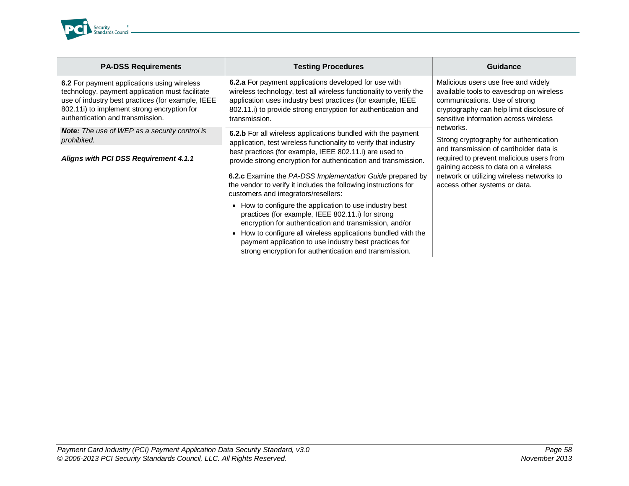

| <b>PA-DSS Requirements</b>                                                                                                                                                                                                             | <b>Testing Procedures</b>                                                                                                                                                                                                                                                                          | Guidance                                                                                                                                                                                               |
|----------------------------------------------------------------------------------------------------------------------------------------------------------------------------------------------------------------------------------------|----------------------------------------------------------------------------------------------------------------------------------------------------------------------------------------------------------------------------------------------------------------------------------------------------|--------------------------------------------------------------------------------------------------------------------------------------------------------------------------------------------------------|
| 6.2 For payment applications using wireless<br>technology, payment application must facilitate<br>use of industry best practices (for example, IEEE<br>802.11i) to implement strong encryption for<br>authentication and transmission. | 6.2.a For payment applications developed for use with<br>wireless technology, test all wireless functionality to verify the<br>application uses industry best practices (for example, IEEE<br>802.11.i) to provide strong encryption for authentication and<br>transmission.                       | Malicious users use free and widely<br>available tools to eavesdrop on wireless<br>communications. Use of strong<br>cryptography can help limit disclosure of<br>sensitive information across wireless |
| <b>Note:</b> The use of WEP as a security control is<br>prohibited.                                                                                                                                                                    | <b>6.2.b</b> For all wireless applications bundled with the payment<br>application, test wireless functionality to verify that industry                                                                                                                                                            | networks.<br>Strong cryptography for authentication                                                                                                                                                    |
| Aligns with PCI DSS Requirement 4.1.1                                                                                                                                                                                                  | best practices (for example, IEEE 802.11.i) are used to<br>provide strong encryption for authentication and transmission.                                                                                                                                                                          | and transmission of cardholder data is<br>required to prevent malicious users from<br>gaining access to data on a wireless                                                                             |
|                                                                                                                                                                                                                                        | <b>6.2.c</b> Examine the PA-DSS Implementation Guide prepared by<br>the vendor to verify it includes the following instructions for<br>customers and integrators/resellers:                                                                                                                        | network or utilizing wireless networks to<br>access other systems or data.                                                                                                                             |
|                                                                                                                                                                                                                                        | How to configure the application to use industry best<br>practices (for example, IEEE 802.11.i) for strong<br>encryption for authentication and transmission, and/or<br>How to configure all wireless applications bundled with the<br>٠<br>payment application to use industry best practices for |                                                                                                                                                                                                        |
|                                                                                                                                                                                                                                        | strong encryption for authentication and transmission.                                                                                                                                                                                                                                             |                                                                                                                                                                                                        |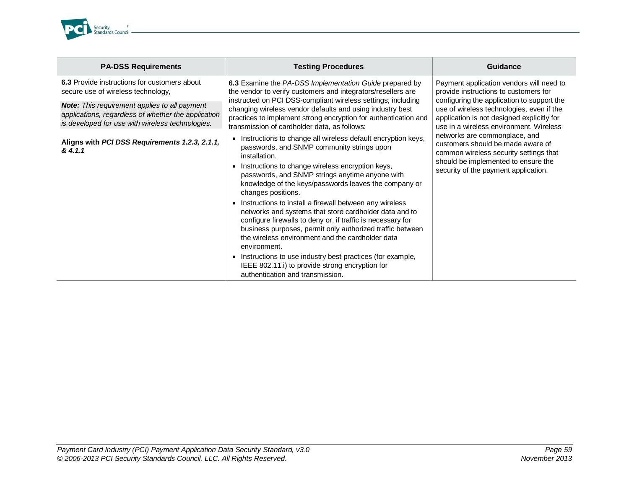

| <b>PA-DSS Requirements</b>                                                                                                                                                                                                                                                                                            | <b>Testing Procedures</b>                                                                                                                                                                                                                                                                                                                                                                                                                                                                                                                                                                                                                                                      | Guidance                                                                                                                                                                                                                                                                                                                                    |
|-----------------------------------------------------------------------------------------------------------------------------------------------------------------------------------------------------------------------------------------------------------------------------------------------------------------------|--------------------------------------------------------------------------------------------------------------------------------------------------------------------------------------------------------------------------------------------------------------------------------------------------------------------------------------------------------------------------------------------------------------------------------------------------------------------------------------------------------------------------------------------------------------------------------------------------------------------------------------------------------------------------------|---------------------------------------------------------------------------------------------------------------------------------------------------------------------------------------------------------------------------------------------------------------------------------------------------------------------------------------------|
| 6.3 Provide instructions for customers about<br>secure use of wireless technology,<br><b>Note:</b> This requirement applies to all payment<br>applications, regardless of whether the application<br>is developed for use with wireless technologies.<br>Aligns with PCI DSS Requirements 1.2.3, 2.1.1,<br>8, 4, 1, 1 | 6.3 Examine the PA-DSS Implementation Guide prepared by<br>the vendor to verify customers and integrators/resellers are<br>instructed on PCI DSS-compliant wireless settings, including<br>changing wireless vendor defaults and using industry best<br>practices to implement strong encryption for authentication and<br>transmission of cardholder data, as follows:<br>• Instructions to change all wireless default encryption keys,<br>passwords, and SNMP community strings upon                                                                                                                                                                                        | Payment application vendors will need to<br>provide instructions to customers for<br>configuring the application to support the<br>use of wireless technologies, even if the<br>application is not designed explicitly for<br>use in a wireless environment. Wireless<br>networks are commonplace, and<br>customers should be made aware of |
|                                                                                                                                                                                                                                                                                                                       | installation.<br>Instructions to change wireless encryption keys,<br>passwords, and SNMP strings anytime anyone with<br>knowledge of the keys/passwords leaves the company or<br>changes positions.<br>• Instructions to install a firewall between any wireless<br>networks and systems that store cardholder data and to<br>configure firewalls to deny or, if traffic is necessary for<br>business purposes, permit only authorized traffic between<br>the wireless environment and the cardholder data<br>environment.<br>Instructions to use industry best practices (for example,<br>IEEE 802.11.i) to provide strong encryption for<br>authentication and transmission. | common wireless security settings that<br>should be implemented to ensure the<br>security of the payment application.                                                                                                                                                                                                                       |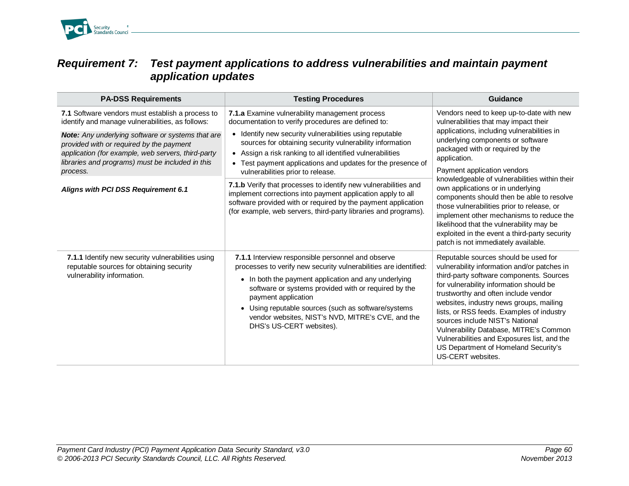

#### *Requirement 7: Test payment applications to address vulnerabilities and maintain payment application updates*

| <b>PA-DSS Requirements</b>                                                                                                                                                                                                 | <b>Testing Procedures</b>                                                                                                                                                                                                                                                                                                                                                                            | Guidance                                                                                                                                                                                                                                                                                                                                                                                                                                                                                                                                                                                                                 |
|----------------------------------------------------------------------------------------------------------------------------------------------------------------------------------------------------------------------------|------------------------------------------------------------------------------------------------------------------------------------------------------------------------------------------------------------------------------------------------------------------------------------------------------------------------------------------------------------------------------------------------------|--------------------------------------------------------------------------------------------------------------------------------------------------------------------------------------------------------------------------------------------------------------------------------------------------------------------------------------------------------------------------------------------------------------------------------------------------------------------------------------------------------------------------------------------------------------------------------------------------------------------------|
| 7.1 Software vendors must establish a process to<br>identify and manage vulnerabilities, as follows:                                                                                                                       | 7.1.a Examine vulnerability management process<br>documentation to verify procedures are defined to:                                                                                                                                                                                                                                                                                                 | Vendors need to keep up-to-date with new<br>vulnerabilities that may impact their<br>applications, including vulnerabilities in<br>underlying components or software<br>packaged with or required by the<br>application.<br>Payment application vendors<br>knowledgeable of vulnerabilities within their<br>own applications or in underlying<br>components should then be able to resolve<br>those vulnerabilities prior to release, or<br>implement other mechanisms to reduce the<br>likelihood that the vulnerability may be<br>exploited in the event a third-party security<br>patch is not immediately available. |
| <b>Note:</b> Any underlying software or systems that are<br>provided with or required by the payment<br>application (for example, web servers, third-party<br>libraries and programs) must be included in this<br>process. | Identify new security vulnerabilities using reputable<br>$\bullet$<br>sources for obtaining security vulnerability information<br>• Assign a risk ranking to all identified vulnerabilities<br>Test payment applications and updates for the presence of<br>$\bullet$<br>vulnerabilities prior to release.                                                                                           |                                                                                                                                                                                                                                                                                                                                                                                                                                                                                                                                                                                                                          |
| Aligns with PCI DSS Requirement 6.1                                                                                                                                                                                        | 7.1.b Verify that processes to identify new vulnerabilities and<br>implement corrections into payment application apply to all<br>software provided with or required by the payment application<br>(for example, web servers, third-party libraries and programs).                                                                                                                                   |                                                                                                                                                                                                                                                                                                                                                                                                                                                                                                                                                                                                                          |
| 7.1.1 Identify new security vulnerabilities using<br>reputable sources for obtaining security<br>vulnerability information.                                                                                                | 7.1.1 Interview responsible personnel and observe<br>processes to verify new security vulnerabilities are identified:<br>• In both the payment application and any underlying<br>software or systems provided with or required by the<br>payment application<br>• Using reputable sources (such as software/systems<br>vendor websites, NIST's NVD, MITRE's CVE, and the<br>DHS's US-CERT websites). | Reputable sources should be used for<br>vulnerability information and/or patches in<br>third-party software components. Sources<br>for vulnerability information should be<br>trustworthy and often include vendor<br>websites, industry news groups, mailing<br>lists, or RSS feeds. Examples of industry<br>sources include NIST's National<br>Vulnerability Database, MITRE's Common<br>Vulnerabilities and Exposures list, and the<br>US Department of Homeland Security's<br>US-CERT websites.                                                                                                                      |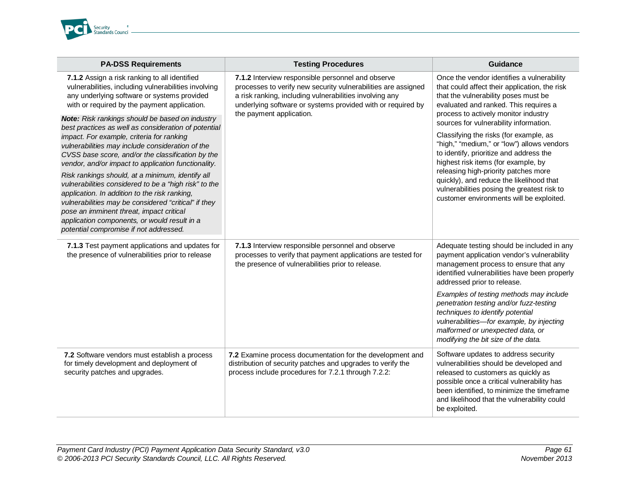

| <b>PA-DSS Requirements</b>                                                                                                                                                                                                                                                                                                                                                                                                                                                                                                                                                                                                                                                              | <b>Testing Procedures</b>                                                                                                                                                                                                                    | <b>Guidance</b>                                                                                                                                                                                                                                                                                                                                                                                                                                                     |
|-----------------------------------------------------------------------------------------------------------------------------------------------------------------------------------------------------------------------------------------------------------------------------------------------------------------------------------------------------------------------------------------------------------------------------------------------------------------------------------------------------------------------------------------------------------------------------------------------------------------------------------------------------------------------------------------|----------------------------------------------------------------------------------------------------------------------------------------------------------------------------------------------------------------------------------------------|---------------------------------------------------------------------------------------------------------------------------------------------------------------------------------------------------------------------------------------------------------------------------------------------------------------------------------------------------------------------------------------------------------------------------------------------------------------------|
| 7.1.2 Assign a risk ranking to all identified<br>vulnerabilities, including vulnerabilities involving<br>any underlying software or systems provided<br>with or required by the payment application.                                                                                                                                                                                                                                                                                                                                                                                                                                                                                    | 7.1.2 Interview responsible personnel and observe<br>processes to verify new security vulnerabilities are assigned<br>a risk ranking, including vulnerabilities involving any<br>underlying software or systems provided with or required by | Once the vendor identifies a vulnerability<br>that could affect their application, the risk<br>that the vulnerability poses must be<br>evaluated and ranked. This requires a                                                                                                                                                                                                                                                                                        |
| <b>Note:</b> Risk rankings should be based on industry<br>best practices as well as consideration of potential<br>impact. For example, criteria for ranking<br>vulnerabilities may include consideration of the<br>CVSS base score, and/or the classification by the<br>vendor, and/or impact to application functionality.<br>Risk rankings should, at a minimum, identify all<br>vulnerabilities considered to be a "high risk" to the<br>application. In addition to the risk ranking,<br>vulnerabilities may be considered "critical" if they<br>pose an imminent threat, impact critical<br>application components, or would result in a<br>potential compromise if not addressed. | the payment application.                                                                                                                                                                                                                     | process to actively monitor industry<br>sources for vulnerability information.<br>Classifying the risks (for example, as<br>"high," "medium," or "low") allows vendors<br>to identify, prioritize and address the<br>highest risk items (for example, by<br>releasing high-priority patches more<br>quickly), and reduce the likelihood that<br>vulnerabilities posing the greatest risk to<br>customer environments will be exploited.                             |
| 7.1.3 Test payment applications and updates for<br>the presence of vulnerabilities prior to release                                                                                                                                                                                                                                                                                                                                                                                                                                                                                                                                                                                     | 7.1.3 Interview responsible personnel and observe<br>processes to verify that payment applications are tested for<br>the presence of vulnerabilities prior to release.                                                                       | Adequate testing should be included in any<br>payment application vendor's vulnerability<br>management process to ensure that any<br>identified vulnerabilities have been properly<br>addressed prior to release.<br>Examples of testing methods may include<br>penetration testing and/or fuzz-testing<br>techniques to identify potential<br>vulnerabilities-for example, by injecting<br>malformed or unexpected data, or<br>modifying the bit size of the data. |
| 7.2 Software vendors must establish a process<br>for timely development and deployment of<br>security patches and upgrades.                                                                                                                                                                                                                                                                                                                                                                                                                                                                                                                                                             | 7.2 Examine process documentation for the development and<br>distribution of security patches and upgrades to verify the<br>process include procedures for 7.2.1 through 7.2.2:                                                              | Software updates to address security<br>vulnerabilities should be developed and<br>released to customers as quickly as<br>possible once a critical vulnerability has<br>been identified, to minimize the timeframe<br>and likelihood that the vulnerability could<br>be exploited.                                                                                                                                                                                  |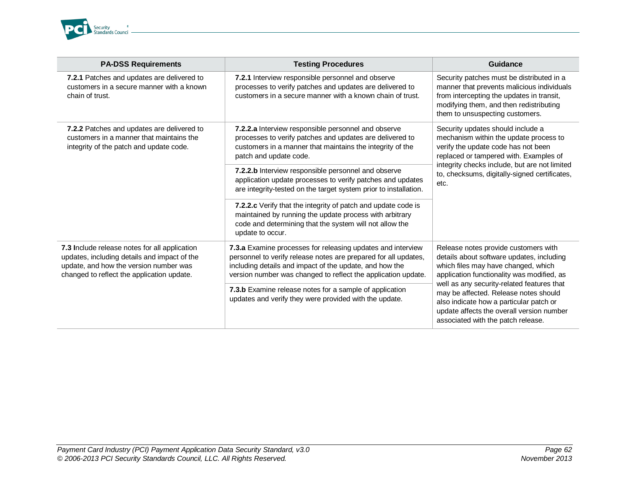

| <b>PA-DSS Requirements</b>                                                                                                                                                            | <b>Testing Procedures</b>                                                                                                                                                                                                                                  | Guidance                                                                                                                                                                                                                                                                                                                                                                                    |
|---------------------------------------------------------------------------------------------------------------------------------------------------------------------------------------|------------------------------------------------------------------------------------------------------------------------------------------------------------------------------------------------------------------------------------------------------------|---------------------------------------------------------------------------------------------------------------------------------------------------------------------------------------------------------------------------------------------------------------------------------------------------------------------------------------------------------------------------------------------|
| 7.2.1 Patches and updates are delivered to<br>customers in a secure manner with a known<br>chain of trust.                                                                            | 7.2.1 Interview responsible personnel and observe<br>processes to verify patches and updates are delivered to<br>customers in a secure manner with a known chain of trust.                                                                                 | Security patches must be distributed in a<br>manner that prevents malicious individuals<br>from intercepting the updates in transit,<br>modifying them, and then redistributing<br>them to unsuspecting customers.                                                                                                                                                                          |
| 7.2.2 Patches and updates are delivered to<br>customers in a manner that maintains the<br>integrity of the patch and update code.                                                     | 7.2.2.a Interview responsible personnel and observe<br>processes to verify patches and updates are delivered to<br>customers in a manner that maintains the integrity of the<br>patch and update code.                                                     | Security updates should include a<br>mechanism within the update process to<br>verify the update code has not been<br>replaced or tampered with. Examples of<br>integrity checks include, but are not limited<br>to, checksums, digitally-signed certificates,<br>etc.                                                                                                                      |
|                                                                                                                                                                                       | 7.2.2.b Interview responsible personnel and observe<br>application update processes to verify patches and updates<br>are integrity-tested on the target system prior to installation.                                                                      |                                                                                                                                                                                                                                                                                                                                                                                             |
|                                                                                                                                                                                       | 7.2.2.c Verify that the integrity of patch and update code is<br>maintained by running the update process with arbitrary<br>code and determining that the system will not allow the<br>update to occur.                                                    |                                                                                                                                                                                                                                                                                                                                                                                             |
| 7.3 Include release notes for all application<br>updates, including details and impact of the<br>update, and how the version number was<br>changed to reflect the application update. | 7.3.a Examine processes for releasing updates and interview<br>personnel to verify release notes are prepared for all updates,<br>including details and impact of the update, and how the<br>version number was changed to reflect the application update. | Release notes provide customers with<br>details about software updates, including<br>which files may have changed, which<br>application functionality was modified, as<br>well as any security-related features that<br>may be affected. Release notes should<br>also indicate how a particular patch or<br>update affects the overall version number<br>associated with the patch release. |
|                                                                                                                                                                                       | 7.3.b Examine release notes for a sample of application<br>updates and verify they were provided with the update.                                                                                                                                          |                                                                                                                                                                                                                                                                                                                                                                                             |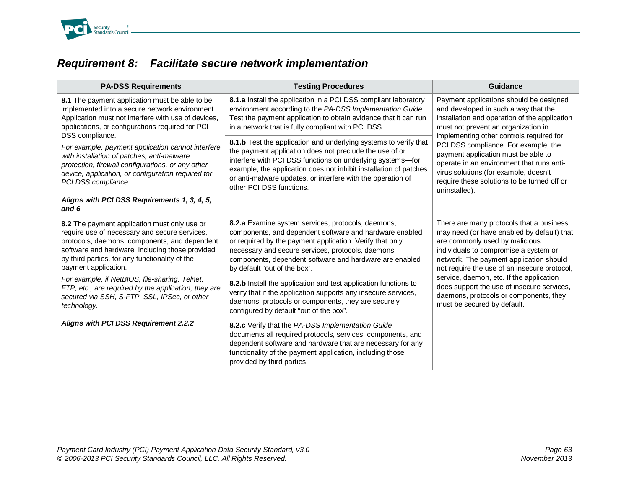

# *Requirement 8: Facilitate secure network implementation*

| <b>PA-DSS Requirements</b>                                                                                                                                                                                                                                                  | <b>Testing Procedures</b>                                                                                                                                                                                                                                                                                                                                 | Guidance                                                                                                                                                                                                                                                                                                                                                                                                                        |
|-----------------------------------------------------------------------------------------------------------------------------------------------------------------------------------------------------------------------------------------------------------------------------|-----------------------------------------------------------------------------------------------------------------------------------------------------------------------------------------------------------------------------------------------------------------------------------------------------------------------------------------------------------|---------------------------------------------------------------------------------------------------------------------------------------------------------------------------------------------------------------------------------------------------------------------------------------------------------------------------------------------------------------------------------------------------------------------------------|
| 8.1 The payment application must be able to be<br>implemented into a secure network environment.<br>Application must not interfere with use of devices,<br>applications, or configurations required for PCI<br>DSS compliance.                                              | 8.1.a Install the application in a PCI DSS compliant laboratory<br>environment according to the PA-DSS Implementation Guide.<br>Test the payment application to obtain evidence that it can run<br>in a network that is fully compliant with PCI DSS.                                                                                                     | Payment applications should be designed<br>and developed in such a way that the<br>installation and operation of the application<br>must not prevent an organization in<br>implementing other controls required for                                                                                                                                                                                                             |
| For example, payment application cannot interfere<br>with installation of patches, anti-malware<br>protection, firewall configurations, or any other<br>device, application, or configuration required for<br>PCI DSS compliance.                                           | 8.1.b Test the application and underlying systems to verify that<br>the payment application does not preclude the use of or<br>interfere with PCI DSS functions on underlying systems-for<br>example, the application does not inhibit installation of patches<br>or anti-malware updates, or interfere with the operation of<br>other PCI DSS functions. | PCI DSS compliance. For example, the<br>payment application must be able to<br>operate in an environment that runs anti-<br>virus solutions (for example, doesn't<br>require these solutions to be turned off or<br>uninstalled).                                                                                                                                                                                               |
| Aligns with PCI DSS Requirements 1, 3, 4, 5,<br>and 6                                                                                                                                                                                                                       |                                                                                                                                                                                                                                                                                                                                                           |                                                                                                                                                                                                                                                                                                                                                                                                                                 |
| 8.2 The payment application must only use or<br>require use of necessary and secure services,<br>protocols, daemons, components, and dependent<br>software and hardware, including those provided<br>by third parties, for any functionality of the<br>payment application. | 8.2.a Examine system services, protocols, daemons,<br>components, and dependent software and hardware enabled<br>or required by the payment application. Verify that only<br>necessary and secure services, protocols, daemons,<br>components, dependent software and hardware are enabled<br>by default "out of the box".                                | There are many protocols that a business<br>may need (or have enabled by default) that<br>are commonly used by malicious<br>individuals to compromise a system or<br>network. The payment application should<br>not require the use of an insecure protocol,<br>service, daemon, etc. If the application<br>does support the use of insecure services,<br>daemons, protocols or components, they<br>must be secured by default. |
| For example, if NetBIOS, file-sharing, Telnet,<br>FTP, etc., are required by the application, they are<br>secured via SSH, S-FTP, SSL, IPSec, or other<br>technology.                                                                                                       | 8.2.b Install the application and test application functions to<br>verify that if the application supports any insecure services,<br>daemons, protocols or components, they are securely<br>configured by default "out of the box".                                                                                                                       |                                                                                                                                                                                                                                                                                                                                                                                                                                 |
| Aligns with PCI DSS Requirement 2.2.2                                                                                                                                                                                                                                       | 8.2.c Verify that the PA-DSS Implementation Guide<br>documents all required protocols, services, components, and<br>dependent software and hardware that are necessary for any<br>functionality of the payment application, including those<br>provided by third parties.                                                                                 |                                                                                                                                                                                                                                                                                                                                                                                                                                 |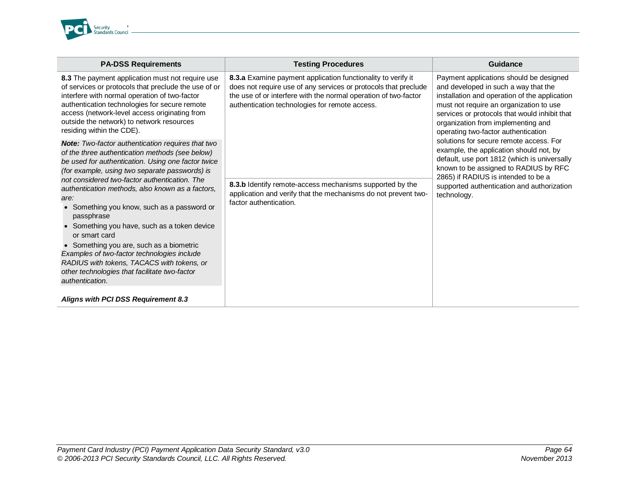

| <b>PA-DSS Requirements</b>                                                                                                                                                                                                                                                                                                                                                                                                                                                                                                                                                                                                                                                  | <b>Testing Procedures</b>                                                                                                                                                                                                                            | Guidance                                                                                                                                                                                                                                                                                                  |
|-----------------------------------------------------------------------------------------------------------------------------------------------------------------------------------------------------------------------------------------------------------------------------------------------------------------------------------------------------------------------------------------------------------------------------------------------------------------------------------------------------------------------------------------------------------------------------------------------------------------------------------------------------------------------------|------------------------------------------------------------------------------------------------------------------------------------------------------------------------------------------------------------------------------------------------------|-----------------------------------------------------------------------------------------------------------------------------------------------------------------------------------------------------------------------------------------------------------------------------------------------------------|
| 8.3 The payment application must not require use<br>of services or protocols that preclude the use of or<br>interfere with normal operation of two-factor<br>authentication technologies for secure remote<br>access (network-level access originating from<br>outside the network) to network resources<br>residing within the CDE).                                                                                                                                                                                                                                                                                                                                       | 8.3.a Examine payment application functionality to verify it<br>does not require use of any services or protocols that preclude<br>the use of or interfere with the normal operation of two-factor<br>authentication technologies for remote access. | Payment applications should be designed<br>and developed in such a way that the<br>installation and operation of the application<br>must not require an organization to use<br>services or protocols that would inhibit that<br>organization from implementing and<br>operating two-factor authentication |
| <b>Note:</b> Two-factor authentication requires that two<br>of the three authentication methods (see below)<br>be used for authentication. Using one factor twice<br>(for example, using two separate passwords) is<br>not considered two-factor authentication. The<br>authentication methods, also known as a factors,<br>are:<br>• Something you know, such as a password or<br>passphrase<br>• Something you have, such as a token device<br>or smart card<br>• Something you are, such as a biometric<br>Examples of two-factor technologies include<br>RADIUS with tokens, TACACS with tokens, or<br>other technologies that facilitate two-factor<br>authentication. | 8.3.b Identify remote-access mechanisms supported by the<br>application and verify that the mechanisms do not prevent two-<br>factor authentication.                                                                                                 | solutions for secure remote access. For<br>example, the application should not, by<br>default, use port 1812 (which is universally<br>known to be assigned to RADIUS by RFC<br>2865) if RADIUS is intended to be a<br>supported authentication and authorization<br>technology.                           |
| <b>Aligns with PCI DSS Requirement 8.3</b>                                                                                                                                                                                                                                                                                                                                                                                                                                                                                                                                                                                                                                  |                                                                                                                                                                                                                                                      |                                                                                                                                                                                                                                                                                                           |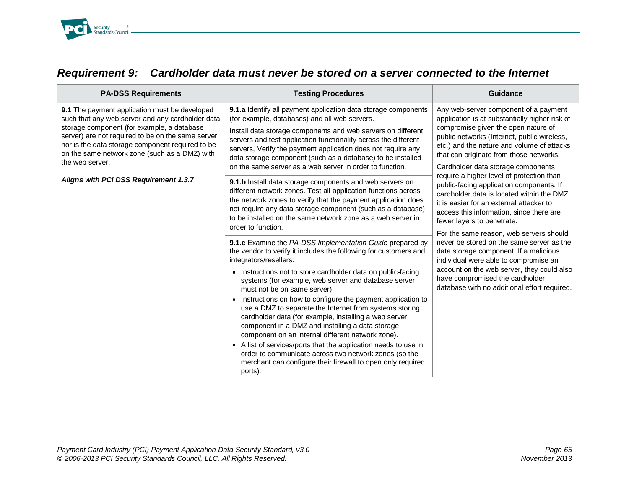

| <b>PA-DSS Requirements</b>                                                                                                                                                                                                                                                                                                    | <b>Testing Procedures</b>                                                                                                                                                                                                                                                                                                                                                                                                                                                                                                                                                                                                                                                                                                                                                                                           | Guidance                                                                                                                                                                                                                                                                                                     |
|-------------------------------------------------------------------------------------------------------------------------------------------------------------------------------------------------------------------------------------------------------------------------------------------------------------------------------|---------------------------------------------------------------------------------------------------------------------------------------------------------------------------------------------------------------------------------------------------------------------------------------------------------------------------------------------------------------------------------------------------------------------------------------------------------------------------------------------------------------------------------------------------------------------------------------------------------------------------------------------------------------------------------------------------------------------------------------------------------------------------------------------------------------------|--------------------------------------------------------------------------------------------------------------------------------------------------------------------------------------------------------------------------------------------------------------------------------------------------------------|
| 9.1 The payment application must be developed<br>such that any web server and any cardholder data<br>storage component (for example, a database<br>server) are not required to be on the same server,<br>nor is the data storage component required to be<br>on the same network zone (such as a DMZ) with<br>the web server. | 9.1.a Identify all payment application data storage components<br>(for example, databases) and all web servers.<br>Install data storage components and web servers on different<br>servers and test application functionality across the different<br>servers, Verify the payment application does not require any<br>data storage component (such as a database) to be installed<br>on the same server as a web server in order to function.                                                                                                                                                                                                                                                                                                                                                                       | Any web-server component of a payment<br>application is at substantially higher risk of<br>compromise given the open nature of<br>public networks (Internet, public wireless,<br>etc.) and the nature and volume of attacks<br>that can originate from those networks.<br>Cardholder data storage components |
| Aligns with PCI DSS Requirement 1.3.7                                                                                                                                                                                                                                                                                         | 9.1.b Install data storage components and web servers on<br>different network zones. Test all application functions across<br>the network zones to verify that the payment application does<br>not require any data storage component (such as a database)<br>to be installed on the same network zone as a web server in<br>order to function.                                                                                                                                                                                                                                                                                                                                                                                                                                                                     | require a higher level of protection than<br>public-facing application components. If<br>cardholder data is located within the DMZ,<br>it is easier for an external attacker to<br>access this information, since there are<br>fewer layers to penetrate.<br>For the same reason, web servers should         |
|                                                                                                                                                                                                                                                                                                                               | 9.1.c Examine the PA-DSS Implementation Guide prepared by<br>the vendor to verify it includes the following for customers and<br>integrators/resellers:<br>• Instructions not to store cardholder data on public-facing<br>systems (for example, web server and database server<br>must not be on same server).<br>• Instructions on how to configure the payment application to<br>use a DMZ to separate the Internet from systems storing<br>cardholder data (for example, installing a web server<br>component in a DMZ and installing a data storage<br>component on an internal different network zone).<br>• A list of services/ports that the application needs to use in<br>order to communicate across two network zones (so the<br>merchant can configure their firewall to open only required<br>ports). | never be stored on the same server as the<br>data storage component. If a malicious<br>individual were able to compromise an<br>account on the web server, they could also<br>have compromised the cardholder<br>database with no additional effort required.                                                |

# *Requirement 9: Cardholder data must never be stored on a server connected to the Internet*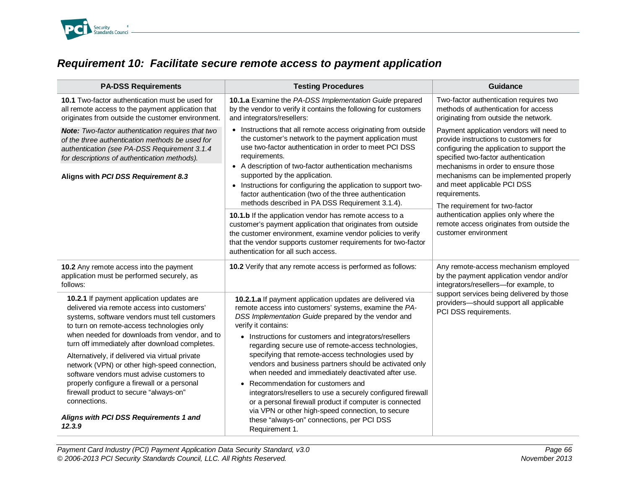

## *Requirement 10: Facilitate secure remote access to payment application*

| <b>PA-DSS Requirements</b>                                                                                                                                                                                                                                                                                                                                                                                                                                                                                                                                                                     | <b>Testing Procedures</b>                                                                                                                                                                                                                                                                                                                                                                                                                                                                                                                                                                                                                                                                                                                                   | <b>Guidance</b>                                                                                                                                                                                                                                                                                                                           |
|------------------------------------------------------------------------------------------------------------------------------------------------------------------------------------------------------------------------------------------------------------------------------------------------------------------------------------------------------------------------------------------------------------------------------------------------------------------------------------------------------------------------------------------------------------------------------------------------|-------------------------------------------------------------------------------------------------------------------------------------------------------------------------------------------------------------------------------------------------------------------------------------------------------------------------------------------------------------------------------------------------------------------------------------------------------------------------------------------------------------------------------------------------------------------------------------------------------------------------------------------------------------------------------------------------------------------------------------------------------------|-------------------------------------------------------------------------------------------------------------------------------------------------------------------------------------------------------------------------------------------------------------------------------------------------------------------------------------------|
| 10.1 Two-factor authentication must be used for<br>all remote access to the payment application that<br>originates from outside the customer environment.                                                                                                                                                                                                                                                                                                                                                                                                                                      | 10.1.a Examine the PA-DSS Implementation Guide prepared<br>by the vendor to verify it contains the following for customers<br>and integrators/resellers:                                                                                                                                                                                                                                                                                                                                                                                                                                                                                                                                                                                                    | Two-factor authentication requires two<br>methods of authentication for access<br>originating from outside the network.                                                                                                                                                                                                                   |
| <b>Note:</b> Two-factor authentication requires that two<br>of the three authentication methods be used for<br>authentication (see PA-DSS Requirement 3.1.4<br>for descriptions of authentication methods).<br>Aligns with PCI DSS Requirement 8.3                                                                                                                                                                                                                                                                                                                                             | • Instructions that all remote access originating from outside<br>the customer's network to the payment application must<br>use two-factor authentication in order to meet PCI DSS<br>requirements.<br>• A description of two-factor authentication mechanisms<br>supported by the application.<br>• Instructions for configuring the application to support two-<br>factor authentication (two of the three authentication<br>methods described in PA DSS Requirement 3.1.4).                                                                                                                                                                                                                                                                              | Payment application vendors will need to<br>provide instructions to customers for<br>configuring the application to support the<br>specified two-factor authentication<br>mechanisms in order to ensure those<br>mechanisms can be implemented properly<br>and meet applicable PCI DSS<br>requirements.<br>The requirement for two-factor |
|                                                                                                                                                                                                                                                                                                                                                                                                                                                                                                                                                                                                | 10.1.b If the application vendor has remote access to a<br>customer's payment application that originates from outside<br>the customer environment, examine vendor policies to verify<br>that the vendor supports customer requirements for two-factor<br>authentication for all such access.                                                                                                                                                                                                                                                                                                                                                                                                                                                               | authentication applies only where the<br>remote access originates from outside the<br>customer environment                                                                                                                                                                                                                                |
| 10.2 Any remote access into the payment<br>application must be performed securely, as<br>follows:                                                                                                                                                                                                                                                                                                                                                                                                                                                                                              | 10.2 Verify that any remote access is performed as follows:                                                                                                                                                                                                                                                                                                                                                                                                                                                                                                                                                                                                                                                                                                 | Any remote-access mechanism employed<br>by the payment application vendor and/or<br>integrators/resellers-for example, to                                                                                                                                                                                                                 |
| 10.2.1 If payment application updates are<br>delivered via remote access into customers'<br>systems, software vendors must tell customers<br>to turn on remote-access technologies only<br>when needed for downloads from vendor, and to<br>turn off immediately after download completes.<br>Alternatively, if delivered via virtual private<br>network (VPN) or other high-speed connection,<br>software vendors must advise customers to<br>properly configure a firewall or a personal<br>firewall product to secure "always-on"<br>connections.<br>Aligns with PCI DSS Requirements 1 and | 10.2.1.a If payment application updates are delivered via<br>remote access into customers' systems, examine the PA-<br>DSS Implementation Guide prepared by the vendor and<br>verify it contains:<br>• Instructions for customers and integrators/resellers<br>regarding secure use of remote-access technologies,<br>specifying that remote-access technologies used by<br>vendors and business partners should be activated only<br>when needed and immediately deactivated after use.<br>• Recommendation for customers and<br>integrators/resellers to use a securely configured firewall<br>or a personal firewall product if computer is connected<br>via VPN or other high-speed connection, to secure<br>these "always-on" connections, per PCI DSS | support services being delivered by those<br>providers-should support all applicable<br>PCI DSS requirements.                                                                                                                                                                                                                             |
| 12.3.9                                                                                                                                                                                                                                                                                                                                                                                                                                                                                                                                                                                         | Requirement 1.                                                                                                                                                                                                                                                                                                                                                                                                                                                                                                                                                                                                                                                                                                                                              |                                                                                                                                                                                                                                                                                                                                           |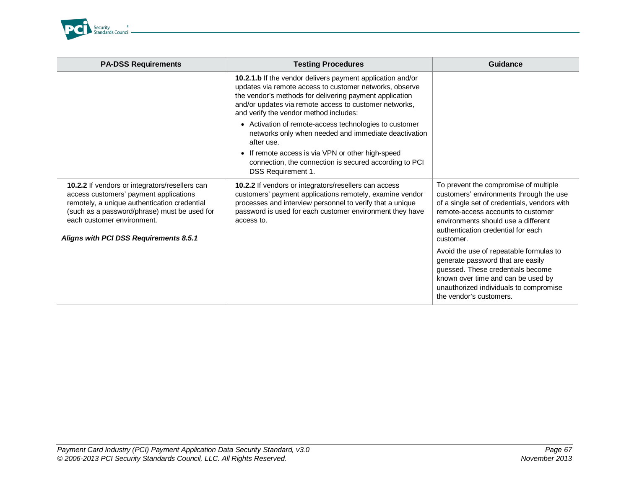

| <b>PA-DSS Requirements</b>                                                                                                                                                                                                                                       | <b>Testing Procedures</b>                                                                                                                                                                                                                                                                                                                                                                                                                                                                                                                                 | Guidance                                                                                                                                                                                                                                                                                                                                                                                                                                                                                         |
|------------------------------------------------------------------------------------------------------------------------------------------------------------------------------------------------------------------------------------------------------------------|-----------------------------------------------------------------------------------------------------------------------------------------------------------------------------------------------------------------------------------------------------------------------------------------------------------------------------------------------------------------------------------------------------------------------------------------------------------------------------------------------------------------------------------------------------------|--------------------------------------------------------------------------------------------------------------------------------------------------------------------------------------------------------------------------------------------------------------------------------------------------------------------------------------------------------------------------------------------------------------------------------------------------------------------------------------------------|
|                                                                                                                                                                                                                                                                  | 10.2.1.b If the vendor delivers payment application and/or<br>updates via remote access to customer networks, observe<br>the vendor's methods for delivering payment application<br>and/or updates via remote access to customer networks,<br>and verify the vendor method includes:<br>• Activation of remote-access technologies to customer<br>networks only when needed and immediate deactivation<br>after use.<br>• If remote access is via VPN or other high-speed<br>connection, the connection is secured according to PCI<br>DSS Requirement 1. |                                                                                                                                                                                                                                                                                                                                                                                                                                                                                                  |
| 10.2.2 If vendors or integrators/resellers can<br>access customers' payment applications<br>remotely, a unique authentication credential<br>(such as a password/phrase) must be used for<br>each customer environment.<br>Aligns with PCI DSS Requirements 8.5.1 | 10.2.2 If vendors or integrators/resellers can access<br>customers' payment applications remotely, examine vendor<br>processes and interview personnel to verify that a unique<br>password is used for each customer environment they have<br>access to.                                                                                                                                                                                                                                                                                                  | To prevent the compromise of multiple<br>customers' environments through the use<br>of a single set of credentials, vendors with<br>remote-access accounts to customer<br>environments should use a different<br>authentication credential for each<br>customer.<br>Avoid the use of repeatable formulas to<br>generate password that are easily<br>guessed. These credentials become<br>known over time and can be used by<br>unauthorized individuals to compromise<br>the vendor's customers. |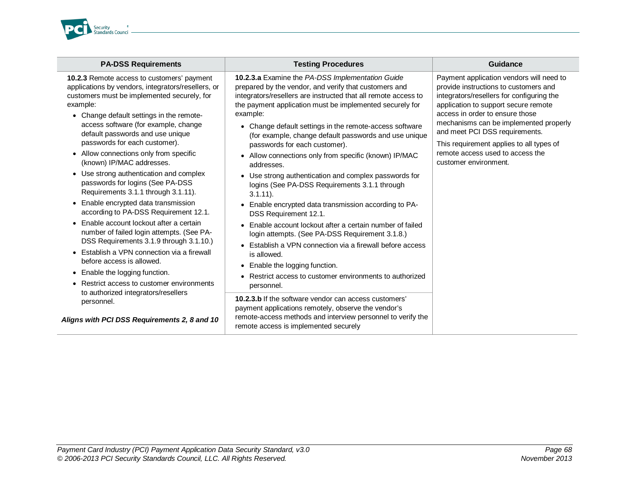

| <b>PA-DSS Requirements</b>                                                                                                                                                                                                                                                                                                                                                                                                                                                                                                                                                                                                                                                                                                                                                                                                                                                                                                                                                                          | <b>Testing Procedures</b>                                                                                                                                                                                                                                                                                                                                                                                                                                                                                                                                                                                                                                                                                                                                                                                                                                                                                                                                                                                                                                                                                                                                                                                                       | Guidance                                                                                                                                                                                                                                                                                                                                                                                       |
|-----------------------------------------------------------------------------------------------------------------------------------------------------------------------------------------------------------------------------------------------------------------------------------------------------------------------------------------------------------------------------------------------------------------------------------------------------------------------------------------------------------------------------------------------------------------------------------------------------------------------------------------------------------------------------------------------------------------------------------------------------------------------------------------------------------------------------------------------------------------------------------------------------------------------------------------------------------------------------------------------------|---------------------------------------------------------------------------------------------------------------------------------------------------------------------------------------------------------------------------------------------------------------------------------------------------------------------------------------------------------------------------------------------------------------------------------------------------------------------------------------------------------------------------------------------------------------------------------------------------------------------------------------------------------------------------------------------------------------------------------------------------------------------------------------------------------------------------------------------------------------------------------------------------------------------------------------------------------------------------------------------------------------------------------------------------------------------------------------------------------------------------------------------------------------------------------------------------------------------------------|------------------------------------------------------------------------------------------------------------------------------------------------------------------------------------------------------------------------------------------------------------------------------------------------------------------------------------------------------------------------------------------------|
| 10.2.3 Remote access to customers' payment<br>applications by vendors, integrators/resellers, or<br>customers must be implemented securely, for<br>example:<br>• Change default settings in the remote-<br>access software (for example, change<br>default passwords and use unique<br>passwords for each customer).<br>• Allow connections only from specific<br>(known) IP/MAC addresses.<br>• Use strong authentication and complex<br>passwords for logins (See PA-DSS<br>Requirements 3.1.1 through 3.1.11).<br>• Enable encrypted data transmission<br>according to PA-DSS Requirement 12.1.<br>• Enable account lockout after a certain<br>number of failed login attempts. (See PA-<br>DSS Requirements 3.1.9 through 3.1.10.)<br>Establish a VPN connection via a firewall<br>before access is allowed.<br>• Enable the logging function.<br>Restrict access to customer environments<br>to authorized integrators/resellers<br>personnel.<br>Aligns with PCI DSS Requirements 2, 8 and 10 | 10.2.3.a Examine the PA-DSS Implementation Guide<br>prepared by the vendor, and verify that customers and<br>integrators/resellers are instructed that all remote access to<br>the payment application must be implemented securely for<br>example:<br>• Change default settings in the remote-access software<br>(for example, change default passwords and use unique<br>passwords for each customer).<br>• Allow connections only from specific (known) IP/MAC<br>addresses.<br>• Use strong authentication and complex passwords for<br>logins (See PA-DSS Requirements 3.1.1 through<br>$3.1.11$ ).<br>• Enable encrypted data transmission according to PA-<br>DSS Requirement 12.1.<br>Enable account lockout after a certain number of failed<br>login attempts. (See PA-DSS Requirement 3.1.8.)<br>• Establish a VPN connection via a firewall before access<br>is allowed.<br>• Enable the logging function.<br>• Restrict access to customer environments to authorized<br>personnel.<br><b>10.2.3.b</b> If the software vendor can access customers'<br>payment applications remotely, observe the vendor's<br>remote-access methods and interview personnel to verify the<br>remote access is implemented securely | Payment application vendors will need to<br>provide instructions to customers and<br>integrators/resellers for configuring the<br>application to support secure remote<br>access in order to ensure those<br>mechanisms can be implemented properly<br>and meet PCI DSS requirements.<br>This requirement applies to all types of<br>remote access used to access the<br>customer environment. |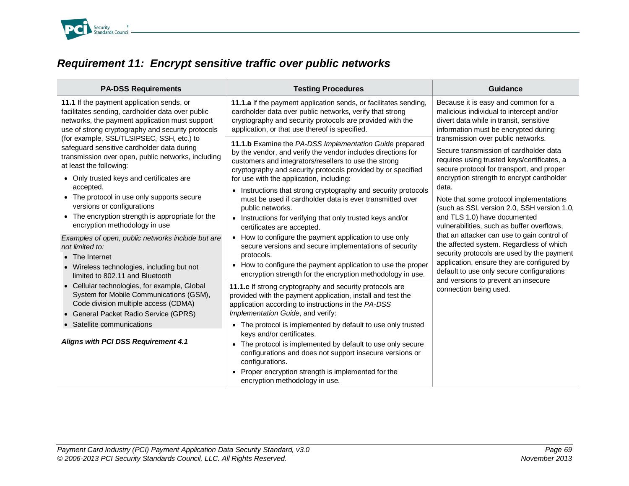

# *Requirement 11: Encrypt sensitive traffic over public networks*

| <b>PA-DSS Requirements</b>                                                                                                                                                                                                                                                                                                                                        | <b>Testing Procedures</b>                                                                                                                                                                                                                                                                                                                                                                                                                                                                                               | <b>Guidance</b>                                                                                                                                                                                                                                                                                                                                         |
|-------------------------------------------------------------------------------------------------------------------------------------------------------------------------------------------------------------------------------------------------------------------------------------------------------------------------------------------------------------------|-------------------------------------------------------------------------------------------------------------------------------------------------------------------------------------------------------------------------------------------------------------------------------------------------------------------------------------------------------------------------------------------------------------------------------------------------------------------------------------------------------------------------|---------------------------------------------------------------------------------------------------------------------------------------------------------------------------------------------------------------------------------------------------------------------------------------------------------------------------------------------------------|
| 11.1 If the payment application sends, or<br>facilitates sending, cardholder data over public<br>networks, the payment application must support<br>use of strong cryptography and security protocols                                                                                                                                                              | 11.1.a If the payment application sends, or facilitates sending,<br>cardholder data over public networks, verify that strong<br>cryptography and security protocols are provided with the<br>application, or that use thereof is specified.                                                                                                                                                                                                                                                                             | Because it is easy and common for a<br>malicious individual to intercept and/or<br>divert data while in transit, sensitive<br>information must be encrypted during                                                                                                                                                                                      |
| (for example, SSL/TLSIPSEC, SSH, etc.) to<br>safeguard sensitive cardholder data during<br>transmission over open, public networks, including<br>at least the following:<br>• Only trusted keys and certificates are<br>accepted.<br>• The protocol in use only supports secure<br>versions or configurations<br>• The encryption strength is appropriate for the | 11.1.b Examine the PA-DSS Implementation Guide prepared<br>by the vendor, and verify the vendor includes directions for<br>customers and integrators/resellers to use the strong<br>cryptography and security protocols provided by or specified<br>for use with the application, including:<br>Instructions that strong cryptography and security protocols<br>$\bullet$<br>must be used if cardholder data is ever transmitted over<br>public networks.<br>• Instructions for verifying that only trusted keys and/or | transmission over public networks.<br>Secure transmission of cardholder data<br>requires using trusted keys/certificates, a<br>secure protocol for transport, and proper<br>encryption strength to encrypt cardholder<br>data.<br>Note that some protocol implementations<br>(such as SSL version 2.0, SSH version 1.0,<br>and TLS 1.0) have documented |
| encryption methodology in use<br>Examples of open, public networks include but are<br>not limited to:<br>• The Internet<br>• Wireless technologies, including but not<br>limited to 802.11 and Bluetooth                                                                                                                                                          | certificates are accepted.<br>How to configure the payment application to use only<br>$\bullet$<br>secure versions and secure implementations of security<br>protocols.<br>• How to configure the payment application to use the proper<br>encryption strength for the encryption methodology in use.                                                                                                                                                                                                                   | vulnerabilities, such as buffer overflows,<br>that an attacker can use to gain control of<br>the affected system. Regardless of which<br>security protocols are used by the payment<br>application, ensure they are configured by<br>default to use only secure configurations                                                                          |
| • Cellular technologies, for example, Global<br>System for Mobile Communications (GSM),<br>Code division multiple access (CDMA)<br>• General Packet Radio Service (GPRS)                                                                                                                                                                                          | 11.1.c If strong cryptography and security protocols are<br>provided with the payment application, install and test the<br>application according to instructions in the PA-DSS<br>Implementation Guide, and verify:                                                                                                                                                                                                                                                                                                     | and versions to prevent an insecure<br>connection being used.                                                                                                                                                                                                                                                                                           |
| • Satellite communications                                                                                                                                                                                                                                                                                                                                        | • The protocol is implemented by default to use only trusted                                                                                                                                                                                                                                                                                                                                                                                                                                                            |                                                                                                                                                                                                                                                                                                                                                         |
| Aligns with PCI DSS Requirement 4.1                                                                                                                                                                                                                                                                                                                               | keys and/or certificates.<br>The protocol is implemented by default to use only secure<br>$\bullet$<br>configurations and does not support insecure versions or<br>configurations.<br>Proper encryption strength is implemented for the<br>$\bullet$<br>encryption methodology in use.                                                                                                                                                                                                                                  |                                                                                                                                                                                                                                                                                                                                                         |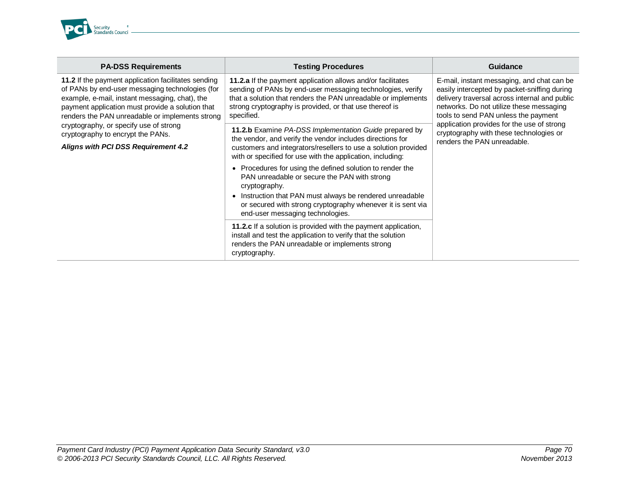

| <b>PA-DSS Requirements</b>                                                                                                                                                                                                                                      | <b>Testing Procedures</b>                                                                                                                                                                                                                                                                                                                                                                                                                                                                                                                                                                                                                                                                                                                                                 | Guidance                                                                                                                                                                                                                        |
|-----------------------------------------------------------------------------------------------------------------------------------------------------------------------------------------------------------------------------------------------------------------|---------------------------------------------------------------------------------------------------------------------------------------------------------------------------------------------------------------------------------------------------------------------------------------------------------------------------------------------------------------------------------------------------------------------------------------------------------------------------------------------------------------------------------------------------------------------------------------------------------------------------------------------------------------------------------------------------------------------------------------------------------------------------|---------------------------------------------------------------------------------------------------------------------------------------------------------------------------------------------------------------------------------|
| 11.2 If the payment application facilitates sending<br>of PANs by end-user messaging technologies (for<br>example, e-mail, instant messaging, chat), the<br>payment application must provide a solution that<br>renders the PAN unreadable or implements strong | 11.2.a If the payment application allows and/or facilitates<br>sending of PANs by end-user messaging technologies, verify<br>that a solution that renders the PAN unreadable or implements<br>strong cryptography is provided, or that use thereof is<br>specified.                                                                                                                                                                                                                                                                                                                                                                                                                                                                                                       | E-mail, instant messaging, and chat can be<br>easily intercepted by packet-sniffing during<br>delivery traversal across internal and public<br>networks. Do not utilize these messaging<br>tools to send PAN unless the payment |
| cryptography, or specify use of strong<br>cryptography to encrypt the PANs.<br>Aligns with PCI DSS Requirement 4.2                                                                                                                                              | 11.2.b Examine PA-DSS Implementation Guide prepared by<br>the vendor, and verify the vendor includes directions for<br>customers and integrators/resellers to use a solution provided<br>with or specified for use with the application, including:<br>Procedures for using the defined solution to render the<br>$\bullet$<br>PAN unreadable or secure the PAN with strong<br>cryptography.<br>• Instruction that PAN must always be rendered unreadable<br>or secured with strong cryptography whenever it is sent via<br>end-user messaging technologies.<br><b>11.2.c</b> If a solution is provided with the payment application,<br>install and test the application to verify that the solution<br>renders the PAN unreadable or implements strong<br>cryptography. | application provides for the use of strong<br>cryptography with these technologies or<br>renders the PAN unreadable.                                                                                                            |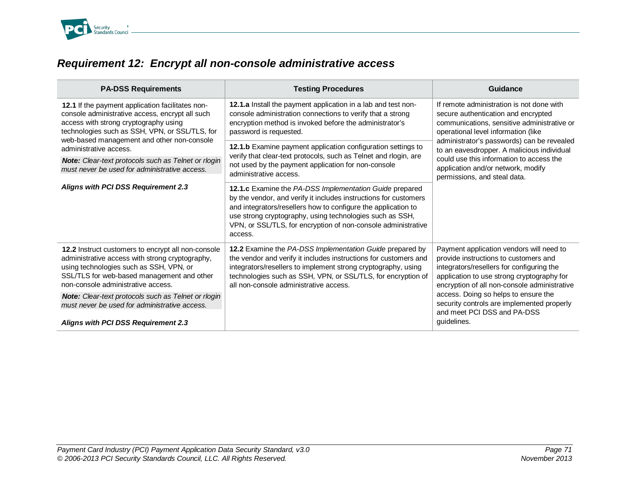

# *Requirement 12: Encrypt all non-console administrative access*

| <b>PA-DSS Requirements</b>                                                                                                                                                                                                                   | <b>Testing Procedures</b>                                                                                                                                                                                                                                                                                                            | Guidance                                                                                                                                                                                                                                                                                                                                                                             |
|----------------------------------------------------------------------------------------------------------------------------------------------------------------------------------------------------------------------------------------------|--------------------------------------------------------------------------------------------------------------------------------------------------------------------------------------------------------------------------------------------------------------------------------------------------------------------------------------|--------------------------------------------------------------------------------------------------------------------------------------------------------------------------------------------------------------------------------------------------------------------------------------------------------------------------------------------------------------------------------------|
| 12.1 If the payment application facilitates non-<br>console administrative access, encrypt all such<br>access with strong cryptography using<br>technologies such as SSH, VPN, or SSL/TLS, for<br>web-based management and other non-console | 12.1.a Install the payment application in a lab and test non-<br>console administration connections to verify that a strong<br>encryption method is invoked before the administrator's<br>password is requested.                                                                                                                     | If remote administration is not done with<br>secure authentication and encrypted<br>communications, sensitive administrative or<br>operational level information (like<br>administrator's passwords) can be revealed<br>to an eavesdropper. A malicious individual<br>could use this information to access the<br>application and/or network, modify<br>permissions, and steal data. |
| administrative access.                                                                                                                                                                                                                       | 12.1.b Examine payment application configuration settings to                                                                                                                                                                                                                                                                         |                                                                                                                                                                                                                                                                                                                                                                                      |
| Note: Clear-text protocols such as Telnet or rlogin<br>must never be used for administrative access.                                                                                                                                         | verify that clear-text protocols, such as Telnet and rlogin, are<br>not used by the payment application for non-console<br>administrative access.                                                                                                                                                                                    |                                                                                                                                                                                                                                                                                                                                                                                      |
| Aligns with PCI DSS Requirement 2.3                                                                                                                                                                                                          | 12.1.c Examine the PA-DSS Implementation Guide prepared<br>by the vendor, and verify it includes instructions for customers<br>and integrators/resellers how to configure the application to<br>use strong cryptography, using technologies such as SSH,<br>VPN, or SSL/TLS, for encryption of non-console administrative<br>access. |                                                                                                                                                                                                                                                                                                                                                                                      |
| 12.2 Instruct customers to encrypt all non-console<br>administrative access with strong cryptography,<br>using technologies such as SSH, VPN, or<br>SSL/TLS for web-based management and other<br>non-console administrative access.         | 12.2 Examine the PA-DSS Implementation Guide prepared by<br>the vendor and verify it includes instructions for customers and<br>integrators/resellers to implement strong cryptography, using<br>technologies such as SSH, VPN, or SSL/TLS, for encryption of<br>all non-console administrative access.                              | Payment application vendors will need to<br>provide instructions to customers and<br>integrators/resellers for configuring the<br>application to use strong cryptography for<br>encryption of all non-console administrative                                                                                                                                                         |
| <b>Note:</b> Clear-text protocols such as Telnet or rlogin<br>must never be used for administrative access.                                                                                                                                  |                                                                                                                                                                                                                                                                                                                                      | access. Doing so helps to ensure the<br>security controls are implemented properly<br>and meet PCI DSS and PA-DSS                                                                                                                                                                                                                                                                    |
| Aligns with PCI DSS Requirement 2.3                                                                                                                                                                                                          |                                                                                                                                                                                                                                                                                                                                      | quidelines.                                                                                                                                                                                                                                                                                                                                                                          |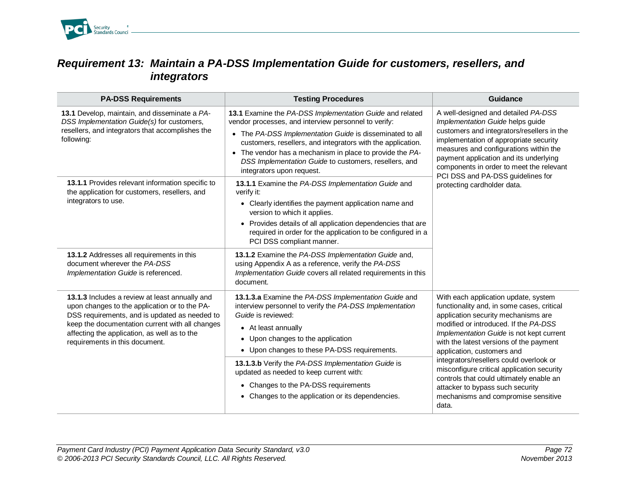

### *Requirement 13: Maintain a PA-DSS Implementation Guide for customers, resellers, and integrators*

| <b>PA-DSS Requirements</b>                                                                                                                                                                                                                                                            | <b>Testing Procedures</b>                                                                                                                                                                                                                                                                                                                                                                                                                       | <b>Guidance</b>                                                                                                                                                                                                                                                                                                                                                                                                                                                                                                  |
|---------------------------------------------------------------------------------------------------------------------------------------------------------------------------------------------------------------------------------------------------------------------------------------|-------------------------------------------------------------------------------------------------------------------------------------------------------------------------------------------------------------------------------------------------------------------------------------------------------------------------------------------------------------------------------------------------------------------------------------------------|------------------------------------------------------------------------------------------------------------------------------------------------------------------------------------------------------------------------------------------------------------------------------------------------------------------------------------------------------------------------------------------------------------------------------------------------------------------------------------------------------------------|
| 13.1 Develop, maintain, and disseminate a PA-<br>DSS Implementation Guide(s) for customers,<br>resellers, and integrators that accomplishes the<br>following:                                                                                                                         | 13.1 Examine the PA-DSS Implementation Guide and related<br>vendor processes, and interview personnel to verify:<br>• The PA-DSS Implementation Guide is disseminated to all<br>customers, resellers, and integrators with the application.<br>• The vendor has a mechanism in place to provide the PA-<br>DSS Implementation Guide to customers, resellers, and<br>integrators upon request.                                                   | A well-designed and detailed PA-DSS<br>Implementation Guide helps guide<br>customers and integrators/resellers in the<br>implementation of appropriate security<br>measures and configurations within the<br>payment application and its underlying<br>components in order to meet the relevant                                                                                                                                                                                                                  |
| 13.1.1 Provides relevant information specific to<br>the application for customers, resellers, and<br>integrators to use.                                                                                                                                                              | 13.1.1 Examine the PA-DSS Implementation Guide and<br>verify it:<br>• Clearly identifies the payment application name and<br>version to which it applies.<br>• Provides details of all application dependencies that are<br>required in order for the application to be configured in a<br>PCI DSS compliant manner.                                                                                                                            | PCI DSS and PA-DSS guidelines for<br>protecting cardholder data.                                                                                                                                                                                                                                                                                                                                                                                                                                                 |
| 13.1.2 Addresses all requirements in this<br>document wherever the PA-DSS<br>Implementation Guide is referenced.                                                                                                                                                                      | 13.1.2 Examine the PA-DSS Implementation Guide and,<br>using Appendix A as a reference, verify the PA-DSS<br>Implementation Guide covers all related requirements in this<br>document.                                                                                                                                                                                                                                                          |                                                                                                                                                                                                                                                                                                                                                                                                                                                                                                                  |
| 13.1.3 Includes a review at least annually and<br>upon changes to the application or to the PA-<br>DSS requirements, and is updated as needed to<br>keep the documentation current with all changes<br>affecting the application, as well as to the<br>requirements in this document. | 13.1.3.a Examine the PA-DSS Implementation Guide and<br>interview personnel to verify the PA-DSS Implementation<br>Guide is reviewed:<br>• At least annually<br>• Upon changes to the application<br>• Upon changes to these PA-DSS requirements.<br>13.1.3.b Verify the PA-DSS Implementation Guide is<br>updated as needed to keep current with:<br>• Changes to the PA-DSS requirements<br>• Changes to the application or its dependencies. | With each application update, system<br>functionality and, in some cases, critical<br>application security mechanisms are<br>modified or introduced. If the PA-DSS<br>Implementation Guide is not kept current<br>with the latest versions of the payment<br>application, customers and<br>integrators/resellers could overlook or<br>misconfigure critical application security<br>controls that could ultimately enable an<br>attacker to bypass such security<br>mechanisms and compromise sensitive<br>data. |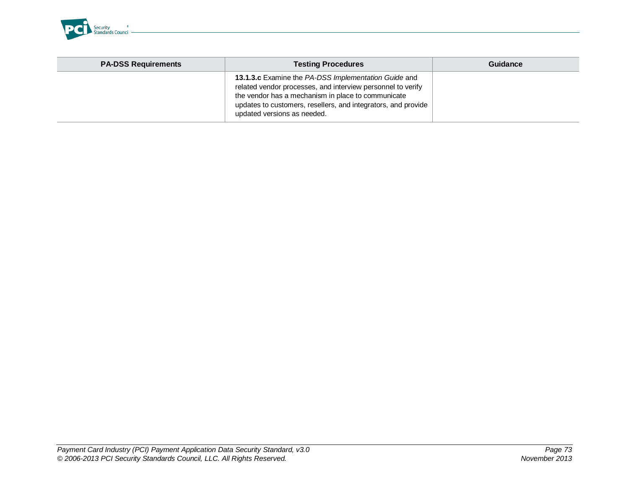

| <b>PA-DSS Requirements</b> | <b>Testing Procedures</b>                                                                                                                                                                                                                                                 | Guidance |
|----------------------------|---------------------------------------------------------------------------------------------------------------------------------------------------------------------------------------------------------------------------------------------------------------------------|----------|
|                            | 13.1.3.c Examine the PA-DSS Implementation Guide and<br>related vendor processes, and interview personnel to verify<br>the vendor has a mechanism in place to communicate<br>updates to customers, resellers, and integrators, and provide<br>updated versions as needed. |          |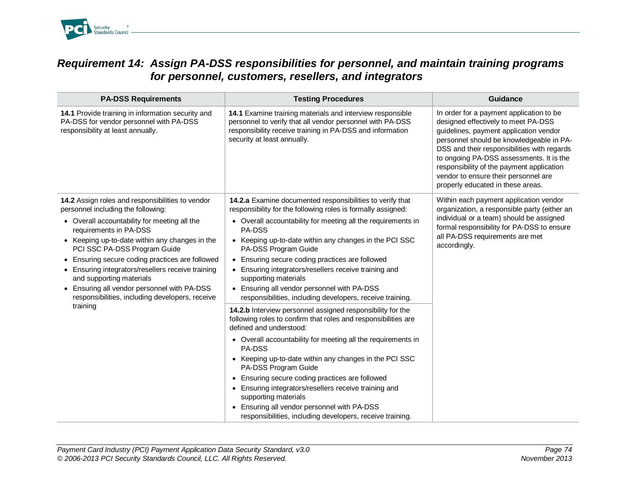

## *Requirement 14: Assign PA-DSS responsibilities for personnel, and maintain training programs for personnel, customers, resellers, and integrators*

| <b>PA-DSS Requirements</b>                                                                                                                                                                                                                                                                                                                                                                                                                                                                           | <b>Testing Procedures</b>                                                                                                                                                                                                                                                                                                                                                                                                                                                                                                                                                                                                                                                                                                                                                                                                                                                                                                                                                                                                                              | Guidance                                                                                                                                                                                                                                                                                                                                                                                   |
|------------------------------------------------------------------------------------------------------------------------------------------------------------------------------------------------------------------------------------------------------------------------------------------------------------------------------------------------------------------------------------------------------------------------------------------------------------------------------------------------------|--------------------------------------------------------------------------------------------------------------------------------------------------------------------------------------------------------------------------------------------------------------------------------------------------------------------------------------------------------------------------------------------------------------------------------------------------------------------------------------------------------------------------------------------------------------------------------------------------------------------------------------------------------------------------------------------------------------------------------------------------------------------------------------------------------------------------------------------------------------------------------------------------------------------------------------------------------------------------------------------------------------------------------------------------------|--------------------------------------------------------------------------------------------------------------------------------------------------------------------------------------------------------------------------------------------------------------------------------------------------------------------------------------------------------------------------------------------|
| 14.1 Provide training in information security and<br>PA-DSS for vendor personnel with PA-DSS<br>responsibility at least annually.                                                                                                                                                                                                                                                                                                                                                                    | 14.1 Examine training materials and interview responsible<br>personnel to verify that all vendor personnel with PA-DSS<br>responsibility receive training in PA-DSS and information<br>security at least annually.                                                                                                                                                                                                                                                                                                                                                                                                                                                                                                                                                                                                                                                                                                                                                                                                                                     | In order for a payment application to be<br>designed effectively to meet PA-DSS<br>guidelines, payment application vendor<br>personnel should be knowledgeable in PA-<br>DSS and their responsibilities with regards<br>to ongoing PA-DSS assessments. It is the<br>responsibility of the payment application<br>vendor to ensure their personnel are<br>properly educated in these areas. |
| 14.2 Assign roles and responsibilities to vendor<br>personnel including the following:<br>• Overall accountability for meeting all the<br>requirements in PA-DSS<br>• Keeping up-to-date within any changes in the<br>PCI SSC PA-DSS Program Guide<br>• Ensuring secure coding practices are followed<br>• Ensuring integrators/resellers receive training<br>and supporting materials<br>• Ensuring all vendor personnel with PA-DSS<br>responsibilities, including developers, receive<br>training | 14.2.a Examine documented responsibilities to verify that<br>responsibility for the following roles is formally assigned:<br>• Overall accountability for meeting all the requirements in<br>PA-DSS<br>• Keeping up-to-date within any changes in the PCI SSC<br>PA-DSS Program Guide<br>• Ensuring secure coding practices are followed<br>• Ensuring integrators/resellers receive training and<br>supporting materials<br>• Ensuring all vendor personnel with PA-DSS<br>responsibilities, including developers, receive training.<br>14.2.b Interview personnel assigned responsibility for the<br>following roles to confirm that roles and responsibilities are<br>defined and understood:<br>• Overall accountability for meeting all the requirements in<br><b>PA-DSS</b><br>• Keeping up-to-date within any changes in the PCI SSC<br>PA-DSS Program Guide<br>• Ensuring secure coding practices are followed<br>• Ensuring integrators/resellers receive training and<br>supporting materials<br>• Ensuring all vendor personnel with PA-DSS | Within each payment application vendor<br>organization, a responsible party (either an<br>individual or a team) should be assigned<br>formal responsibility for PA-DSS to ensure<br>all PA-DSS requirements are met<br>accordingly.                                                                                                                                                        |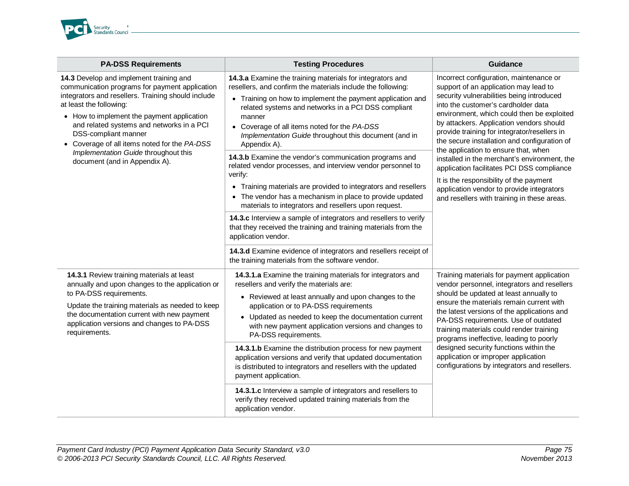

| <b>PA-DSS Requirements</b>                                                                                                                                                                                                                                                                                                                                                                                             | <b>Testing Procedures</b>                                                                                                                                                                                                                                                                                                                                                                                                                                                                                 | <b>Guidance</b>                                                                                                                                                                                                                                                                                                                                                                                                                                                                                      |
|------------------------------------------------------------------------------------------------------------------------------------------------------------------------------------------------------------------------------------------------------------------------------------------------------------------------------------------------------------------------------------------------------------------------|-----------------------------------------------------------------------------------------------------------------------------------------------------------------------------------------------------------------------------------------------------------------------------------------------------------------------------------------------------------------------------------------------------------------------------------------------------------------------------------------------------------|------------------------------------------------------------------------------------------------------------------------------------------------------------------------------------------------------------------------------------------------------------------------------------------------------------------------------------------------------------------------------------------------------------------------------------------------------------------------------------------------------|
| 14.3 Develop and implement training and<br>communication programs for payment application<br>integrators and resellers. Training should include<br>at least the following:<br>• How to implement the payment application<br>and related systems and networks in a PCI<br>DSS-compliant manner<br>• Coverage of all items noted for the PA-DSS<br>Implementation Guide throughout this<br>document (and in Appendix A). | 14.3.a Examine the training materials for integrators and<br>resellers, and confirm the materials include the following:<br>• Training on how to implement the payment application and<br>related systems and networks in a PCI DSS compliant<br>manner<br>• Coverage of all items noted for the PA-DSS<br>Implementation Guide throughout this document (and in<br>Appendix A).<br>14.3.b Examine the vendor's communication programs and<br>related vendor processes, and interview vendor personnel to | Incorrect configuration, maintenance or<br>support of an application may lead to<br>security vulnerabilities being introduced<br>into the customer's cardholder data<br>environment, which could then be exploited<br>by attackers. Application vendors should<br>provide training for integrator/resellers in<br>the secure installation and configuration of<br>the application to ensure that, when<br>installed in the merchant's environment, the<br>application facilitates PCI DSS compliance |
|                                                                                                                                                                                                                                                                                                                                                                                                                        | verify:<br>• Training materials are provided to integrators and resellers<br>• The vendor has a mechanism in place to provide updated<br>materials to integrators and resellers upon request.                                                                                                                                                                                                                                                                                                             | It is the responsibility of the payment<br>application vendor to provide integrators<br>and resellers with training in these areas.                                                                                                                                                                                                                                                                                                                                                                  |
|                                                                                                                                                                                                                                                                                                                                                                                                                        | 14.3.c Interview a sample of integrators and resellers to verify<br>that they received the training and training materials from the<br>application vendor.                                                                                                                                                                                                                                                                                                                                                |                                                                                                                                                                                                                                                                                                                                                                                                                                                                                                      |
|                                                                                                                                                                                                                                                                                                                                                                                                                        | 14.3.d Examine evidence of integrators and resellers receipt of<br>the training materials from the software vendor.                                                                                                                                                                                                                                                                                                                                                                                       |                                                                                                                                                                                                                                                                                                                                                                                                                                                                                                      |
| 14.3.1 Review training materials at least<br>annually and upon changes to the application or<br>to PA-DSS requirements.<br>Update the training materials as needed to keep<br>the documentation current with new payment<br>application versions and changes to PA-DSS<br>requirements.                                                                                                                                | 14.3.1.a Examine the training materials for integrators and<br>resellers and verify the materials are:<br>• Reviewed at least annually and upon changes to the<br>application or to PA-DSS requirements<br>• Updated as needed to keep the documentation current<br>with new payment application versions and changes to<br>PA-DSS requirements.                                                                                                                                                          | Training materials for payment application<br>vendor personnel, integrators and resellers<br>should be updated at least annually to<br>ensure the materials remain current with<br>the latest versions of the applications and<br>PA-DSS requirements. Use of outdated<br>training materials could render training<br>programs ineffective, leading to poorly<br>designed security functions within the                                                                                              |
|                                                                                                                                                                                                                                                                                                                                                                                                                        | 14.3.1.b Examine the distribution process for new payment<br>application versions and verify that updated documentation<br>is distributed to integrators and resellers with the updated<br>payment application.                                                                                                                                                                                                                                                                                           | application or improper application<br>configurations by integrators and resellers.                                                                                                                                                                                                                                                                                                                                                                                                                  |
|                                                                                                                                                                                                                                                                                                                                                                                                                        | 14.3.1.c Interview a sample of integrators and resellers to<br>verify they received updated training materials from the<br>application vendor.                                                                                                                                                                                                                                                                                                                                                            |                                                                                                                                                                                                                                                                                                                                                                                                                                                                                                      |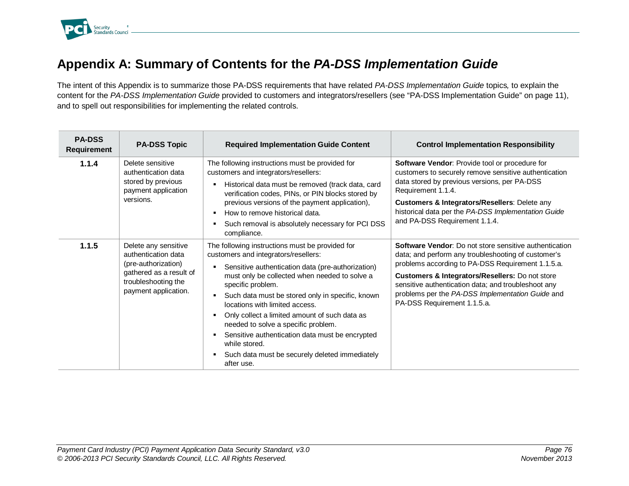

## **Appendix A: Summary of Contents for the** *PA-DSS Implementation Guide*

The intent of this Appendix is to summarize those PA-DSS requirements that have related *PA-DSS Implementation Guide* topics*,* to explain the content for the *PA-DSS Implementation Guide* provided to customers and integrators/resellers (see "PA-DSS Implementation Guide" on page 11), and to spell out responsibilities for implementing the related controls.

| <b>PA-DSS</b><br><b>Requirement</b> | <b>PA-DSS Topic</b>                                                                                                                          | <b>Required Implementation Guide Content</b>                                                                                                                                                                                                                                                                                                                                                                                                                                                                                                              | <b>Control Implementation Responsibility</b>                                                                                                                                                                                                                                                                                                                           |
|-------------------------------------|----------------------------------------------------------------------------------------------------------------------------------------------|-----------------------------------------------------------------------------------------------------------------------------------------------------------------------------------------------------------------------------------------------------------------------------------------------------------------------------------------------------------------------------------------------------------------------------------------------------------------------------------------------------------------------------------------------------------|------------------------------------------------------------------------------------------------------------------------------------------------------------------------------------------------------------------------------------------------------------------------------------------------------------------------------------------------------------------------|
| 1.1.4                               | Delete sensitive<br>authentication data<br>stored by previous<br>payment application<br>versions.                                            | The following instructions must be provided for<br>customers and integrators/resellers:<br>Historical data must be removed (track data, card<br>٠<br>verification codes, PINs, or PIN blocks stored by<br>previous versions of the payment application),<br>How to remove historical data.<br>۰.<br>Such removal is absolutely necessary for PCI DSS<br>٠<br>compliance.                                                                                                                                                                                  | Software Vendor: Provide tool or procedure for<br>customers to securely remove sensitive authentication<br>data stored by previous versions, per PA-DSS<br>Requirement 1.1.4.<br>Customers & Integrators/Resellers: Delete any<br>historical data per the PA-DSS Implementation Guide<br>and PA-DSS Requirement 1.1.4.                                                 |
| 1.1.5                               | Delete any sensitive<br>authentication data<br>(pre-authorization)<br>gathered as a result of<br>troubleshooting the<br>payment application. | The following instructions must be provided for<br>customers and integrators/resellers:<br>Sensitive authentication data (pre-authorization)<br>must only be collected when needed to solve a<br>specific problem.<br>Such data must be stored only in specific, known<br>٠<br>locations with limited access.<br>Only collect a limited amount of such data as<br>л.<br>needed to solve a specific problem.<br>Sensitive authentication data must be encrypted<br>٠<br>while stored.<br>Such data must be securely deleted immediately<br>٠<br>after use. | <b>Software Vendor:</b> Do not store sensitive authentication<br>data; and perform any troubleshooting of customer's<br>problems according to PA-DSS Requirement 1.1.5.a.<br>Customers & Integrators/Resellers: Do not store<br>sensitive authentication data; and troubleshoot any<br>problems per the PA-DSS Implementation Guide and<br>PA-DSS Requirement 1.1.5.a. |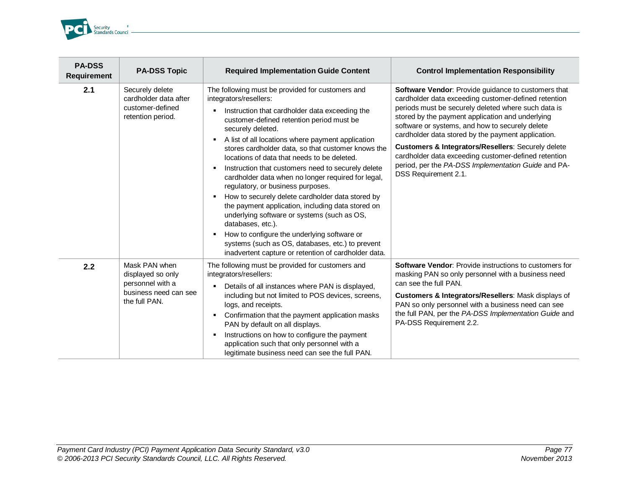

| <b>PA-DSS</b><br><b>Requirement</b> | <b>PA-DSS Topic</b>                                                                              | <b>Required Implementation Guide Content</b>                                                                                                                                                                                                                                                                                                                                                                                                                                                                                                                                                                                                                                                                                                                                                                                                                          | <b>Control Implementation Responsibility</b>                                                                                                                                                                                                                                                                                                                                                                                                                                                                                 |
|-------------------------------------|--------------------------------------------------------------------------------------------------|-----------------------------------------------------------------------------------------------------------------------------------------------------------------------------------------------------------------------------------------------------------------------------------------------------------------------------------------------------------------------------------------------------------------------------------------------------------------------------------------------------------------------------------------------------------------------------------------------------------------------------------------------------------------------------------------------------------------------------------------------------------------------------------------------------------------------------------------------------------------------|------------------------------------------------------------------------------------------------------------------------------------------------------------------------------------------------------------------------------------------------------------------------------------------------------------------------------------------------------------------------------------------------------------------------------------------------------------------------------------------------------------------------------|
| 2.1                                 | Securely delete<br>cardholder data after<br>customer-defined<br>retention period.                | The following must be provided for customers and<br>integrators/resellers:<br>Instruction that cardholder data exceeding the<br>customer-defined retention period must be<br>securely deleted.<br>A list of all locations where payment application<br>٠<br>stores cardholder data, so that customer knows the<br>locations of data that needs to be deleted.<br>Instruction that customers need to securely delete<br>٠<br>cardholder data when no longer required for legal,<br>regulatory, or business purposes.<br>How to securely delete cardholder data stored by<br>٠<br>the payment application, including data stored on<br>underlying software or systems (such as OS,<br>databases, etc.).<br>How to configure the underlying software or<br>٠<br>systems (such as OS, databases, etc.) to prevent<br>inadvertent capture or retention of cardholder data. | Software Vendor: Provide guidance to customers that<br>cardholder data exceeding customer-defined retention<br>periods must be securely deleted where such data is<br>stored by the payment application and underlying<br>software or systems, and how to securely delete<br>cardholder data stored by the payment application.<br>Customers & Integrators/Resellers: Securely delete<br>cardholder data exceeding customer-defined retention<br>period, per the PA-DSS Implementation Guide and PA-<br>DSS Requirement 2.1. |
| 2.2                                 | Mask PAN when<br>displayed so only<br>personnel with a<br>business need can see<br>the full PAN. | The following must be provided for customers and<br>integrators/resellers:<br>Details of all instances where PAN is displayed,<br>including but not limited to POS devices, screens,<br>logs, and receipts.<br>Confirmation that the payment application masks<br>٠<br>PAN by default on all displays.<br>Instructions on how to configure the payment<br>٠<br>application such that only personnel with a<br>legitimate business need can see the full PAN.                                                                                                                                                                                                                                                                                                                                                                                                          | <b>Software Vendor: Provide instructions to customers for</b><br>masking PAN so only personnel with a business need<br>can see the full PAN.<br>Customers & Integrators/Resellers: Mask displays of<br>PAN so only personnel with a business need can see<br>the full PAN, per the PA-DSS Implementation Guide and<br>PA-DSS Requirement 2.2.                                                                                                                                                                                |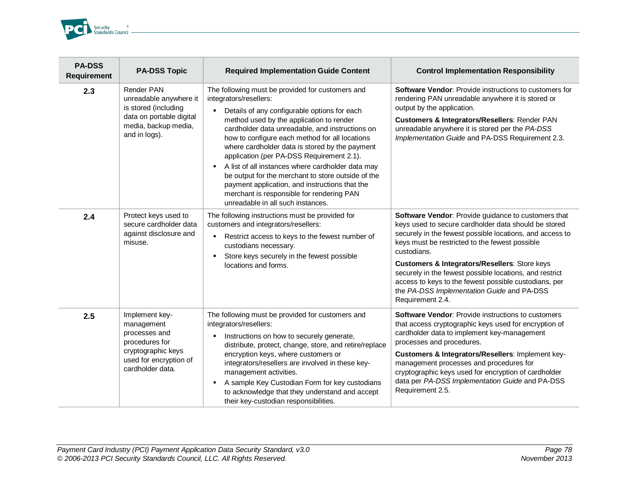

| <b>PA-DSS</b><br><b>Requirement</b> | <b>PA-DSS Topic</b>                                                                                                                 | <b>Required Implementation Guide Content</b>                                                                                                                                                                                                                                                                                                                                                                                                                                                                                                                                                                                   | <b>Control Implementation Responsibility</b>                                                                                                                                                                                                                                                                                                                                                                                                                                               |
|-------------------------------------|-------------------------------------------------------------------------------------------------------------------------------------|--------------------------------------------------------------------------------------------------------------------------------------------------------------------------------------------------------------------------------------------------------------------------------------------------------------------------------------------------------------------------------------------------------------------------------------------------------------------------------------------------------------------------------------------------------------------------------------------------------------------------------|--------------------------------------------------------------------------------------------------------------------------------------------------------------------------------------------------------------------------------------------------------------------------------------------------------------------------------------------------------------------------------------------------------------------------------------------------------------------------------------------|
| 2.3                                 | Render PAN<br>unreadable anywhere it<br>is stored (including<br>data on portable digital<br>media, backup media,<br>and in logs).   | The following must be provided for customers and<br>integrators/resellers:<br>Details of any configurable options for each<br>method used by the application to render<br>cardholder data unreadable, and instructions on<br>how to configure each method for all locations<br>where cardholder data is stored by the payment<br>application (per PA-DSS Requirement 2.1).<br>A list of all instances where cardholder data may<br>٠<br>be output for the merchant to store outside of the<br>payment application, and instructions that the<br>merchant is responsible for rendering PAN<br>unreadable in all such instances. | <b>Software Vendor: Provide instructions to customers for</b><br>rendering PAN unreadable anywhere it is stored or<br>output by the application.<br>Customers & Integrators/Resellers: Render PAN<br>unreadable anywhere it is stored per the PA-DSS<br>Implementation Guide and PA-DSS Requirement 2.3.                                                                                                                                                                                   |
| 2.4                                 | Protect keys used to<br>secure cardholder data<br>against disclosure and<br>misuse.                                                 | The following instructions must be provided for<br>customers and integrators/resellers:<br>Restrict access to keys to the fewest number of<br>$\blacksquare$<br>custodians necessary.<br>Store keys securely in the fewest possible<br>٠<br>locations and forms.                                                                                                                                                                                                                                                                                                                                                               | Software Vendor: Provide guidance to customers that<br>keys used to secure cardholder data should be stored<br>securely in the fewest possible locations, and access to<br>keys must be restricted to the fewest possible<br>custodians.<br><b>Customers &amp; Integrators/Resellers: Store keys</b><br>securely in the fewest possible locations, and restrict<br>access to keys to the fewest possible custodians, per<br>the PA-DSS Implementation Guide and PA-DSS<br>Requirement 2.4. |
| 2.5                                 | Implement key-<br>management<br>processes and<br>procedures for<br>cryptographic keys<br>used for encryption of<br>cardholder data. | The following must be provided for customers and<br>integrators/resellers:<br>Instructions on how to securely generate,<br>٠<br>distribute, protect, change, store, and retire/replace<br>encryption keys, where customers or<br>integrators/resellers are involved in these key-<br>management activities.<br>A sample Key Custodian Form for key custodians<br>л.<br>to acknowledge that they understand and accept<br>their key-custodian responsibilities.                                                                                                                                                                 | <b>Software Vendor: Provide instructions to customers</b><br>that access cryptographic keys used for encryption of<br>cardholder data to implement key-management<br>processes and procedures.<br>Customers & Integrators/Resellers: Implement key-<br>management processes and procedures for<br>cryptographic keys used for encryption of cardholder<br>data per PA-DSS Implementation Guide and PA-DSS<br>Requirement 2.5.                                                              |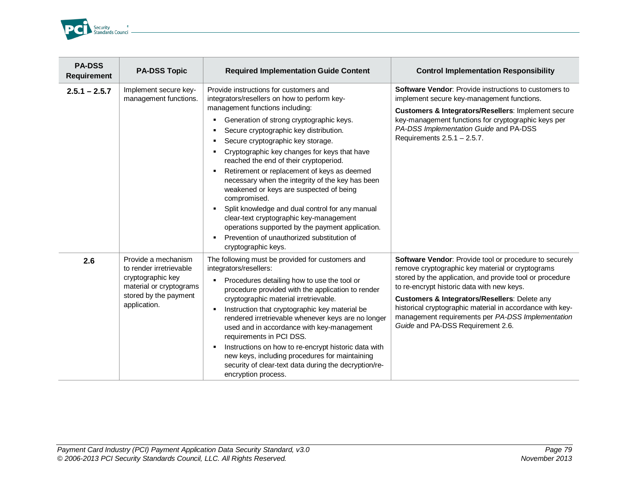

| <b>PA-DSS</b><br><b>Requirement</b> | <b>PA-DSS Topic</b>                                                                                                                     | <b>Required Implementation Guide Content</b>                                                                                                                                                                                                                                                                                                                                                                                                                                                                                                                                                                                                                                                                                                                      | <b>Control Implementation Responsibility</b>                                                                                                                                                                                                                                                                                                                                                                                 |
|-------------------------------------|-----------------------------------------------------------------------------------------------------------------------------------------|-------------------------------------------------------------------------------------------------------------------------------------------------------------------------------------------------------------------------------------------------------------------------------------------------------------------------------------------------------------------------------------------------------------------------------------------------------------------------------------------------------------------------------------------------------------------------------------------------------------------------------------------------------------------------------------------------------------------------------------------------------------------|------------------------------------------------------------------------------------------------------------------------------------------------------------------------------------------------------------------------------------------------------------------------------------------------------------------------------------------------------------------------------------------------------------------------------|
| $2.5.1 - 2.5.7$                     | Implement secure key-<br>management functions.                                                                                          | Provide instructions for customers and<br>integrators/resellers on how to perform key-<br>management functions including:<br>Generation of strong cryptographic keys.<br>٠<br>Secure cryptographic key distribution.<br>٠<br>Secure cryptographic key storage.<br>٠<br>Cryptographic key changes for keys that have<br>reached the end of their cryptoperiod.<br>Retirement or replacement of keys as deemed<br>٠<br>necessary when the integrity of the key has been<br>weakened or keys are suspected of being<br>compromised.<br>Split knowledge and dual control for any manual<br>٠<br>clear-text cryptographic key-management<br>operations supported by the payment application.<br>Prevention of unauthorized substitution of<br>٠<br>cryptographic keys. | <b>Software Vendor: Provide instructions to customers to</b><br>implement secure key-management functions.<br>Customers & Integrators/Resellers: Implement secure<br>key-management functions for cryptographic keys per<br>PA-DSS Implementation Guide and PA-DSS<br>Requirements 2.5.1 - 2.5.7.                                                                                                                            |
| 2.6                                 | Provide a mechanism<br>to render irretrievable<br>cryptographic key<br>material or cryptograms<br>stored by the payment<br>application. | The following must be provided for customers and<br>integrators/resellers:<br>Procedures detailing how to use the tool or<br>٠<br>procedure provided with the application to render<br>cryptographic material irretrievable.<br>Instruction that cryptographic key material be<br>٠<br>rendered irretrievable whenever keys are no longer<br>used and in accordance with key-management<br>requirements in PCI DSS.<br>Instructions on how to re-encrypt historic data with<br>٠<br>new keys, including procedures for maintaining<br>security of clear-text data during the decryption/re-<br>encryption process.                                                                                                                                                | Software Vendor: Provide tool or procedure to securely<br>remove cryptographic key material or cryptograms<br>stored by the application, and provide tool or procedure<br>to re-encrypt historic data with new keys.<br>Customers & Integrators/Resellers: Delete any<br>historical cryptographic material in accordance with key-<br>management requirements per PA-DSS Implementation<br>Guide and PA-DSS Requirement 2.6. |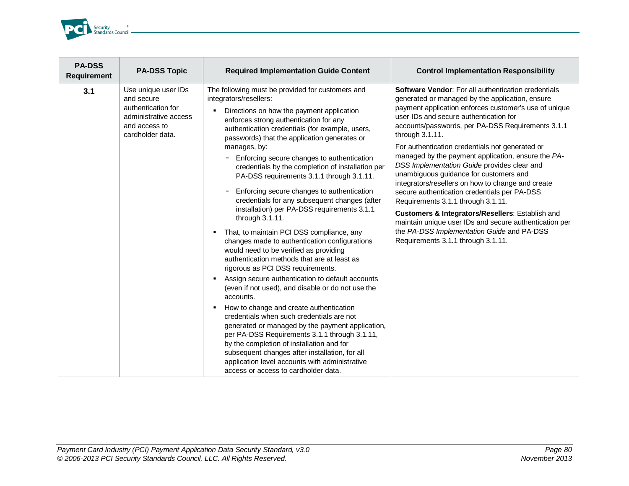

| <b>PA-DSS</b><br><b>Requirement</b> | <b>PA-DSS Topic</b>                                                                                                   | <b>Required Implementation Guide Content</b>                                                                                                                                                                                                                                                                                                                                                                                                                                                                                                                                                                                                                                                                                                                                                                                                                                                                                                                                                                                                                                                                                                                                                                                                                                                                                                                    | <b>Control Implementation Responsibility</b>                                                                                                                                                                                                                                                                                                                                                                                                                                                                                                                                                                                                                                                                                                                                                                                            |
|-------------------------------------|-----------------------------------------------------------------------------------------------------------------------|-----------------------------------------------------------------------------------------------------------------------------------------------------------------------------------------------------------------------------------------------------------------------------------------------------------------------------------------------------------------------------------------------------------------------------------------------------------------------------------------------------------------------------------------------------------------------------------------------------------------------------------------------------------------------------------------------------------------------------------------------------------------------------------------------------------------------------------------------------------------------------------------------------------------------------------------------------------------------------------------------------------------------------------------------------------------------------------------------------------------------------------------------------------------------------------------------------------------------------------------------------------------------------------------------------------------------------------------------------------------|-----------------------------------------------------------------------------------------------------------------------------------------------------------------------------------------------------------------------------------------------------------------------------------------------------------------------------------------------------------------------------------------------------------------------------------------------------------------------------------------------------------------------------------------------------------------------------------------------------------------------------------------------------------------------------------------------------------------------------------------------------------------------------------------------------------------------------------------|
| 3.1                                 | Use unique user IDs<br>and secure<br>authentication for<br>administrative access<br>and access to<br>cardholder data. | The following must be provided for customers and<br>integrators/resellers:<br>Directions on how the payment application<br>٠<br>enforces strong authentication for any<br>authentication credentials (for example, users,<br>passwords) that the application generates or<br>manages, by:<br>Enforcing secure changes to authentication<br>credentials by the completion of installation per<br>PA-DSS requirements 3.1.1 through 3.1.11.<br>Enforcing secure changes to authentication<br>credentials for any subsequent changes (after<br>installation) per PA-DSS requirements 3.1.1<br>through 3.1.11.<br>• That, to maintain PCI DSS compliance, any<br>changes made to authentication configurations<br>would need to be verified as providing<br>authentication methods that are at least as<br>rigorous as PCI DSS requirements.<br>Assign secure authentication to default accounts<br>٠<br>(even if not used), and disable or do not use the<br>accounts.<br>How to change and create authentication<br>٠.<br>credentials when such credentials are not<br>generated or managed by the payment application,<br>per PA-DSS Requirements 3.1.1 through 3.1.11,<br>by the completion of installation and for<br>subsequent changes after installation, for all<br>application level accounts with administrative<br>access or access to cardholder data. | <b>Software Vendor:</b> For all authentication credentials<br>generated or managed by the application, ensure<br>payment application enforces customer's use of unique<br>user IDs and secure authentication for<br>accounts/passwords, per PA-DSS Requirements 3.1.1<br>through 3.1.11.<br>For authentication credentials not generated or<br>managed by the payment application, ensure the PA-<br>DSS Implementation Guide provides clear and<br>unambiguous guidance for customers and<br>integrators/resellers on how to change and create<br>secure authentication credentials per PA-DSS<br>Requirements 3.1.1 through 3.1.11.<br>Customers & Integrators/Resellers: Establish and<br>maintain unique user IDs and secure authentication per<br>the PA-DSS Implementation Guide and PA-DSS<br>Requirements 3.1.1 through 3.1.11. |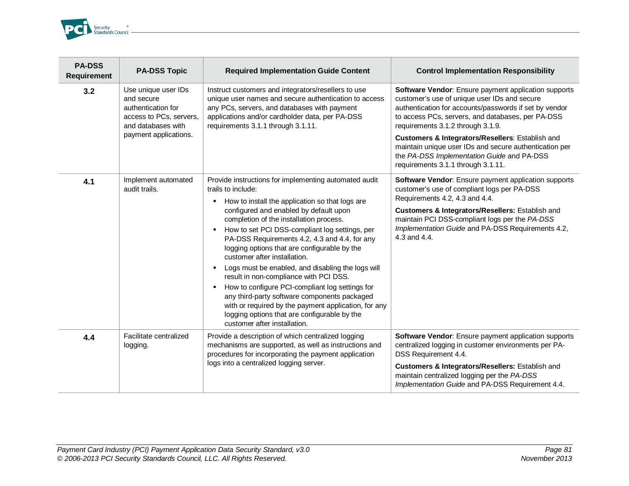

| <b>PA-DSS</b><br><b>Requirement</b> | <b>PA-DSS Topic</b>                                                                                      | <b>Required Implementation Guide Content</b>                                                                                                                                                                                                                                                                                                                                                                                                                                                                                                                                                                                                                                                                                            | <b>Control Implementation Responsibility</b>                                                                                                                                                                                                                                                                     |
|-------------------------------------|----------------------------------------------------------------------------------------------------------|-----------------------------------------------------------------------------------------------------------------------------------------------------------------------------------------------------------------------------------------------------------------------------------------------------------------------------------------------------------------------------------------------------------------------------------------------------------------------------------------------------------------------------------------------------------------------------------------------------------------------------------------------------------------------------------------------------------------------------------------|------------------------------------------------------------------------------------------------------------------------------------------------------------------------------------------------------------------------------------------------------------------------------------------------------------------|
| 3.2                                 | Use unique user IDs<br>and secure<br>authentication for<br>access to PCs, servers,<br>and databases with | Instruct customers and integrators/resellers to use<br>unique user names and secure authentication to access<br>any PCs, servers, and databases with payment<br>applications and/or cardholder data, per PA-DSS<br>requirements 3.1.1 through 3.1.11.                                                                                                                                                                                                                                                                                                                                                                                                                                                                                   | Software Vendor: Ensure payment application supports<br>customer's use of unique user IDs and secure<br>authentication for accounts/passwords if set by vendor<br>to access PCs, servers, and databases, per PA-DSS<br>requirements 3.1.2 through 3.1.9.                                                         |
|                                     | payment applications.                                                                                    |                                                                                                                                                                                                                                                                                                                                                                                                                                                                                                                                                                                                                                                                                                                                         | Customers & Integrators/Resellers: Establish and<br>maintain unique user IDs and secure authentication per<br>the PA-DSS Implementation Guide and PA-DSS<br>requirements 3.1.1 through 3.1.11.                                                                                                                   |
| 4.1                                 | Implement automated<br>audit trails.                                                                     | Provide instructions for implementing automated audit<br>trails to include:<br>How to install the application so that logs are<br>٠<br>configured and enabled by default upon<br>completion of the installation process.<br>How to set PCI DSS-compliant log settings, per<br>л.<br>PA-DSS Requirements 4.2, 4.3 and 4.4, for any<br>logging options that are configurable by the<br>customer after installation.<br>Logs must be enabled, and disabling the logs will<br>л.<br>result in non-compliance with PCI DSS.<br>How to configure PCI-compliant log settings for<br>л.<br>any third-party software components packaged<br>with or required by the payment application, for any<br>logging options that are configurable by the | Software Vendor: Ensure payment application supports<br>customer's use of compliant logs per PA-DSS<br>Requirements 4.2, 4.3 and 4.4.<br>Customers & Integrators/Resellers: Establish and<br>maintain PCI DSS-compliant logs per the PA-DSS<br>Implementation Guide and PA-DSS Requirements 4.2,<br>4.3 and 4.4. |
| 4.4                                 | Facilitate centralized<br>logging.                                                                       | customer after installation.<br>Provide a description of which centralized logging<br>mechanisms are supported, as well as instructions and<br>procedures for incorporating the payment application<br>logs into a centralized logging server.                                                                                                                                                                                                                                                                                                                                                                                                                                                                                          | Software Vendor: Ensure payment application supports<br>centralized logging in customer environments per PA-<br>DSS Requirement 4.4.<br>Customers & Integrators/Resellers: Establish and<br>maintain centralized logging per the PA-DSS<br>Implementation Guide and PA-DSS Requirement 4.4.                      |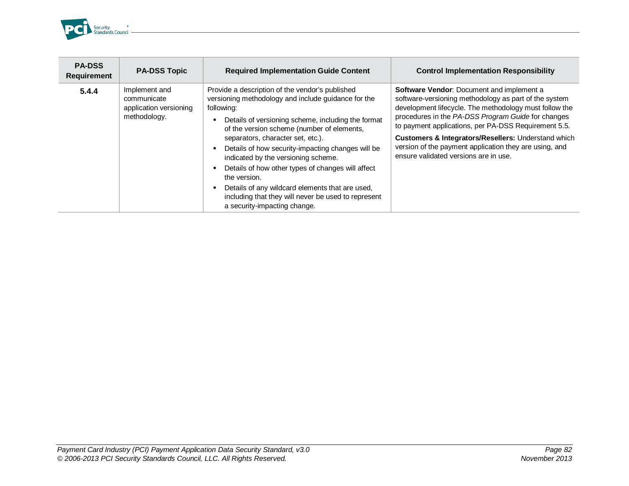

| <b>PA-DSS</b><br><b>Requirement</b> | <b>PA-DSS Topic</b>                                                    | <b>Required Implementation Guide Content</b>                                                                                                                                                                                                                                                                                                                                                                                                                                                                                                                                       | <b>Control Implementation Responsibility</b>                                                                                                                                                                                                                                                                                                                                                                                                    |
|-------------------------------------|------------------------------------------------------------------------|------------------------------------------------------------------------------------------------------------------------------------------------------------------------------------------------------------------------------------------------------------------------------------------------------------------------------------------------------------------------------------------------------------------------------------------------------------------------------------------------------------------------------------------------------------------------------------|-------------------------------------------------------------------------------------------------------------------------------------------------------------------------------------------------------------------------------------------------------------------------------------------------------------------------------------------------------------------------------------------------------------------------------------------------|
| 5.4.4                               | Implement and<br>communicate<br>application versioning<br>methodology. | Provide a description of the vendor's published<br>versioning methodology and include guidance for the<br>following:<br>Details of versioning scheme, including the format<br>of the version scheme (number of elements,<br>separators, character set, etc.).<br>Details of how security-impacting changes will be<br>٠<br>indicated by the versioning scheme.<br>Details of how other types of changes will affect<br>٠<br>the version.<br>Details of any wildcard elements that are used,<br>including that they will never be used to represent<br>a security-impacting change. | Software Vendor: Document and implement a<br>software-versioning methodology as part of the system<br>development lifecycle. The methodology must follow the<br>procedures in the PA-DSS Program Guide for changes<br>to payment applications, per PA-DSS Requirement 5.5.<br><b>Customers &amp; Integrators/Resellers: Understand which</b><br>version of the payment application they are using, and<br>ensure validated versions are in use. |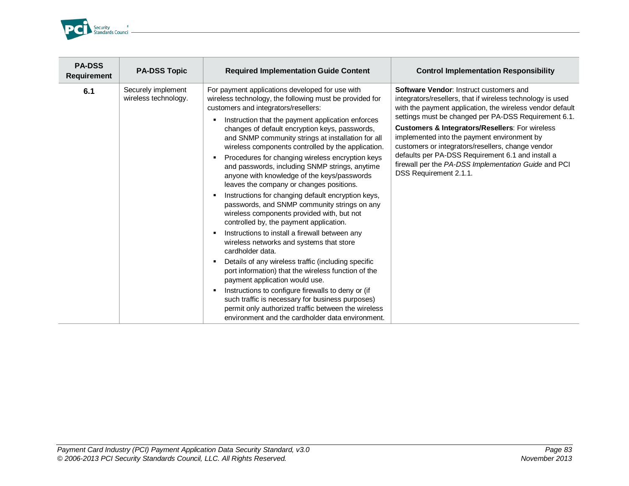

| <b>PA-DSS</b><br><b>Requirement</b> | <b>PA-DSS Topic</b>                        | <b>Required Implementation Guide Content</b>                                                                                                                                                                                                                                                                                                                                                                                                                                                                                                                                                                                                                                                                                                                                                                                                                                                                                                                                                                                                                                                                                                                                                                                                                                               | <b>Control Implementation Responsibility</b>                                                                                                                                                                                                                                                                                                                                                                                                                                                                             |
|-------------------------------------|--------------------------------------------|--------------------------------------------------------------------------------------------------------------------------------------------------------------------------------------------------------------------------------------------------------------------------------------------------------------------------------------------------------------------------------------------------------------------------------------------------------------------------------------------------------------------------------------------------------------------------------------------------------------------------------------------------------------------------------------------------------------------------------------------------------------------------------------------------------------------------------------------------------------------------------------------------------------------------------------------------------------------------------------------------------------------------------------------------------------------------------------------------------------------------------------------------------------------------------------------------------------------------------------------------------------------------------------------|--------------------------------------------------------------------------------------------------------------------------------------------------------------------------------------------------------------------------------------------------------------------------------------------------------------------------------------------------------------------------------------------------------------------------------------------------------------------------------------------------------------------------|
| 6.1                                 | Securely implement<br>wireless technology. | For payment applications developed for use with<br>wireless technology, the following must be provided for<br>customers and integrators/resellers:<br>Instruction that the payment application enforces<br>٠<br>changes of default encryption keys, passwords,<br>and SNMP community strings at installation for all<br>wireless components controlled by the application.<br>Procedures for changing wireless encryption keys<br>٠<br>and passwords, including SNMP strings, anytime<br>anyone with knowledge of the keys/passwords<br>leaves the company or changes positions.<br>Instructions for changing default encryption keys,<br>٠<br>passwords, and SNMP community strings on any<br>wireless components provided with, but not<br>controlled by, the payment application.<br>Instructions to install a firewall between any<br>٠<br>wireless networks and systems that store<br>cardholder data.<br>Details of any wireless traffic (including specific<br>٠<br>port information) that the wireless function of the<br>payment application would use.<br>Instructions to configure firewalls to deny or (if<br>٠<br>such traffic is necessary for business purposes)<br>permit only authorized traffic between the wireless<br>environment and the cardholder data environment. | Software Vendor: Instruct customers and<br>integrators/resellers, that if wireless technology is used<br>with the payment application, the wireless vendor default<br>settings must be changed per PA-DSS Requirement 6.1.<br>Customers & Integrators/Resellers: For wireless<br>implemented into the payment environment by<br>customers or integrators/resellers, change vendor<br>defaults per PA-DSS Requirement 6.1 and install a<br>firewall per the PA-DSS Implementation Guide and PCI<br>DSS Requirement 2.1.1. |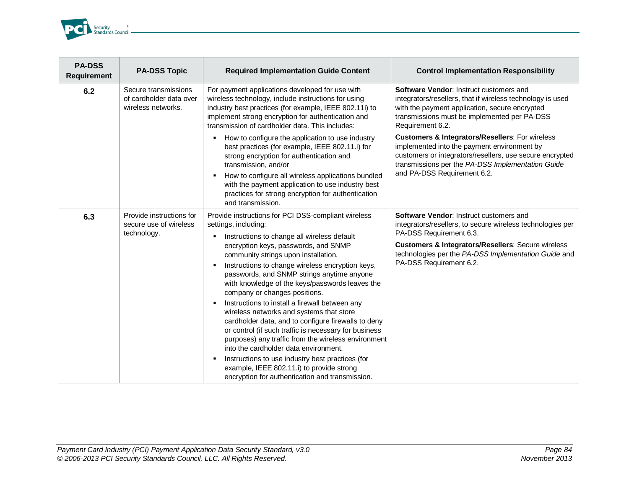

| <b>PA-DSS</b><br><b>Requirement</b> | <b>PA-DSS Topic</b>                                                   | <b>Required Implementation Guide Content</b>                                                                                                                                                                                                                                                                                                                                                                                                                                                                                                                                                                                                                                                                                                                                                                                     | <b>Control Implementation Responsibility</b>                                                                                                                                                                                                                              |
|-------------------------------------|-----------------------------------------------------------------------|----------------------------------------------------------------------------------------------------------------------------------------------------------------------------------------------------------------------------------------------------------------------------------------------------------------------------------------------------------------------------------------------------------------------------------------------------------------------------------------------------------------------------------------------------------------------------------------------------------------------------------------------------------------------------------------------------------------------------------------------------------------------------------------------------------------------------------|---------------------------------------------------------------------------------------------------------------------------------------------------------------------------------------------------------------------------------------------------------------------------|
| 6.2                                 | Secure transmissions<br>of cardholder data over<br>wireless networks. | For payment applications developed for use with<br>wireless technology, include instructions for using<br>industry best practices (for example, IEEE 802.11i) to<br>implement strong encryption for authentication and<br>transmission of cardholder data. This includes:                                                                                                                                                                                                                                                                                                                                                                                                                                                                                                                                                        | Software Vendor: Instruct customers and<br>integrators/resellers, that if wireless technology is used<br>with the payment application, secure encrypted<br>transmissions must be implemented per PA-DSS<br>Requirement 6.2.                                               |
|                                     |                                                                       | How to configure the application to use industry<br>л.<br>best practices (for example, IEEE 802.11.i) for<br>strong encryption for authentication and<br>transmission, and/or<br>How to configure all wireless applications bundled<br>٠<br>with the payment application to use industry best<br>practices for strong encryption for authentication<br>and transmission.                                                                                                                                                                                                                                                                                                                                                                                                                                                         | <b>Customers &amp; Integrators/Resellers: For wireless</b><br>implemented into the payment environment by<br>customers or integrators/resellers, use secure encrypted<br>transmissions per the PA-DSS Implementation Guide<br>and PA-DSS Requirement 6.2.                 |
| 6.3                                 | Provide instructions for<br>secure use of wireless<br>technology.     | Provide instructions for PCI DSS-compliant wireless<br>settings, including:<br>Instructions to change all wireless default<br>encryption keys, passwords, and SNMP<br>community strings upon installation.<br>Instructions to change wireless encryption keys,<br>٠<br>passwords, and SNMP strings anytime anyone<br>with knowledge of the keys/passwords leaves the<br>company or changes positions.<br>Instructions to install a firewall between any<br>л.<br>wireless networks and systems that store<br>cardholder data, and to configure firewalls to deny<br>or control (if such traffic is necessary for business<br>purposes) any traffic from the wireless environment<br>into the cardholder data environment.<br>Instructions to use industry best practices (for<br>л.<br>example, IEEE 802.11.i) to provide strong | Software Vendor: Instruct customers and<br>integrators/resellers, to secure wireless technologies per<br>PA-DSS Requirement 6.3.<br>Customers & Integrators/Resellers: Secure wireless<br>technologies per the PA-DSS Implementation Guide and<br>PA-DSS Requirement 6.2. |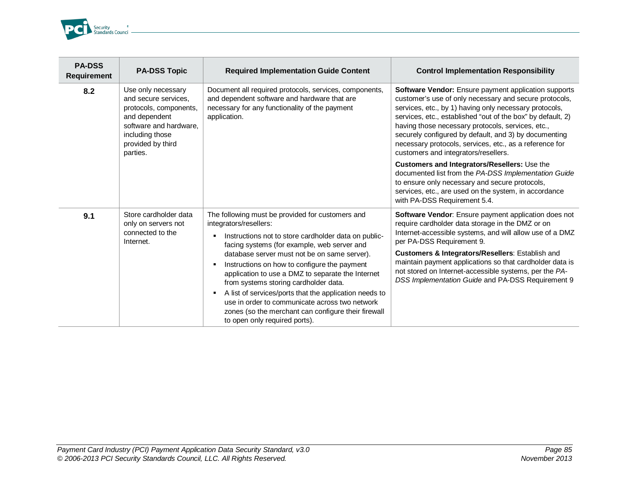

| <b>PA-DSS</b><br><b>Requirement</b> | <b>PA-DSS Topic</b>                                                                                                                                                 | <b>Required Implementation Guide Content</b>                                                                                                                                                                                                                                                                                                                                                                                                                                                                                                                                                  | <b>Control Implementation Responsibility</b>                                                                                                                                                                                                                                                                                                                                                                                                             |
|-------------------------------------|---------------------------------------------------------------------------------------------------------------------------------------------------------------------|-----------------------------------------------------------------------------------------------------------------------------------------------------------------------------------------------------------------------------------------------------------------------------------------------------------------------------------------------------------------------------------------------------------------------------------------------------------------------------------------------------------------------------------------------------------------------------------------------|----------------------------------------------------------------------------------------------------------------------------------------------------------------------------------------------------------------------------------------------------------------------------------------------------------------------------------------------------------------------------------------------------------------------------------------------------------|
| 8.2                                 | Use only necessary<br>and secure services.<br>protocols, components,<br>and dependent<br>software and hardware.<br>including those<br>provided by third<br>parties. | Document all required protocols, services, components,<br>and dependent software and hardware that are<br>necessary for any functionality of the payment<br>application.                                                                                                                                                                                                                                                                                                                                                                                                                      | Software Vendor: Ensure payment application supports<br>customer's use of only necessary and secure protocols,<br>services, etc., by 1) having only necessary protocols,<br>services, etc., established "out of the box" by default, 2)<br>having those necessary protocols, services, etc.,<br>securely configured by default, and 3) by documenting<br>necessary protocols, services, etc., as a reference for<br>customers and integrators/resellers. |
|                                     |                                                                                                                                                                     |                                                                                                                                                                                                                                                                                                                                                                                                                                                                                                                                                                                               | Customers and Integrators/Resellers: Use the<br>documented list from the PA-DSS Implementation Guide<br>to ensure only necessary and secure protocols,<br>services, etc., are used on the system, in accordance<br>with PA-DSS Requirement 5.4.                                                                                                                                                                                                          |
| 9.1                                 | Store cardholder data<br>only on servers not<br>connected to the<br>Internet.                                                                                       | The following must be provided for customers and<br>integrators/resellers:<br>Instructions not to store cardholder data on public-<br>facing systems (for example, web server and<br>database server must not be on same server).<br>Instructions on how to configure the payment<br>٠<br>application to use a DMZ to separate the Internet<br>from systems storing cardholder data.<br>A list of services/ports that the application needs to<br>٠<br>use in order to communicate across two network<br>zones (so the merchant can configure their firewall<br>to open only required ports). | Software Vendor: Ensure payment application does not<br>require cardholder data storage in the DMZ or on<br>Internet-accessible systems, and will allow use of a DMZ<br>per PA-DSS Requirement 9.<br>Customers & Integrators/Resellers: Establish and<br>maintain payment applications so that cardholder data is<br>not stored on Internet-accessible systems, per the PA-<br>DSS Implementation Guide and PA-DSS Requirement 9                         |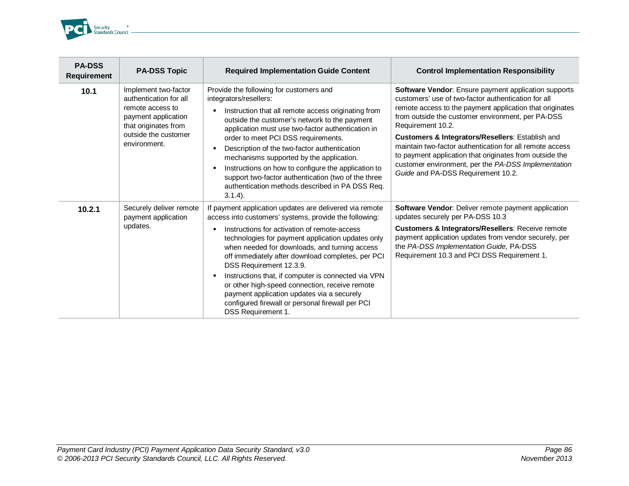

| <b>PA-DSS</b><br><b>Requirement</b> | <b>PA-DSS Topic</b>                                                                                                                                       | <b>Required Implementation Guide Content</b>                                                                                                                                                                                                                                                                                                                                                                                                                                                                                                                                                                                 | <b>Control Implementation Responsibility</b>                                                                                                                                                                                                                                                                                                                                                                                                                                                                              |
|-------------------------------------|-----------------------------------------------------------------------------------------------------------------------------------------------------------|------------------------------------------------------------------------------------------------------------------------------------------------------------------------------------------------------------------------------------------------------------------------------------------------------------------------------------------------------------------------------------------------------------------------------------------------------------------------------------------------------------------------------------------------------------------------------------------------------------------------------|---------------------------------------------------------------------------------------------------------------------------------------------------------------------------------------------------------------------------------------------------------------------------------------------------------------------------------------------------------------------------------------------------------------------------------------------------------------------------------------------------------------------------|
| 10.1                                | Implement two-factor<br>authentication for all<br>remote access to<br>payment application<br>that originates from<br>outside the customer<br>environment. | Provide the following for customers and<br>integrators/resellers:<br>Instruction that all remote access originating from<br>$\blacksquare$<br>outside the customer's network to the payment<br>application must use two-factor authentication in<br>order to meet PCI DSS requirements.<br>Description of the two-factor authentication<br>$\blacksquare$<br>mechanisms supported by the application.<br>Instructions on how to configure the application to<br>٠<br>support two-factor authentication (two of the three<br>authentication methods described in PA DSS Req.<br>$3.1.4$ ).                                    | Software Vendor: Ensure payment application supports<br>customers' use of two-factor authentication for all<br>remote access to the payment application that originates<br>from outside the customer environment, per PA-DSS<br>Requirement 10.2.<br>Customers & Integrators/Resellers: Establish and<br>maintain two-factor authentication for all remote access<br>to payment application that originates from outside the<br>customer environment, per the PA-DSS Implementation<br>Guide and PA-DSS Requirement 10.2. |
| 10.2.1                              | Securely deliver remote<br>payment application<br>updates.                                                                                                | If payment application updates are delivered via remote<br>access into customers' systems, provide the following:<br>Instructions for activation of remote-access<br>$\blacksquare$<br>technologies for payment application updates only<br>when needed for downloads, and turning access<br>off immediately after download completes, per PCI<br>DSS Requirement 12.3.9.<br>Instructions that, if computer is connected via VPN<br>$\blacksquare$<br>or other high-speed connection, receive remote<br>payment application updates via a securely<br>configured firewall or personal firewall per PCI<br>DSS Requirement 1. | Software Vendor: Deliver remote payment application<br>updates securely per PA-DSS 10.3<br>Customers & Integrators/Resellers: Receive remote<br>payment application updates from vendor securely, per<br>the PA-DSS Implementation Guide, PA-DSS<br>Requirement 10.3 and PCI DSS Requirement 1.                                                                                                                                                                                                                           |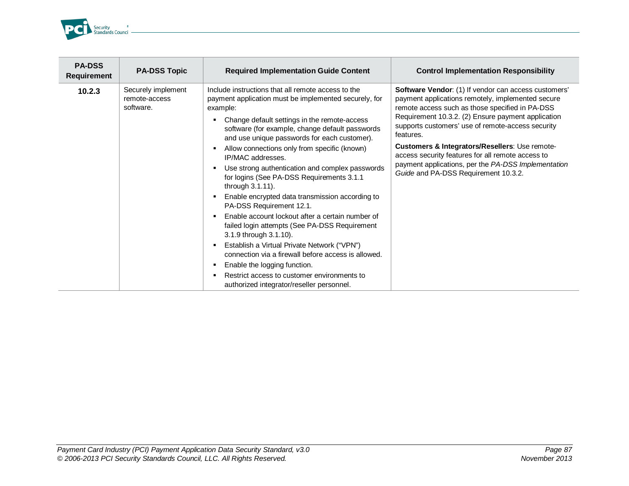

| <b>PA-DSS</b><br><b>Requirement</b> | <b>PA-DSS Topic</b>                              | <b>Required Implementation Guide Content</b>                                                                                                    | <b>Control Implementation Responsibility</b>                                                                                                                 |
|-------------------------------------|--------------------------------------------------|-------------------------------------------------------------------------------------------------------------------------------------------------|--------------------------------------------------------------------------------------------------------------------------------------------------------------|
| 10.2.3                              | Securely implement<br>remote-access<br>software. | Include instructions that all remote access to the<br>payment application must be implemented securely, for<br>example:                         | Software Vendor: (1) If vendor can access customers'<br>payment applications remotely, implemented secure<br>remote access such as those specified in PA-DSS |
|                                     |                                                  | Change default settings in the remote-access<br>software (for example, change default passwords<br>and use unique passwords for each customer). | Requirement 10.3.2. (2) Ensure payment application<br>supports customers' use of remote-access security<br>features.                                         |
|                                     |                                                  | Allow connections only from specific (known)<br>٠<br>IP/MAC addresses.                                                                          | Customers & Integrators/Resellers: Use remote-<br>access security features for all remote access to                                                          |
|                                     |                                                  | Use strong authentication and complex passwords<br>٠<br>for logins (See PA-DSS Requirements 3.1.1<br>through 3.1.11).                           | payment applications, per the PA-DSS Implementation<br>Guide and PA-DSS Requirement 10.3.2.                                                                  |
|                                     |                                                  | Enable encrypted data transmission according to<br>٠<br>PA-DSS Requirement 12.1.                                                                |                                                                                                                                                              |
|                                     |                                                  | Enable account lockout after a certain number of<br>failed login attempts (See PA-DSS Requirement<br>3.1.9 through 3.1.10).                     |                                                                                                                                                              |
|                                     |                                                  | Establish a Virtual Private Network ("VPN")<br>٠<br>connection via a firewall before access is allowed.                                         |                                                                                                                                                              |
|                                     |                                                  | Enable the logging function.<br>л.                                                                                                              |                                                                                                                                                              |
|                                     |                                                  | Restrict access to customer environments to<br>٠<br>authorized integrator/reseller personnel.                                                   |                                                                                                                                                              |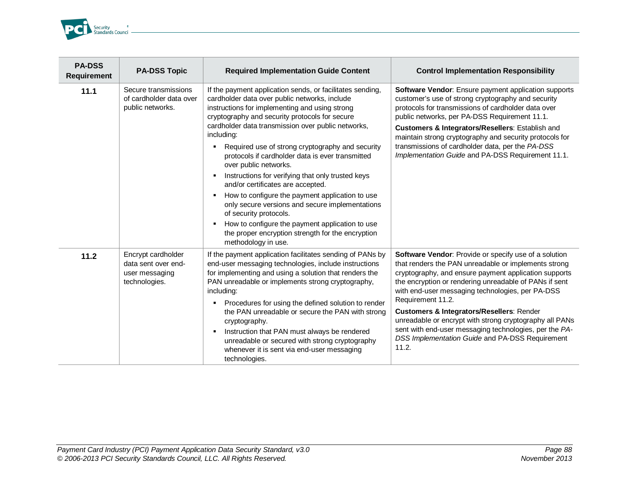

| <b>PA-DSS</b><br><b>Requirement</b> | <b>PA-DSS Topic</b>                                                          | <b>Required Implementation Guide Content</b>                                                                                                                                                                                                                                                                                                                                                                                                                                                                                                                                                                                                                                                                                                                                                     | <b>Control Implementation Responsibility</b>                                                                                                                                                                                                                                                                                                                                                                                                                                                                                                       |
|-------------------------------------|------------------------------------------------------------------------------|--------------------------------------------------------------------------------------------------------------------------------------------------------------------------------------------------------------------------------------------------------------------------------------------------------------------------------------------------------------------------------------------------------------------------------------------------------------------------------------------------------------------------------------------------------------------------------------------------------------------------------------------------------------------------------------------------------------------------------------------------------------------------------------------------|----------------------------------------------------------------------------------------------------------------------------------------------------------------------------------------------------------------------------------------------------------------------------------------------------------------------------------------------------------------------------------------------------------------------------------------------------------------------------------------------------------------------------------------------------|
| 11.1                                | Secure transmissions<br>of cardholder data over<br>public networks.          | If the payment application sends, or facilitates sending,<br>cardholder data over public networks, include<br>instructions for implementing and using strong<br>cryptography and security protocols for secure<br>cardholder data transmission over public networks,<br>including:<br>Required use of strong cryptography and security<br>٠<br>protocols if cardholder data is ever transmitted<br>over public networks.<br>Instructions for verifying that only trusted keys<br>٠<br>and/or certificates are accepted.<br>How to configure the payment application to use<br>٠<br>only secure versions and secure implementations<br>of security protocols.<br>How to configure the payment application to use<br>٠<br>the proper encryption strength for the encryption<br>methodology in use. | Software Vendor: Ensure payment application supports<br>customer's use of strong cryptography and security<br>protocols for transmissions of cardholder data over<br>public networks, per PA-DSS Requirement 11.1.<br>Customers & Integrators/Resellers: Establish and<br>maintain strong cryptography and security protocols for<br>transmissions of cardholder data, per the PA-DSS<br>Implementation Guide and PA-DSS Requirement 11.1.                                                                                                         |
| 11.2                                | Encrypt cardholder<br>data sent over end-<br>user messaging<br>technologies. | If the payment application facilitates sending of PANs by<br>end-user messaging technologies, include instructions<br>for implementing and using a solution that renders the<br>PAN unreadable or implements strong cryptography,<br>including:<br>Procedures for using the defined solution to render<br>٠<br>the PAN unreadable or secure the PAN with strong<br>cryptography.<br>Instruction that PAN must always be rendered<br>٠<br>unreadable or secured with strong cryptography<br>whenever it is sent via end-user messaging<br>technologies.                                                                                                                                                                                                                                           | Software Vendor: Provide or specify use of a solution<br>that renders the PAN unreadable or implements strong<br>cryptography, and ensure payment application supports<br>the encryption or rendering unreadable of PANs if sent<br>with end-user messaging technologies, per PA-DSS<br>Requirement 11.2.<br><b>Customers &amp; Integrators/Resellers: Render</b><br>unreadable or encrypt with strong cryptography all PANs<br>sent with end-user messaging technologies, per the PA-<br>DSS Implementation Guide and PA-DSS Requirement<br>11.2. |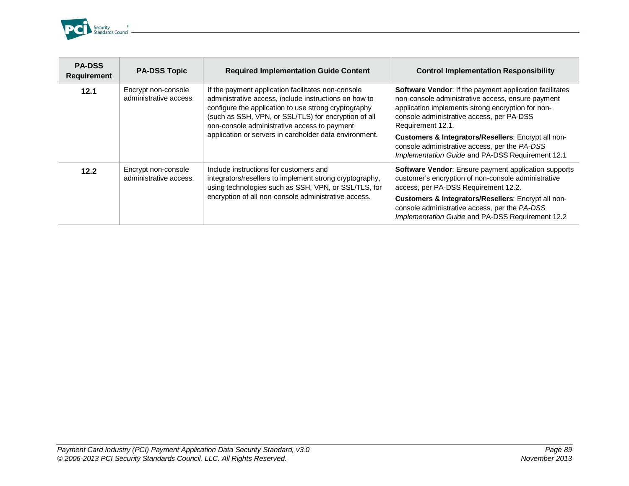

| <b>PA-DSS</b><br><b>Requirement</b> | <b>PA-DSS Topic</b>                           | <b>Required Implementation Guide Content</b>                                                                                                                                                                                                                                                                                          | <b>Control Implementation Responsibility</b>                                                                                                                                                                                                                                                                                                                                                           |
|-------------------------------------|-----------------------------------------------|---------------------------------------------------------------------------------------------------------------------------------------------------------------------------------------------------------------------------------------------------------------------------------------------------------------------------------------|--------------------------------------------------------------------------------------------------------------------------------------------------------------------------------------------------------------------------------------------------------------------------------------------------------------------------------------------------------------------------------------------------------|
| 12.1                                | Encrypt non-console<br>administrative access. | If the payment application facilitates non-console<br>administrative access, include instructions on how to<br>configure the application to use strong cryptography<br>(such as SSH, VPN, or SSL/TLS) for encryption of all<br>non-console administrative access to payment<br>application or servers in cardholder data environment. | <b>Software Vendor:</b> If the payment application facilitates<br>non-console administrative access, ensure payment<br>application implements strong encryption for non-<br>console administrative access, per PA-DSS<br>Requirement 12.1.<br>Customers & Integrators/Resellers: Encrypt all non-<br>console administrative access, per the PA-DSS<br>Implementation Guide and PA-DSS Requirement 12.1 |
| 12.2                                | Encrypt non-console<br>administrative access. | Include instructions for customers and<br>integrators/resellers to implement strong cryptography,<br>using technologies such as SSH, VPN, or SSL/TLS, for<br>encryption of all non-console administrative access.                                                                                                                     | Software Vendor: Ensure payment application supports<br>customer's encryption of non-console administrative<br>access, per PA-DSS Requirement 12.2.<br>Customers & Integrators/Resellers: Encrypt all non-<br>console administrative access, per the PA-DSS<br>Implementation Guide and PA-DSS Requirement 12.2                                                                                        |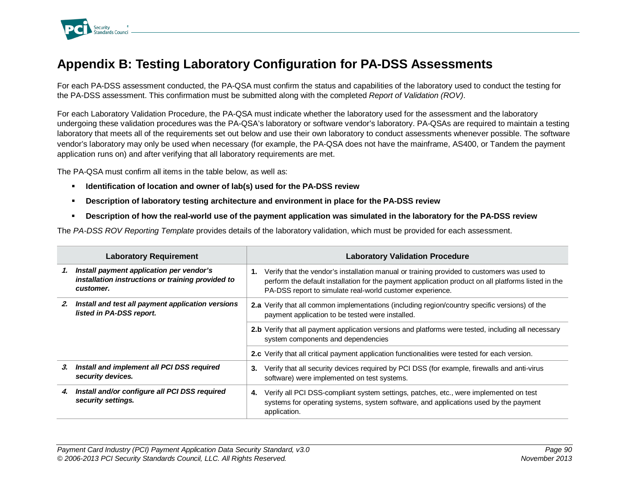

## **Appendix B: Testing Laboratory Configuration for PA-DSS Assessments**

For each PA-DSS assessment conducted, the PA-QSA must confirm the status and capabilities of the laboratory used to conduct the testing for the PA-DSS assessment. This confirmation must be submitted along with the completed *Report of Validation (ROV)*.

For each Laboratory Validation Procedure, the PA-QSA must indicate whether the laboratory used for the assessment and the laboratory undergoing these validation procedures was the PA-QSA's laboratory or software vendor's laboratory. PA-QSAs are required to maintain a testing laboratory that meets all of the requirements set out below and use their own laboratory to conduct assessments whenever possible. The software vendor's laboratory may only be used when necessary (for example, the PA-QSA does not have the mainframe, AS400, or Tandem the payment application runs on) and after verifying that all laboratory requirements are met.

The PA-QSA must confirm all items in the table below, as well as:

- **Identification of location and owner of lab(s) used for the PA-DSS review**
- **Description of laboratory testing architecture and environment in place for the PA-DSS review**
- **Description of how the real-world use of the payment application was simulated in the laboratory for the PA-DSS review**

The *PA-DSS ROV Reporting Template* provides details of the laboratory validation, which must be provided for each assessment.

|    | <b>Laboratory Requirement</b>                                                                              | <b>Laboratory Validation Procedure</b>                                                                                                                                                                                                                               |
|----|------------------------------------------------------------------------------------------------------------|----------------------------------------------------------------------------------------------------------------------------------------------------------------------------------------------------------------------------------------------------------------------|
| 1. | Install payment application per vendor's<br>installation instructions or training provided to<br>customer. | Verify that the vendor's installation manual or training provided to customers was used to<br>1.<br>perform the default installation for the payment application product on all platforms listed in the<br>PA-DSS report to simulate real-world customer experience. |
| 2. | Install and test all payment application versions<br>listed in PA-DSS report.                              | 2.a Verify that all common implementations (including region/country specific versions) of the<br>payment application to be tested were installed.                                                                                                                   |
|    |                                                                                                            | 2.b Verify that all payment application versions and platforms were tested, including all necessary<br>system components and dependencies                                                                                                                            |
|    |                                                                                                            | 2.c Verify that all critical payment application functionalities were tested for each version.                                                                                                                                                                       |
| З. | Install and implement all PCI DSS required<br>security devices.                                            | Verify that all security devices required by PCI DSS (for example, firewalls and anti-virus<br>3.<br>software) were implemented on test systems.                                                                                                                     |
| 4. | Install and/or configure all PCI DSS required<br>security settings.                                        | Verify all PCI DSS-compliant system settings, patches, etc., were implemented on test<br>4.<br>systems for operating systems, system software, and applications used by the payment<br>application.                                                                  |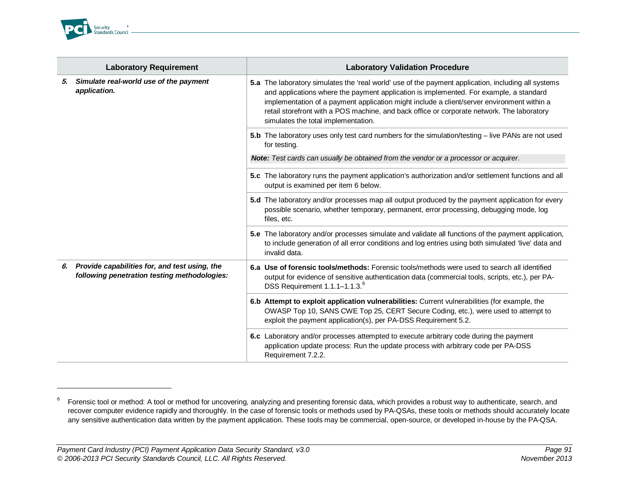<span id="page-90-0"></span>

j

| <b>Laboratory Requirement</b> |                                                                                               | <b>Laboratory Validation Procedure</b>                                                                                                                                                                                                                                                                                                                                                                                           |
|-------------------------------|-----------------------------------------------------------------------------------------------|----------------------------------------------------------------------------------------------------------------------------------------------------------------------------------------------------------------------------------------------------------------------------------------------------------------------------------------------------------------------------------------------------------------------------------|
| 5.                            | Simulate real-world use of the payment<br>application.                                        | 5.a The laboratory simulates the 'real world' use of the payment application, including all systems<br>and applications where the payment application is implemented. For example, a standard<br>implementation of a payment application might include a client/server environment within a<br>retail storefront with a POS machine, and back office or corporate network. The laboratory<br>simulates the total implementation. |
|                               |                                                                                               | 5.b The laboratory uses only test card numbers for the simulation/testing – live PANs are not used<br>for testing.                                                                                                                                                                                                                                                                                                               |
|                               |                                                                                               | Note: Test cards can usually be obtained from the vendor or a processor or acquirer.                                                                                                                                                                                                                                                                                                                                             |
|                               |                                                                                               | 5.c The laboratory runs the payment application's authorization and/or settlement functions and all<br>output is examined per item 6 below.                                                                                                                                                                                                                                                                                      |
|                               |                                                                                               | 5.d The laboratory and/or processes map all output produced by the payment application for every<br>possible scenario, whether temporary, permanent, error processing, debugging mode, log<br>files, etc.                                                                                                                                                                                                                        |
|                               |                                                                                               | 5.e The laboratory and/or processes simulate and validate all functions of the payment application,<br>to include generation of all error conditions and log entries using both simulated 'live' data and<br>invalid data.                                                                                                                                                                                                       |
| 6.                            | Provide capabilities for, and test using, the<br>following penetration testing methodologies: | 6.a Use of forensic tools/methods: Forensic tools/methods were used to search all identified<br>output for evidence of sensitive authentication data (commercial tools, scripts, etc.), per PA-<br>DSS Requirement 1.1.1-1.1.3. <sup>6</sup>                                                                                                                                                                                     |
|                               |                                                                                               | 6.b Attempt to exploit application vulnerabilities: Current vulnerabilities (for example, the<br>OWASP Top 10, SANS CWE Top 25, CERT Secure Coding, etc.), were used to attempt to<br>exploit the payment application(s), per PA-DSS Requirement 5.2.                                                                                                                                                                            |
|                               |                                                                                               | 6.c Laboratory and/or processes attempted to execute arbitrary code during the payment<br>application update process: Run the update process with arbitrary code per PA-DSS<br>Requirement 7.2.2.                                                                                                                                                                                                                                |

<sup>&</sup>lt;sup>6</sup> Forensic tool or method: A tool or method for uncovering, analyzing and presenting forensic data, which provides a robust way to authenticate, search, and recover computer evidence rapidly and thoroughly. In the case of forensic tools or methods used by PA-QSAs, these tools or methods should accurately locate any sensitive authentication data written by the payment application. These tools may be commercial, open-source, or developed in-house by the PA-QSA.